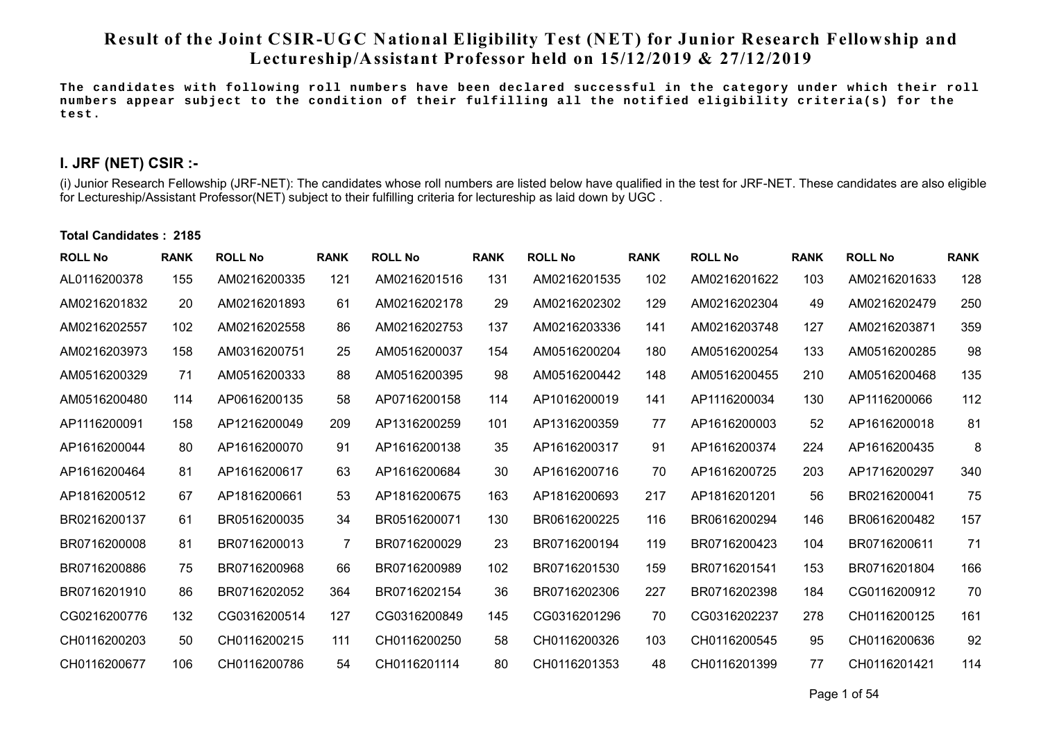# **Result of the Joint CSIR-UGC National Eligibility Test (NET) for Junior Research Fellowship and Lectureship/Assistant Professor held on 15/12/2019 & 27/12/2019**

**The candidates with following roll numbers have been declared successful in the category under which their roll numbers appear subject to the condition of their fulfilling all the notified eligibility criteria(s) for the test.** 

## **I. JRF (NET) CSIR :-**

(i) Junior Research Fellowship (JRF-NET): The candidates whose roll numbers are listed below have qualified in the test for JRF-NET. These candidates are also eligible for Lectureship/Assistant Professor(NET) subject to their fulfilling criteria for lectureship as laid down by UGC .

### **Total Candidates : 2185**

| <b>ROLL No</b> | <b>RANK</b> | <b>ROLL No</b> | <b>RANK</b> | <b>ROLL No</b> | <b>RANK</b> | <b>ROLL No</b> | <b>RANK</b> | <b>ROLL No</b> | <b>RANK</b> | <b>ROLL No</b> | <b>RANK</b> |
|----------------|-------------|----------------|-------------|----------------|-------------|----------------|-------------|----------------|-------------|----------------|-------------|
| AL0116200378   | 155         | AM0216200335   | 121         | AM0216201516   | 131         | AM0216201535   | 102         | AM0216201622   | 103         | AM0216201633   | 128         |
| AM0216201832   | 20          | AM0216201893   | 61          | AM0216202178   | 29          | AM0216202302   | 129         | AM0216202304   | 49          | AM0216202479   | 250         |
| AM0216202557   | 102         | AM0216202558   | 86          | AM0216202753   | 137         | AM0216203336   | 141         | AM0216203748   | 127         | AM0216203871   | 359         |
| AM0216203973   | 158         | AM0316200751   | 25          | AM0516200037   | 154         | AM0516200204   | 180         | AM0516200254   | 133         | AM0516200285   | 98          |
| AM0516200329   | 71          | AM0516200333   | 88          | AM0516200395   | 98          | AM0516200442   | 148         | AM0516200455   | 210         | AM0516200468   | 135         |
| AM0516200480   | 114         | AP0616200135   | 58          | AP0716200158   | 114         | AP1016200019   | 141         | AP1116200034   | 130         | AP1116200066   | 112         |
| AP1116200091   | 158         | AP1216200049   | 209         | AP1316200259   | 101         | AP1316200359   | 77          | AP1616200003   | 52          | AP1616200018   | 81          |
| AP1616200044   | 80          | AP1616200070   | 91          | AP1616200138   | 35          | AP1616200317   | 91          | AP1616200374   | 224         | AP1616200435   | 8           |
| AP1616200464   | 81          | AP1616200617   | 63          | AP1616200684   | 30          | AP1616200716   | 70          | AP1616200725   | 203         | AP1716200297   | 340         |
| AP1816200512   | 67          | AP1816200661   | 53          | AP1816200675   | 163         | AP1816200693   | 217         | AP1816201201   | 56          | BR0216200041   | 75          |
| BR0216200137   | 61          | BR0516200035   | 34          | BR0516200071   | 130         | BR0616200225   | 116         | BR0616200294   | 146         | BR0616200482   | 157         |
| BR0716200008   | 81          | BR0716200013   | 7           | BR0716200029   | 23          | BR0716200194   | 119         | BR0716200423   | 104         | BR0716200611   | 71          |
| BR0716200886   | 75          | BR0716200968   | 66          | BR0716200989   | 102         | BR0716201530   | 159         | BR0716201541   | 153         | BR0716201804   | 166         |
| BR0716201910   | 86          | BR0716202052   | 364         | BR0716202154   | 36          | BR0716202306   | 227         | BR0716202398   | 184         | CG0116200912   | 70          |
| CG0216200776   | 132         | CG0316200514   | 127         | CG0316200849   | 145         | CG0316201296   | 70          | CG0316202237   | 278         | CH0116200125   | 161         |
| CH0116200203   | 50          | CH0116200215   | 111         | CH0116200250   | 58          | CH0116200326   | 103         | CH0116200545   | 95          | CH0116200636   | 92          |
| CH0116200677   | 106         | CH0116200786   | 54          | CH0116201114   | 80          | CH0116201353   | 48          | CH0116201399   | 77          | CH0116201421   | 114         |

Pa ge 1 of 54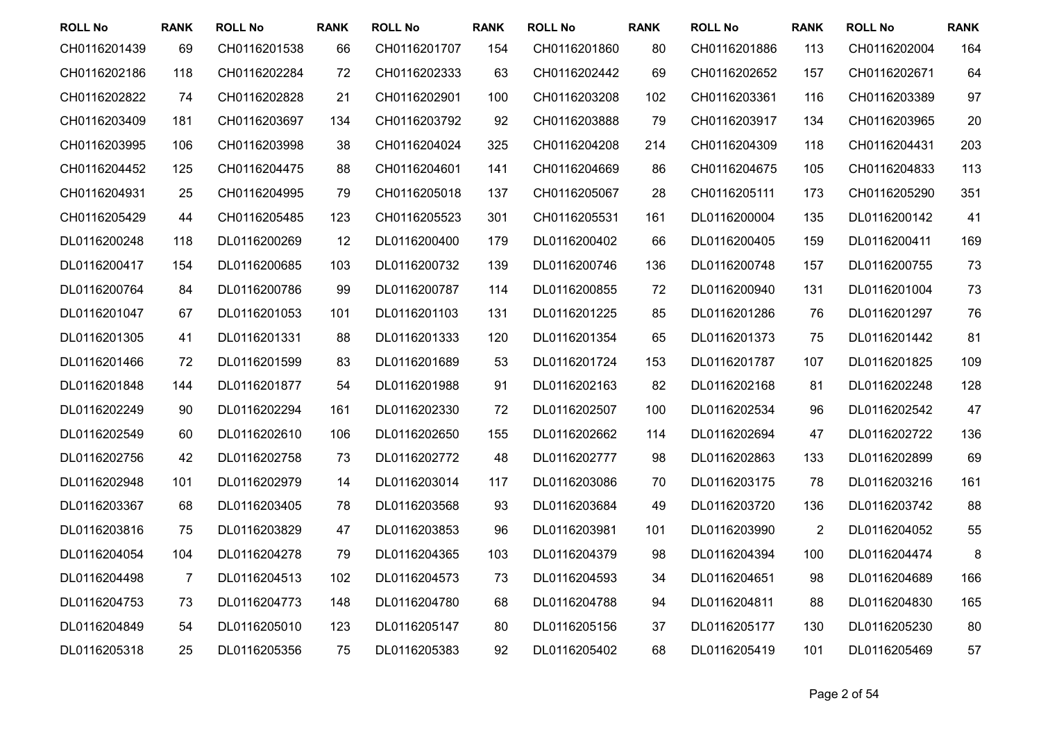| <b>ROLL No</b> | <b>RANK</b> | <b>ROLL No</b> | <b>RANK</b> | <b>ROLL No</b> | <b>RANK</b> | <b>ROLL No</b> | <b>RANK</b> | <b>ROLL No</b> | <b>RANK</b>    | <b>ROLL No</b> | <b>RANK</b> |
|----------------|-------------|----------------|-------------|----------------|-------------|----------------|-------------|----------------|----------------|----------------|-------------|
| CH0116201439   | 69          | CH0116201538   | 66          | CH0116201707   | 154         | CH0116201860   | 80          | CH0116201886   | 113            | CH0116202004   | 164         |
| CH0116202186   | 118         | CH0116202284   | 72          | CH0116202333   | 63          | CH0116202442   | 69          | CH0116202652   | 157            | CH0116202671   | 64          |
| CH0116202822   | 74          | CH0116202828   | 21          | CH0116202901   | 100         | CH0116203208   | 102         | CH0116203361   | 116            | CH0116203389   | 97          |
| CH0116203409   | 181         | CH0116203697   | 134         | CH0116203792   | 92          | CH0116203888   | 79          | CH0116203917   | 134            | CH0116203965   | 20          |
| CH0116203995   | 106         | CH0116203998   | 38          | CH0116204024   | 325         | CH0116204208   | 214         | CH0116204309   | 118            | CH0116204431   | 203         |
| CH0116204452   | 125         | CH0116204475   | 88          | CH0116204601   | 141         | CH0116204669   | 86          | CH0116204675   | 105            | CH0116204833   | 113         |
| CH0116204931   | 25          | CH0116204995   | 79          | CH0116205018   | 137         | CH0116205067   | 28          | CH0116205111   | 173            | CH0116205290   | 351         |
| CH0116205429   | 44          | CH0116205485   | 123         | CH0116205523   | 301         | CH0116205531   | 161         | DL0116200004   | 135            | DL0116200142   | 41          |
| DL0116200248   | 118         | DL0116200269   | 12          | DL0116200400   | 179         | DL0116200402   | 66          | DL0116200405   | 159            | DL0116200411   | 169         |
| DL0116200417   | 154         | DL0116200685   | 103         | DL0116200732   | 139         | DL0116200746   | 136         | DL0116200748   | 157            | DL0116200755   | 73          |
| DL0116200764   | 84          | DL0116200786   | 99          | DL0116200787   | 114         | DL0116200855   | 72          | DL0116200940   | 131            | DL0116201004   | 73          |
| DL0116201047   | 67          | DL0116201053   | 101         | DL0116201103   | 131         | DL0116201225   | 85          | DL0116201286   | 76             | DL0116201297   | 76          |
| DL0116201305   | 41          | DL0116201331   | 88          | DL0116201333   | 120         | DL0116201354   | 65          | DL0116201373   | 75             | DL0116201442   | 81          |
| DL0116201466   | 72          | DL0116201599   | 83          | DL0116201689   | 53          | DL0116201724   | 153         | DL0116201787   | 107            | DL0116201825   | 109         |
| DL0116201848   | 144         | DL0116201877   | 54          | DL0116201988   | 91          | DL0116202163   | 82          | DL0116202168   | 81             | DL0116202248   | 128         |
| DL0116202249   | 90          | DL0116202294   | 161         | DL0116202330   | 72          | DL0116202507   | 100         | DL0116202534   | 96             | DL0116202542   | 47          |
| DL0116202549   | 60          | DL0116202610   | 106         | DL0116202650   | 155         | DL0116202662   | 114         | DL0116202694   | 47             | DL0116202722   | 136         |
| DL0116202756   | 42          | DL0116202758   | 73          | DL0116202772   | 48          | DL0116202777   | 98          | DL0116202863   | 133            | DL0116202899   | 69          |
| DL0116202948   | 101         | DL0116202979   | 14          | DL0116203014   | 117         | DL0116203086   | 70          | DL0116203175   | 78             | DL0116203216   | 161         |
| DL0116203367   | 68          | DL0116203405   | 78          | DL0116203568   | 93          | DL0116203684   | 49          | DL0116203720   | 136            | DL0116203742   | 88          |
| DL0116203816   | 75          | DL0116203829   | 47          | DL0116203853   | 96          | DL0116203981   | 101         | DL0116203990   | $\overline{2}$ | DL0116204052   | 55          |
| DL0116204054   | 104         | DL0116204278   | 79          | DL0116204365   | 103         | DL0116204379   | 98          | DL0116204394   | 100            | DL0116204474   | 8           |
| DL0116204498   | 7           | DL0116204513   | 102         | DL0116204573   | 73          | DL0116204593   | 34          | DL0116204651   | 98             | DL0116204689   | 166         |
| DL0116204753   | 73          | DL0116204773   | 148         | DL0116204780   | 68          | DL0116204788   | 94          | DL0116204811   | 88             | DL0116204830   | 165         |
| DL0116204849   | 54          | DL0116205010   | 123         | DL0116205147   | 80          | DL0116205156   | 37          | DL0116205177   | 130            | DL0116205230   | 80          |
| DL0116205318   | 25          | DL0116205356   | 75          | DL0116205383   | 92          | DL0116205402   | 68          | DL0116205419   | 101            | DL0116205469   | 57          |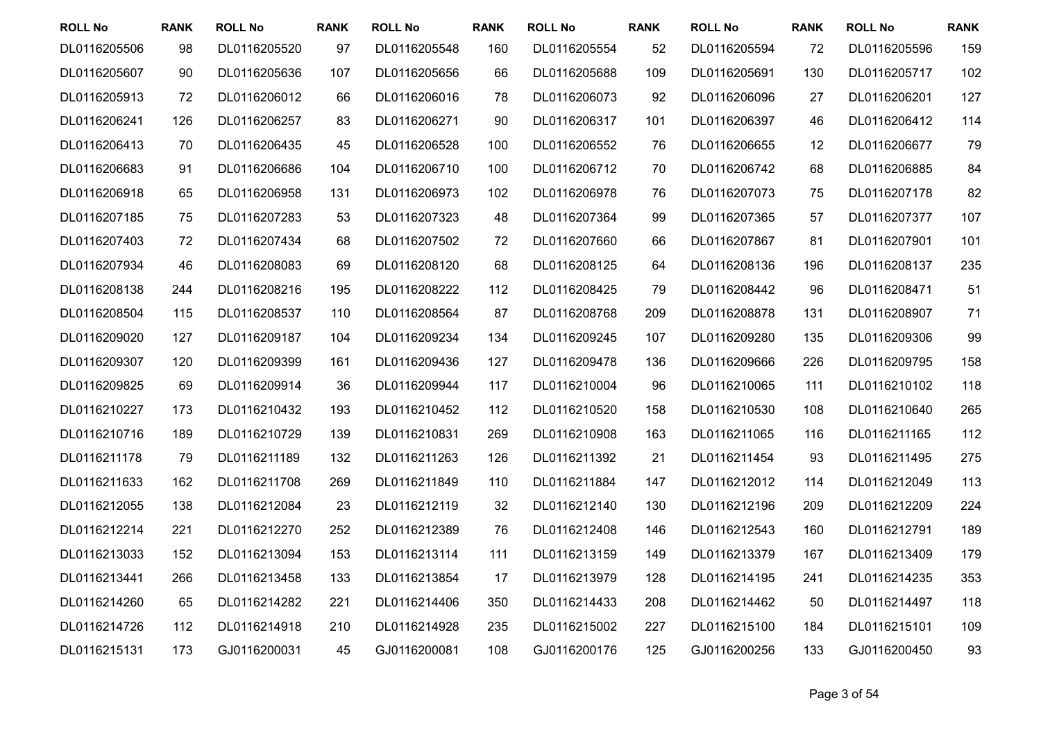| <b>ROLL No</b> | <b>RANK</b> | <b>ROLL No</b> | <b>RANK</b> | <b>ROLL No</b> | <b>RANK</b> | <b>ROLL No</b> | <b>RANK</b> | <b>ROLL No</b> | <b>RANK</b> | <b>ROLL No</b> | <b>RANK</b> |
|----------------|-------------|----------------|-------------|----------------|-------------|----------------|-------------|----------------|-------------|----------------|-------------|
| DL0116205506   | 98          | DL0116205520   | 97          | DL0116205548   | 160         | DL0116205554   | 52          | DL0116205594   | 72          | DL0116205596   | 159         |
| DL0116205607   | 90          | DL0116205636   | 107         | DL0116205656   | 66          | DL0116205688   | 109         | DL0116205691   | 130         | DL0116205717   | 102         |
| DL0116205913   | 72          | DL0116206012   | 66          | DL0116206016   | 78          | DL0116206073   | 92          | DL0116206096   | 27          | DL0116206201   | 127         |
| DL0116206241   | 126         | DL0116206257   | 83          | DL0116206271   | 90          | DL0116206317   | 101         | DL0116206397   | 46          | DL0116206412   | 114         |
| DL0116206413   | 70          | DL0116206435   | 45          | DL0116206528   | 100         | DL0116206552   | 76          | DL0116206655   | 12          | DL0116206677   | 79          |
| DL0116206683   | 91          | DL0116206686   | 104         | DL0116206710   | 100         | DL0116206712   | 70          | DL0116206742   | 68          | DL0116206885   | 84          |
| DL0116206918   | 65          | DL0116206958   | 131         | DL0116206973   | 102         | DL0116206978   | 76          | DL0116207073   | 75          | DL0116207178   | 82          |
| DL0116207185   | 75          | DL0116207283   | 53          | DL0116207323   | 48          | DL0116207364   | 99          | DL0116207365   | 57          | DL0116207377   | 107         |
| DL0116207403   | 72          | DL0116207434   | 68          | DL0116207502   | 72          | DL0116207660   | 66          | DL0116207867   | 81          | DL0116207901   | 101         |
| DL0116207934   | 46          | DL0116208083   | 69          | DL0116208120   | 68          | DL0116208125   | 64          | DL0116208136   | 196         | DL0116208137   | 235         |
| DL0116208138   | 244         | DL0116208216   | 195         | DL0116208222   | 112         | DL0116208425   | 79          | DL0116208442   | 96          | DL0116208471   | 51          |
| DL0116208504   | 115         | DL0116208537   | 110         | DL0116208564   | 87          | DL0116208768   | 209         | DL0116208878   | 131         | DL0116208907   | 71          |
| DL0116209020   | 127         | DL0116209187   | 104         | DL0116209234   | 134         | DL0116209245   | 107         | DL0116209280   | 135         | DL0116209306   | 99          |
| DL0116209307   | 120         | DL0116209399   | 161         | DL0116209436   | 127         | DL0116209478   | 136         | DL0116209666   | 226         | DL0116209795   | 158         |
| DL0116209825   | 69          | DL0116209914   | 36          | DL0116209944   | 117         | DL0116210004   | 96          | DL0116210065   | 111         | DL0116210102   | 118         |
| DL0116210227   | 173         | DL0116210432   | 193         | DL0116210452   | 112         | DL0116210520   | 158         | DL0116210530   | 108         | DL0116210640   | 265         |
| DL0116210716   | 189         | DL0116210729   | 139         | DL0116210831   | 269         | DL0116210908   | 163         | DL0116211065   | 116         | DL0116211165   | 112         |
| DL0116211178   | 79          | DL0116211189   | 132         | DL0116211263   | 126         | DL0116211392   | 21          | DL0116211454   | 93          | DL0116211495   | 275         |
| DL0116211633   | 162         | DL0116211708   | 269         | DL0116211849   | 110         | DL0116211884   | 147         | DL0116212012   | 114         | DL0116212049   | 113         |
| DL0116212055   | 138         | DL0116212084   | 23          | DL0116212119   | 32          | DL0116212140   | 130         | DL0116212196   | 209         | DL0116212209   | 224         |
| DL0116212214   | 221         | DL0116212270   | 252         | DL0116212389   | 76          | DL0116212408   | 146         | DL0116212543   | 160         | DL0116212791   | 189         |
| DL0116213033   | 152         | DL0116213094   | 153         | DL0116213114   | 111         | DL0116213159   | 149         | DL0116213379   | 167         | DL0116213409   | 179         |
| DL0116213441   | 266         | DL0116213458   | 133         | DL0116213854   | 17          | DL0116213979   | 128         | DL0116214195   | 241         | DL0116214235   | 353         |
| DL0116214260   | 65          | DL0116214282   | 221         | DL0116214406   | 350         | DL0116214433   | 208         | DL0116214462   | 50          | DL0116214497   | 118         |
| DL0116214726   | 112         | DL0116214918   | 210         | DL0116214928   | 235         | DL0116215002   | 227         | DL0116215100   | 184         | DL0116215101   | 109         |
| DL0116215131   | 173         | GJ0116200031   | 45          | GJ0116200081   | 108         | GJ0116200176   | 125         | GJ0116200256   | 133         | GJ0116200450   | 93          |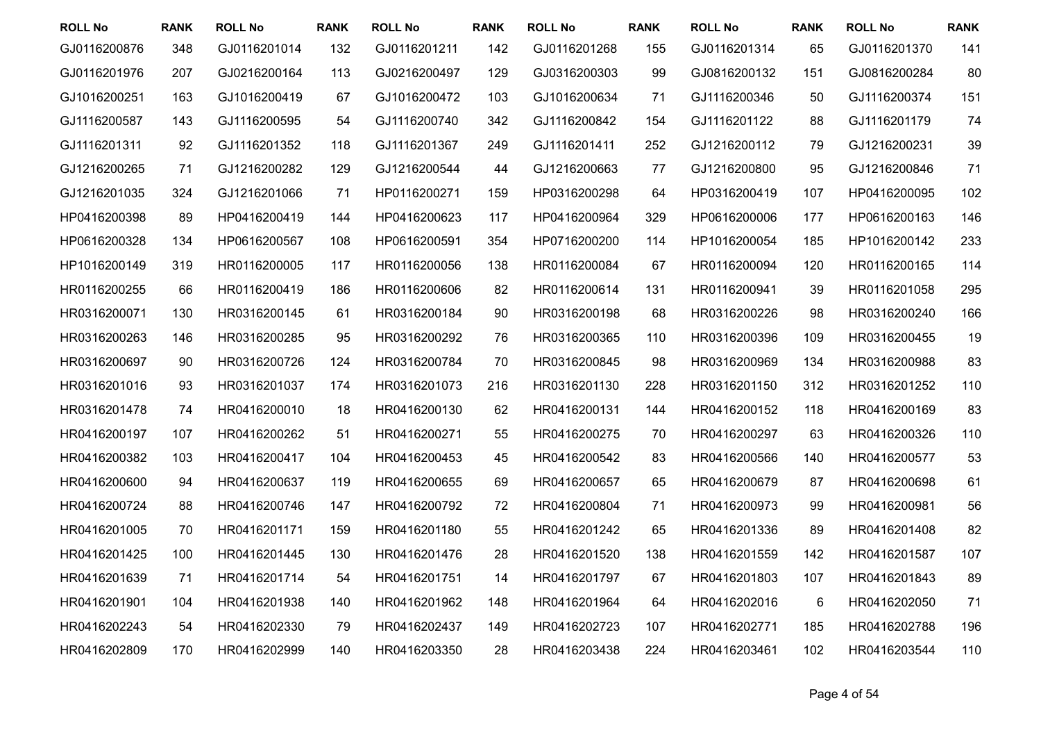| <b>ROLL No</b> | <b>RANK</b> | <b>ROLL No</b> | <b>RANK</b> | <b>ROLL No</b> | <b>RANK</b> | <b>ROLL No</b> | <b>RANK</b> | <b>ROLL No</b> | <b>RANK</b> | <b>ROLL No</b> | <b>RANK</b> |
|----------------|-------------|----------------|-------------|----------------|-------------|----------------|-------------|----------------|-------------|----------------|-------------|
| GJ0116200876   | 348         | GJ0116201014   | 132         | GJ0116201211   | 142         | GJ0116201268   | 155         | GJ0116201314   | 65          | GJ0116201370   | 141         |
| GJ0116201976   | 207         | GJ0216200164   | 113         | GJ0216200497   | 129         | GJ0316200303   | 99          | GJ0816200132   | 151         | GJ0816200284   | 80          |
| GJ1016200251   | 163         | GJ1016200419   | 67          | GJ1016200472   | 103         | GJ1016200634   | 71          | GJ1116200346   | 50          | GJ1116200374   | 151         |
| GJ1116200587   | 143         | GJ1116200595   | 54          | GJ1116200740   | 342         | GJ1116200842   | 154         | GJ1116201122   | 88          | GJ1116201179   | 74          |
| GJ1116201311   | 92          | GJ1116201352   | 118         | GJ1116201367   | 249         | GJ1116201411   | 252         | GJ1216200112   | 79          | GJ1216200231   | 39          |
| GJ1216200265   | 71          | GJ1216200282   | 129         | GJ1216200544   | 44          | GJ1216200663   | 77          | GJ1216200800   | 95          | GJ1216200846   | 71          |
| GJ1216201035   | 324         | GJ1216201066   | 71          | HP0116200271   | 159         | HP0316200298   | 64          | HP0316200419   | 107         | HP0416200095   | 102         |
| HP0416200398   | 89          | HP0416200419   | 144         | HP0416200623   | 117         | HP0416200964   | 329         | HP0616200006   | 177         | HP0616200163   | 146         |
| HP0616200328   | 134         | HP0616200567   | 108         | HP0616200591   | 354         | HP0716200200   | 114         | HP1016200054   | 185         | HP1016200142   | 233         |
| HP1016200149   | 319         | HR0116200005   | 117         | HR0116200056   | 138         | HR0116200084   | 67          | HR0116200094   | 120         | HR0116200165   | 114         |
| HR0116200255   | 66          | HR0116200419   | 186         | HR0116200606   | 82          | HR0116200614   | 131         | HR0116200941   | 39          | HR0116201058   | 295         |
| HR0316200071   | 130         | HR0316200145   | 61          | HR0316200184   | 90          | HR0316200198   | 68          | HR0316200226   | 98          | HR0316200240   | 166         |
| HR0316200263   | 146         | HR0316200285   | 95          | HR0316200292   | 76          | HR0316200365   | 110         | HR0316200396   | 109         | HR0316200455   | 19          |
| HR0316200697   | 90          | HR0316200726   | 124         | HR0316200784   | 70          | HR0316200845   | 98          | HR0316200969   | 134         | HR0316200988   | 83          |
| HR0316201016   | 93          | HR0316201037   | 174         | HR0316201073   | 216         | HR0316201130   | 228         | HR0316201150   | 312         | HR0316201252   | 110         |
| HR0316201478   | 74          | HR0416200010   | 18          | HR0416200130   | 62          | HR0416200131   | 144         | HR0416200152   | 118         | HR0416200169   | 83          |
| HR0416200197   | 107         | HR0416200262   | 51          | HR0416200271   | 55          | HR0416200275   | 70          | HR0416200297   | 63          | HR0416200326   | 110         |
| HR0416200382   | 103         | HR0416200417   | 104         | HR0416200453   | 45          | HR0416200542   | 83          | HR0416200566   | 140         | HR0416200577   | 53          |
| HR0416200600   | 94          | HR0416200637   | 119         | HR0416200655   | 69          | HR0416200657   | 65          | HR0416200679   | 87          | HR0416200698   | 61          |
| HR0416200724   | 88          | HR0416200746   | 147         | HR0416200792   | 72          | HR0416200804   | 71          | HR0416200973   | 99          | HR0416200981   | 56          |
| HR0416201005   | 70          | HR0416201171   | 159         | HR0416201180   | 55          | HR0416201242   | 65          | HR0416201336   | 89          | HR0416201408   | 82          |
| HR0416201425   | 100         | HR0416201445   | 130         | HR0416201476   | 28          | HR0416201520   | 138         | HR0416201559   | 142         | HR0416201587   | 107         |
| HR0416201639   | 71          | HR0416201714   | 54          | HR0416201751   | 14          | HR0416201797   | 67          | HR0416201803   | 107         | HR0416201843   | 89          |
| HR0416201901   | 104         | HR0416201938   | 140         | HR0416201962   | 148         | HR0416201964   | 64          | HR0416202016   | $\,6$       | HR0416202050   | 71          |
| HR0416202243   | 54          | HR0416202330   | 79          | HR0416202437   | 149         | HR0416202723   | 107         | HR0416202771   | 185         | HR0416202788   | 196         |
| HR0416202809   | 170         | HR0416202999   | 140         | HR0416203350   | 28          | HR0416203438   | 224         | HR0416203461   | 102         | HR0416203544   | 110         |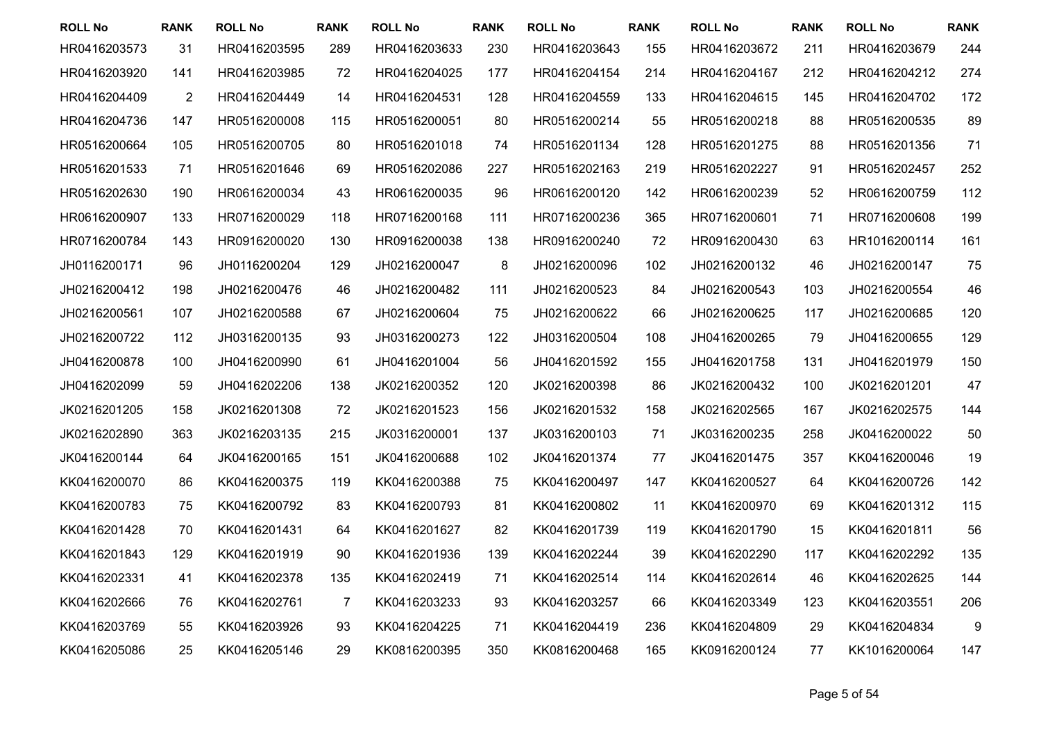| <b>ROLL No</b> | <b>RANK</b>    | <b>ROLL No</b> | <b>RANK</b> | <b>ROLL No</b> | <b>RANK</b> | <b>ROLL No</b> | <b>RANK</b> | <b>ROLL No</b> | <b>RANK</b> | <b>ROLL No</b> | <b>RANK</b> |
|----------------|----------------|----------------|-------------|----------------|-------------|----------------|-------------|----------------|-------------|----------------|-------------|
| HR0416203573   | 31             | HR0416203595   | 289         | HR0416203633   | 230         | HR0416203643   | 155         | HR0416203672   | 211         | HR0416203679   | 244         |
| HR0416203920   | 141            | HR0416203985   | 72          | HR0416204025   | 177         | HR0416204154   | 214         | HR0416204167   | 212         | HR0416204212   | 274         |
| HR0416204409   | $\overline{2}$ | HR0416204449   | 14          | HR0416204531   | 128         | HR0416204559   | 133         | HR0416204615   | 145         | HR0416204702   | 172         |
| HR0416204736   | 147            | HR0516200008   | 115         | HR0516200051   | 80          | HR0516200214   | 55          | HR0516200218   | 88          | HR0516200535   | 89          |
| HR0516200664   | 105            | HR0516200705   | 80          | HR0516201018   | 74          | HR0516201134   | 128         | HR0516201275   | 88          | HR0516201356   | 71          |
| HR0516201533   | 71             | HR0516201646   | 69          | HR0516202086   | 227         | HR0516202163   | 219         | HR0516202227   | 91          | HR0516202457   | 252         |
| HR0516202630   | 190            | HR0616200034   | 43          | HR0616200035   | 96          | HR0616200120   | 142         | HR0616200239   | 52          | HR0616200759   | 112         |
| HR0616200907   | 133            | HR0716200029   | 118         | HR0716200168   | 111         | HR0716200236   | 365         | HR0716200601   | 71          | HR0716200608   | 199         |
| HR0716200784   | 143            | HR0916200020   | 130         | HR0916200038   | 138         | HR0916200240   | 72          | HR0916200430   | 63          | HR1016200114   | 161         |
| JH0116200171   | 96             | JH0116200204   | 129         | JH0216200047   | 8           | JH0216200096   | 102         | JH0216200132   | 46          | JH0216200147   | 75          |
| JH0216200412   | 198            | JH0216200476   | 46          | JH0216200482   | 111         | JH0216200523   | 84          | JH0216200543   | 103         | JH0216200554   | 46          |
| JH0216200561   | 107            | JH0216200588   | 67          | JH0216200604   | 75          | JH0216200622   | 66          | JH0216200625   | 117         | JH0216200685   | 120         |
| JH0216200722   | 112            | JH0316200135   | 93          | JH0316200273   | 122         | JH0316200504   | 108         | JH0416200265   | 79          | JH0416200655   | 129         |
| JH0416200878   | 100            | JH0416200990   | 61          | JH0416201004   | 56          | JH0416201592   | 155         | JH0416201758   | 131         | JH0416201979   | 150         |
| JH0416202099   | 59             | JH0416202206   | 138         | JK0216200352   | 120         | JK0216200398   | 86          | JK0216200432   | 100         | JK0216201201   | 47          |
| JK0216201205   | 158            | JK0216201308   | 72          | JK0216201523   | 156         | JK0216201532   | 158         | JK0216202565   | 167         | JK0216202575   | 144         |
| JK0216202890   | 363            | JK0216203135   | 215         | JK0316200001   | 137         | JK0316200103   | 71          | JK0316200235   | 258         | JK0416200022   | 50          |
| JK0416200144   | 64             | JK0416200165   | 151         | JK0416200688   | 102         | JK0416201374   | 77          | JK0416201475   | 357         | KK0416200046   | 19          |
| KK0416200070   | 86             | KK0416200375   | 119         | KK0416200388   | 75          | KK0416200497   | 147         | KK0416200527   | 64          | KK0416200726   | 142         |
| KK0416200783   | 75             | KK0416200792   | 83          | KK0416200793   | 81          | KK0416200802   | 11          | KK0416200970   | 69          | KK0416201312   | 115         |
| KK0416201428   | 70             | KK0416201431   | 64          | KK0416201627   | 82          | KK0416201739   | 119         | KK0416201790   | 15          | KK0416201811   | 56          |
| KK0416201843   | 129            | KK0416201919   | 90          | KK0416201936   | 139         | KK0416202244   | 39          | KK0416202290   | 117         | KK0416202292   | 135         |
| KK0416202331   | 41             | KK0416202378   | 135         | KK0416202419   | 71          | KK0416202514   | 114         | KK0416202614   | 46          | KK0416202625   | 144         |
| KK0416202666   | 76             | KK0416202761   | 7           | KK0416203233   | 93          | KK0416203257   | 66          | KK0416203349   | 123         | KK0416203551   | 206         |
| KK0416203769   | 55             | KK0416203926   | 93          | KK0416204225   | 71          | KK0416204419   | 236         | KK0416204809   | 29          | KK0416204834   | 9           |
| KK0416205086   | 25             | KK0416205146   | 29          | KK0816200395   | 350         | KK0816200468   | 165         | KK0916200124   | 77          | KK1016200064   | 147         |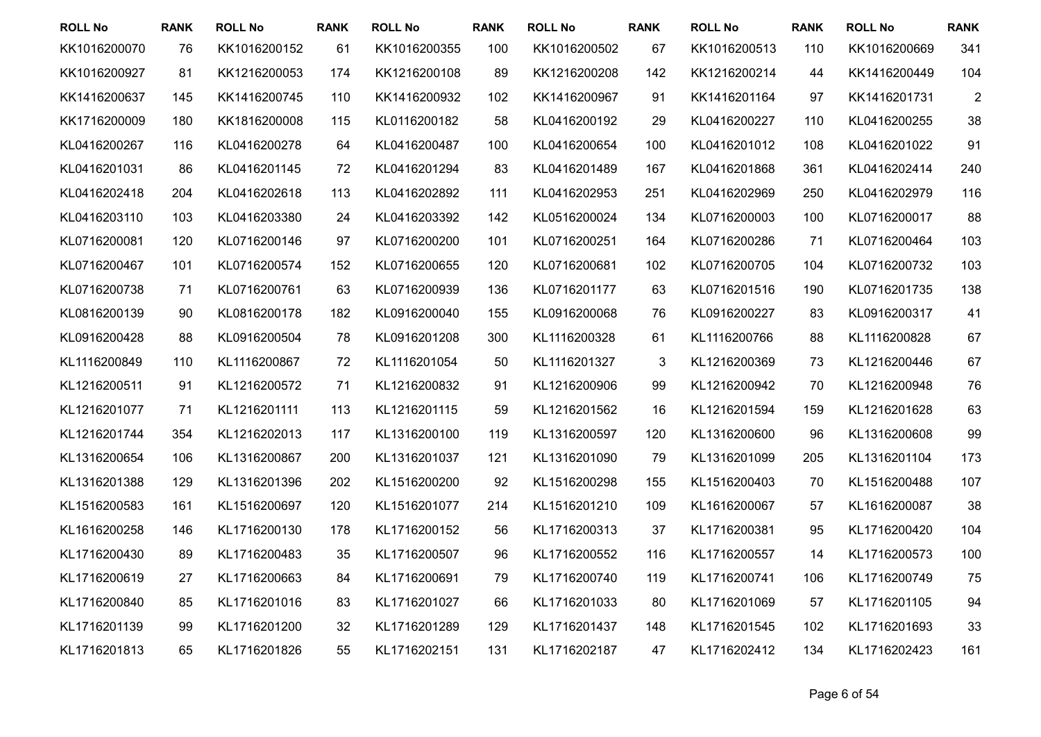| <b>ROLL No</b> | <b>RANK</b> | <b>ROLL No</b> | <b>RANK</b> | <b>ROLL No</b> | <b>RANK</b> | <b>ROLL No</b> | <b>RANK</b> | <b>ROLL No</b> | <b>RANK</b> | <b>ROLL No</b> | <b>RANK</b>    |
|----------------|-------------|----------------|-------------|----------------|-------------|----------------|-------------|----------------|-------------|----------------|----------------|
| KK1016200070   | 76          | KK1016200152   | 61          | KK1016200355   | 100         | KK1016200502   | 67          | KK1016200513   | 110         | KK1016200669   | 341            |
| KK1016200927   | 81          | KK1216200053   | 174         | KK1216200108   | 89          | KK1216200208   | 142         | KK1216200214   | 44          | KK1416200449   | 104            |
| KK1416200637   | 145         | KK1416200745   | 110         | KK1416200932   | 102         | KK1416200967   | 91          | KK1416201164   | 97          | KK1416201731   | $\overline{2}$ |
| KK1716200009   | 180         | KK1816200008   | 115         | KL0116200182   | 58          | KL0416200192   | 29          | KL0416200227   | 110         | KL0416200255   | 38             |
| KL0416200267   | 116         | KL0416200278   | 64          | KL0416200487   | 100         | KL0416200654   | 100         | KL0416201012   | 108         | KL0416201022   | 91             |
| KL0416201031   | 86          | KL0416201145   | 72          | KL0416201294   | 83          | KL0416201489   | 167         | KL0416201868   | 361         | KL0416202414   | 240            |
| KL0416202418   | 204         | KL0416202618   | 113         | KL0416202892   | 111         | KL0416202953   | 251         | KL0416202969   | 250         | KL0416202979   | 116            |
| KL0416203110   | 103         | KL0416203380   | 24          | KL0416203392   | 142         | KL0516200024   | 134         | KL0716200003   | 100         | KL0716200017   | 88             |
| KL0716200081   | 120         | KL0716200146   | 97          | KL0716200200   | 101         | KL0716200251   | 164         | KL0716200286   | 71          | KL0716200464   | 103            |
| KL0716200467   | 101         | KL0716200574   | 152         | KL0716200655   | 120         | KL0716200681   | 102         | KL0716200705   | 104         | KL0716200732   | 103            |
| KL0716200738   | 71          | KL0716200761   | 63          | KL0716200939   | 136         | KL0716201177   | 63          | KL0716201516   | 190         | KL0716201735   | 138            |
| KL0816200139   | 90          | KL0816200178   | 182         | KL0916200040   | 155         | KL0916200068   | 76          | KL0916200227   | 83          | KL0916200317   | 41             |
| KL0916200428   | 88          | KL0916200504   | 78          | KL0916201208   | 300         | KL1116200328   | 61          | KL1116200766   | 88          | KL1116200828   | 67             |
| KL1116200849   | 110         | KL1116200867   | 72          | KL1116201054   | 50          | KL1116201327   | 3           | KL1216200369   | 73          | KL1216200446   | 67             |
| KL1216200511   | 91          | KL1216200572   | 71          | KL1216200832   | 91          | KL1216200906   | 99          | KL1216200942   | 70          | KL1216200948   | 76             |
| KL1216201077   | 71          | KL1216201111   | 113         | KL1216201115   | 59          | KL1216201562   | 16          | KL1216201594   | 159         | KL1216201628   | 63             |
| KL1216201744   | 354         | KL1216202013   | 117         | KL1316200100   | 119         | KL1316200597   | 120         | KL1316200600   | 96          | KL1316200608   | 99             |
| KL1316200654   | 106         | KL1316200867   | 200         | KL1316201037   | 121         | KL1316201090   | 79          | KL1316201099   | 205         | KL1316201104   | 173            |
| KL1316201388   | 129         | KL1316201396   | 202         | KL1516200200   | 92          | KL1516200298   | 155         | KL1516200403   | 70          | KL1516200488   | 107            |
| KL1516200583   | 161         | KL1516200697   | 120         | KL1516201077   | 214         | KL1516201210   | 109         | KL1616200067   | 57          | KL1616200087   | 38             |
| KL1616200258   | 146         | KL1716200130   | 178         | KL1716200152   | 56          | KL1716200313   | 37          | KL1716200381   | 95          | KL1716200420   | 104            |
| KL1716200430   | 89          | KL1716200483   | 35          | KL1716200507   | 96          | KL1716200552   | 116         | KL1716200557   | 14          | KL1716200573   | 100            |
| KL1716200619   | 27          | KL1716200663   | 84          | KL1716200691   | 79          | KL1716200740   | 119         | KL1716200741   | 106         | KL1716200749   | 75             |
| KL1716200840   | 85          | KL1716201016   | 83          | KL1716201027   | 66          | KL1716201033   | 80          | KL1716201069   | 57          | KL1716201105   | 94             |
| KL1716201139   | 99          | KL1716201200   | 32          | KL1716201289   | 129         | KL1716201437   | 148         | KL1716201545   | 102         | KL1716201693   | 33             |
| KL1716201813   | 65          | KL1716201826   | 55          | KL1716202151   | 131         | KL1716202187   | 47          | KL1716202412   | 134         | KL1716202423   | 161            |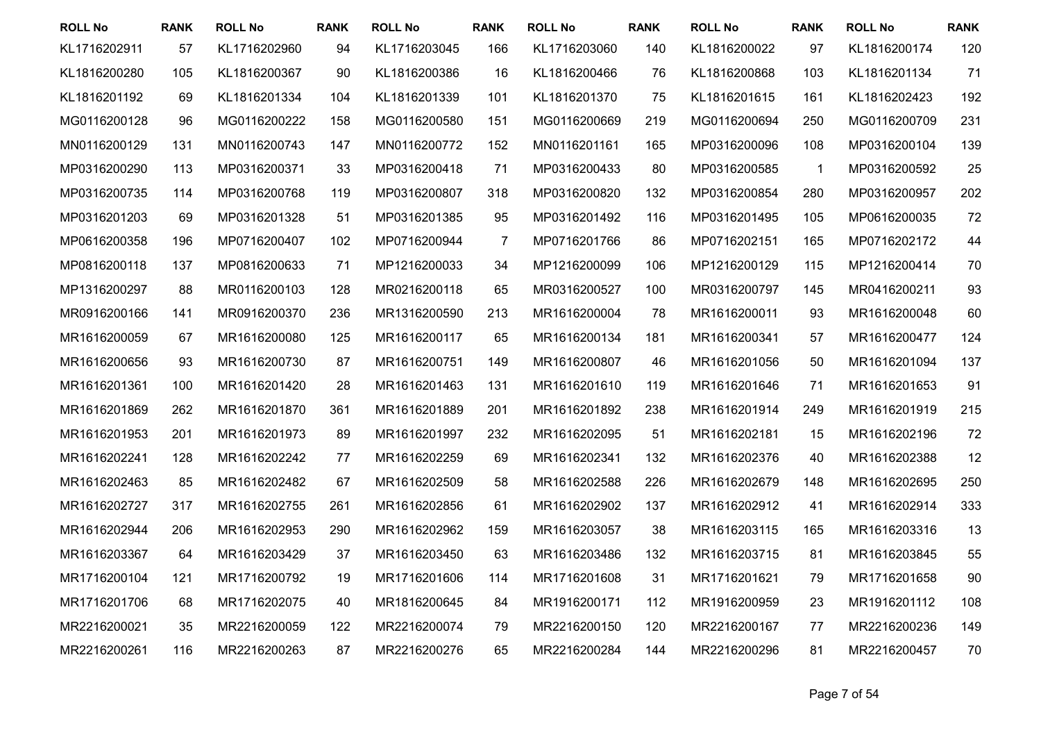| <b>ROLL No</b> | <b>RANK</b> | <b>ROLL No</b> | <b>RANK</b> | <b>ROLL No</b> | <b>RANK</b>    | <b>ROLL No</b> | <b>RANK</b> | <b>ROLL No</b> | <b>RANK</b>  | <b>ROLL No</b> | <b>RANK</b> |
|----------------|-------------|----------------|-------------|----------------|----------------|----------------|-------------|----------------|--------------|----------------|-------------|
| KL1716202911   | 57          | KL1716202960   | 94          | KL1716203045   | 166            | KL1716203060   | 140         | KL1816200022   | 97           | KL1816200174   | 120         |
| KL1816200280   | 105         | KL1816200367   | 90          | KL1816200386   | 16             | KL1816200466   | 76          | KL1816200868   | 103          | KL1816201134   | 71          |
| KL1816201192   | 69          | KL1816201334   | 104         | KL1816201339   | 101            | KL1816201370   | 75          | KL1816201615   | 161          | KL1816202423   | 192         |
| MG0116200128   | 96          | MG0116200222   | 158         | MG0116200580   | 151            | MG0116200669   | 219         | MG0116200694   | 250          | MG0116200709   | 231         |
| MN0116200129   | 131         | MN0116200743   | 147         | MN0116200772   | 152            | MN0116201161   | 165         | MP0316200096   | 108          | MP0316200104   | 139         |
| MP0316200290   | 113         | MP0316200371   | 33          | MP0316200418   | 71             | MP0316200433   | 80          | MP0316200585   | $\mathbf{1}$ | MP0316200592   | 25          |
| MP0316200735   | 114         | MP0316200768   | 119         | MP0316200807   | 318            | MP0316200820   | 132         | MP0316200854   | 280          | MP0316200957   | 202         |
| MP0316201203   | 69          | MP0316201328   | 51          | MP0316201385   | 95             | MP0316201492   | 116         | MP0316201495   | 105          | MP0616200035   | 72          |
| MP0616200358   | 196         | MP0716200407   | 102         | MP0716200944   | $\overline{7}$ | MP0716201766   | 86          | MP0716202151   | 165          | MP0716202172   | 44          |
| MP0816200118   | 137         | MP0816200633   | 71          | MP1216200033   | 34             | MP1216200099   | 106         | MP1216200129   | 115          | MP1216200414   | 70          |
| MP1316200297   | 88          | MR0116200103   | 128         | MR0216200118   | 65             | MR0316200527   | 100         | MR0316200797   | 145          | MR0416200211   | 93          |
| MR0916200166   | 141         | MR0916200370   | 236         | MR1316200590   | 213            | MR1616200004   | 78          | MR1616200011   | 93           | MR1616200048   | 60          |
| MR1616200059   | 67          | MR1616200080   | 125         | MR1616200117   | 65             | MR1616200134   | 181         | MR1616200341   | 57           | MR1616200477   | 124         |
| MR1616200656   | 93          | MR1616200730   | 87          | MR1616200751   | 149            | MR1616200807   | 46          | MR1616201056   | 50           | MR1616201094   | 137         |
| MR1616201361   | 100         | MR1616201420   | 28          | MR1616201463   | 131            | MR1616201610   | 119         | MR1616201646   | 71           | MR1616201653   | 91          |
| MR1616201869   | 262         | MR1616201870   | 361         | MR1616201889   | 201            | MR1616201892   | 238         | MR1616201914   | 249          | MR1616201919   | 215         |
| MR1616201953   | 201         | MR1616201973   | 89          | MR1616201997   | 232            | MR1616202095   | 51          | MR1616202181   | 15           | MR1616202196   | 72          |
| MR1616202241   | 128         | MR1616202242   | 77          | MR1616202259   | 69             | MR1616202341   | 132         | MR1616202376   | 40           | MR1616202388   | 12          |
| MR1616202463   | 85          | MR1616202482   | 67          | MR1616202509   | 58             | MR1616202588   | 226         | MR1616202679   | 148          | MR1616202695   | 250         |
| MR1616202727   | 317         | MR1616202755   | 261         | MR1616202856   | 61             | MR1616202902   | 137         | MR1616202912   | 41           | MR1616202914   | 333         |
| MR1616202944   | 206         | MR1616202953   | 290         | MR1616202962   | 159            | MR1616203057   | 38          | MR1616203115   | 165          | MR1616203316   | 13          |
| MR1616203367   | 64          | MR1616203429   | 37          | MR1616203450   | 63             | MR1616203486   | 132         | MR1616203715   | 81           | MR1616203845   | 55          |
| MR1716200104   | 121         | MR1716200792   | 19          | MR1716201606   | 114            | MR1716201608   | 31          | MR1716201621   | 79           | MR1716201658   | 90          |
| MR1716201706   | 68          | MR1716202075   | 40          | MR1816200645   | 84             | MR1916200171   | 112         | MR1916200959   | 23           | MR1916201112   | 108         |
| MR2216200021   | 35          | MR2216200059   | 122         | MR2216200074   | 79             | MR2216200150   | 120         | MR2216200167   | 77           | MR2216200236   | 149         |
| MR2216200261   | 116         | MR2216200263   | 87          | MR2216200276   | 65             | MR2216200284   | 144         | MR2216200296   | 81           | MR2216200457   | 70          |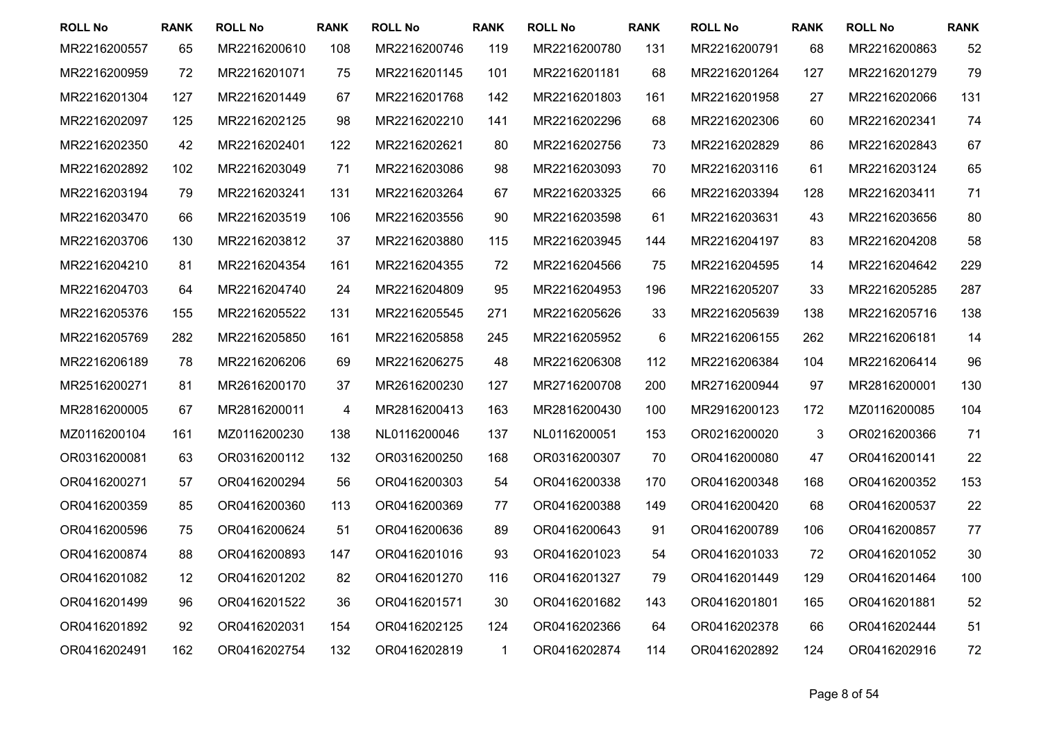| <b>ROLL No</b> | <b>RANK</b> | <b>ROLL No</b> | <b>RANK</b> | <b>ROLL No</b> | <b>RANK</b> | <b>ROLL No</b> | <b>RANK</b> | <b>ROLL No</b> | <b>RANK</b> | <b>ROLL No</b> | <b>RANK</b> |
|----------------|-------------|----------------|-------------|----------------|-------------|----------------|-------------|----------------|-------------|----------------|-------------|
| MR2216200557   | 65          | MR2216200610   | 108         | MR2216200746   | 119         | MR2216200780   | 131         | MR2216200791   | 68          | MR2216200863   | 52          |
| MR2216200959   | 72          | MR2216201071   | 75          | MR2216201145   | 101         | MR2216201181   | 68          | MR2216201264   | 127         | MR2216201279   | 79          |
| MR2216201304   | 127         | MR2216201449   | 67          | MR2216201768   | 142         | MR2216201803   | 161         | MR2216201958   | 27          | MR2216202066   | 131         |
| MR2216202097   | 125         | MR2216202125   | 98          | MR2216202210   | 141         | MR2216202296   | 68          | MR2216202306   | 60          | MR2216202341   | 74          |
| MR2216202350   | 42          | MR2216202401   | 122         | MR2216202621   | 80          | MR2216202756   | 73          | MR2216202829   | 86          | MR2216202843   | 67          |
| MR2216202892   | 102         | MR2216203049   | 71          | MR2216203086   | 98          | MR2216203093   | 70          | MR2216203116   | 61          | MR2216203124   | 65          |
| MR2216203194   | 79          | MR2216203241   | 131         | MR2216203264   | 67          | MR2216203325   | 66          | MR2216203394   | 128         | MR2216203411   | 71          |
| MR2216203470   | 66          | MR2216203519   | 106         | MR2216203556   | 90          | MR2216203598   | 61          | MR2216203631   | 43          | MR2216203656   | 80          |
| MR2216203706   | 130         | MR2216203812   | 37          | MR2216203880   | 115         | MR2216203945   | 144         | MR2216204197   | 83          | MR2216204208   | 58          |
| MR2216204210   | 81          | MR2216204354   | 161         | MR2216204355   | 72          | MR2216204566   | 75          | MR2216204595   | 14          | MR2216204642   | 229         |
| MR2216204703   | 64          | MR2216204740   | 24          | MR2216204809   | 95          | MR2216204953   | 196         | MR2216205207   | 33          | MR2216205285   | 287         |
| MR2216205376   | 155         | MR2216205522   | 131         | MR2216205545   | 271         | MR2216205626   | 33          | MR2216205639   | 138         | MR2216205716   | 138         |
| MR2216205769   | 282         | MR2216205850   | 161         | MR2216205858   | 245         | MR2216205952   | 6           | MR2216206155   | 262         | MR2216206181   | 14          |
| MR2216206189   | 78          | MR2216206206   | 69          | MR2216206275   | 48          | MR2216206308   | 112         | MR2216206384   | 104         | MR2216206414   | 96          |
| MR2516200271   | 81          | MR2616200170   | 37          | MR2616200230   | 127         | MR2716200708   | 200         | MR2716200944   | 97          | MR2816200001   | 130         |
| MR2816200005   | 67          | MR2816200011   | 4           | MR2816200413   | 163         | MR2816200430   | 100         | MR2916200123   | 172         | MZ0116200085   | 104         |
| MZ0116200104   | 161         | MZ0116200230   | 138         | NL0116200046   | 137         | NL0116200051   | 153         | OR0216200020   | 3           | OR0216200366   | 71          |
| OR0316200081   | 63          | OR0316200112   | 132         | OR0316200250   | 168         | OR0316200307   | 70          | OR0416200080   | 47          | OR0416200141   | 22          |
| OR0416200271   | 57          | OR0416200294   | 56          | OR0416200303   | 54          | OR0416200338   | 170         | OR0416200348   | 168         | OR0416200352   | 153         |
| OR0416200359   | 85          | OR0416200360   | 113         | OR0416200369   | 77          | OR0416200388   | 149         | OR0416200420   | 68          | OR0416200537   | 22          |
| OR0416200596   | 75          | OR0416200624   | 51          | OR0416200636   | 89          | OR0416200643   | 91          | OR0416200789   | 106         | OR0416200857   | 77          |
| OR0416200874   | 88          | OR0416200893   | 147         | OR0416201016   | 93          | OR0416201023   | 54          | OR0416201033   | 72          | OR0416201052   | 30          |
| OR0416201082   | 12          | OR0416201202   | 82          | OR0416201270   | 116         | OR0416201327   | 79          | OR0416201449   | 129         | OR0416201464   | 100         |
| OR0416201499   | 96          | OR0416201522   | 36          | OR0416201571   | 30          | OR0416201682   | 143         | OR0416201801   | 165         | OR0416201881   | 52          |
| OR0416201892   | 92          | OR0416202031   | 154         | OR0416202125   | 124         | OR0416202366   | 64          | OR0416202378   | 66          | OR0416202444   | 51          |
| OR0416202491   | 162         | OR0416202754   | 132         | OR0416202819   | $\mathbf 1$ | OR0416202874   | 114         | OR0416202892   | 124         | OR0416202916   | 72          |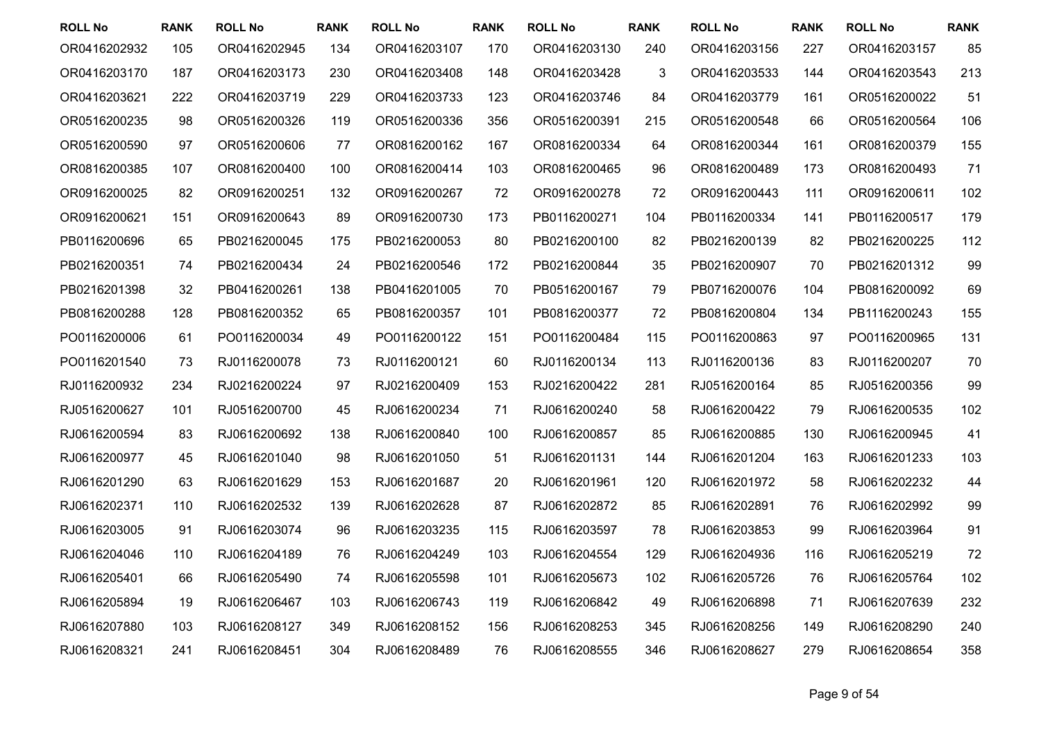| <b>ROLL No</b> | <b>RANK</b> | <b>ROLL No</b> | <b>RANK</b> | <b>ROLL No</b> | <b>RANK</b> | <b>ROLL No</b> | <b>RANK</b> | <b>ROLL No</b> | <b>RANK</b> | <b>ROLL No</b> | <b>RANK</b> |
|----------------|-------------|----------------|-------------|----------------|-------------|----------------|-------------|----------------|-------------|----------------|-------------|
| OR0416202932   | 105         | OR0416202945   | 134         | OR0416203107   | 170         | OR0416203130   | 240         | OR0416203156   | 227         | OR0416203157   | 85          |
| OR0416203170   | 187         | OR0416203173   | 230         | OR0416203408   | 148         | OR0416203428   | 3           | OR0416203533   | 144         | OR0416203543   | 213         |
| OR0416203621   | 222         | OR0416203719   | 229         | OR0416203733   | 123         | OR0416203746   | 84          | OR0416203779   | 161         | OR0516200022   | 51          |
| OR0516200235   | 98          | OR0516200326   | 119         | OR0516200336   | 356         | OR0516200391   | 215         | OR0516200548   | 66          | OR0516200564   | 106         |
| OR0516200590   | 97          | OR0516200606   | 77          | OR0816200162   | 167         | OR0816200334   | 64          | OR0816200344   | 161         | OR0816200379   | 155         |
| OR0816200385   | 107         | OR0816200400   | 100         | OR0816200414   | 103         | OR0816200465   | 96          | OR0816200489   | 173         | OR0816200493   | 71          |
| OR0916200025   | 82          | OR0916200251   | 132         | OR0916200267   | 72          | OR0916200278   | 72          | OR0916200443   | 111         | OR0916200611   | 102         |
| OR0916200621   | 151         | OR0916200643   | 89          | OR0916200730   | 173         | PB0116200271   | 104         | PB0116200334   | 141         | PB0116200517   | 179         |
| PB0116200696   | 65          | PB0216200045   | 175         | PB0216200053   | 80          | PB0216200100   | 82          | PB0216200139   | 82          | PB0216200225   | 112         |
| PB0216200351   | 74          | PB0216200434   | 24          | PB0216200546   | 172         | PB0216200844   | 35          | PB0216200907   | 70          | PB0216201312   | 99          |
| PB0216201398   | 32          | PB0416200261   | 138         | PB0416201005   | 70          | PB0516200167   | 79          | PB0716200076   | 104         | PB0816200092   | 69          |
| PB0816200288   | 128         | PB0816200352   | 65          | PB0816200357   | 101         | PB0816200377   | 72          | PB0816200804   | 134         | PB1116200243   | 155         |
| PO0116200006   | 61          | PO0116200034   | 49          | PO0116200122   | 151         | PO0116200484   | 115         | PO0116200863   | 97          | PO0116200965   | 131         |
| PO0116201540   | 73          | RJ0116200078   | 73          | RJ0116200121   | 60          | RJ0116200134   | 113         | RJ0116200136   | 83          | RJ0116200207   | 70          |
| RJ0116200932   | 234         | RJ0216200224   | 97          | RJ0216200409   | 153         | RJ0216200422   | 281         | RJ0516200164   | 85          | RJ0516200356   | 99          |
| RJ0516200627   | 101         | RJ0516200700   | 45          | RJ0616200234   | 71          | RJ0616200240   | 58          | RJ0616200422   | 79          | RJ0616200535   | 102         |
| RJ0616200594   | 83          | RJ0616200692   | 138         | RJ0616200840   | 100         | RJ0616200857   | 85          | RJ0616200885   | 130         | RJ0616200945   | 41          |
| RJ0616200977   | 45          | RJ0616201040   | 98          | RJ0616201050   | 51          | RJ0616201131   | 144         | RJ0616201204   | 163         | RJ0616201233   | 103         |
| RJ0616201290   | 63          | RJ0616201629   | 153         | RJ0616201687   | 20          | RJ0616201961   | 120         | RJ0616201972   | 58          | RJ0616202232   | 44          |
| RJ0616202371   | 110         | RJ0616202532   | 139         | RJ0616202628   | 87          | RJ0616202872   | 85          | RJ0616202891   | 76          | RJ0616202992   | 99          |
| RJ0616203005   | 91          | RJ0616203074   | 96          | RJ0616203235   | 115         | RJ0616203597   | 78          | RJ0616203853   | 99          | RJ0616203964   | 91          |
| RJ0616204046   | 110         | RJ0616204189   | 76          | RJ0616204249   | 103         | RJ0616204554   | 129         | RJ0616204936   | 116         | RJ0616205219   | 72          |
| RJ0616205401   | 66          | RJ0616205490   | 74          | RJ0616205598   | 101         | RJ0616205673   | 102         | RJ0616205726   | 76          | RJ0616205764   | 102         |
| RJ0616205894   | 19          | RJ0616206467   | 103         | RJ0616206743   | 119         | RJ0616206842   | 49          | RJ0616206898   | 71          | RJ0616207639   | 232         |
| RJ0616207880   | 103         | RJ0616208127   | 349         | RJ0616208152   | 156         | RJ0616208253   | 345         | RJ0616208256   | 149         | RJ0616208290   | 240         |
| RJ0616208321   | 241         | RJ0616208451   | 304         | RJ0616208489   | 76          | RJ0616208555   | 346         | RJ0616208627   | 279         | RJ0616208654   | 358         |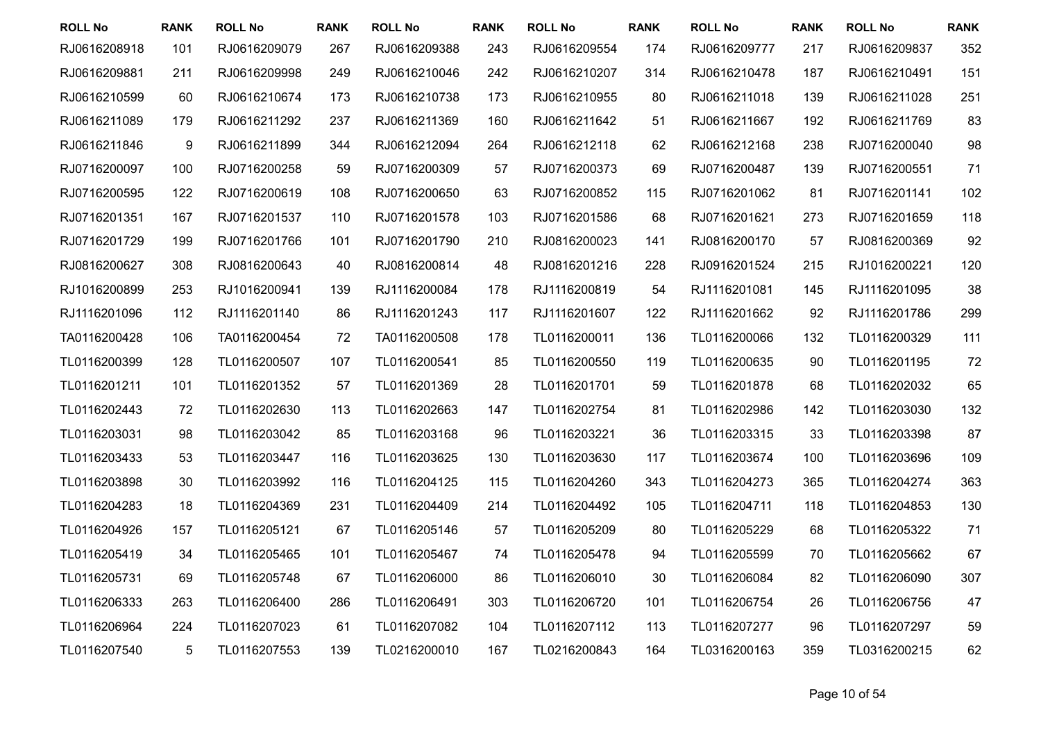| <b>ROLL No</b> | <b>RANK</b> | <b>ROLL No</b> | <b>RANK</b> | <b>ROLL No</b> | <b>RANK</b> | <b>ROLL No</b> | <b>RANK</b> | <b>ROLL No</b> | <b>RANK</b> | <b>ROLL No</b> | <b>RANK</b> |
|----------------|-------------|----------------|-------------|----------------|-------------|----------------|-------------|----------------|-------------|----------------|-------------|
| RJ0616208918   | 101         | RJ0616209079   | 267         | RJ0616209388   | 243         | RJ0616209554   | 174         | RJ0616209777   | 217         | RJ0616209837   | 352         |
| RJ0616209881   | 211         | RJ0616209998   | 249         | RJ0616210046   | 242         | RJ0616210207   | 314         | RJ0616210478   | 187         | RJ0616210491   | 151         |
| RJ0616210599   | 60          | RJ0616210674   | 173         | RJ0616210738   | 173         | RJ0616210955   | 80          | RJ0616211018   | 139         | RJ0616211028   | 251         |
| RJ0616211089   | 179         | RJ0616211292   | 237         | RJ0616211369   | 160         | RJ0616211642   | 51          | RJ0616211667   | 192         | RJ0616211769   | 83          |
| RJ0616211846   | 9           | RJ0616211899   | 344         | RJ0616212094   | 264         | RJ0616212118   | 62          | RJ0616212168   | 238         | RJ0716200040   | 98          |
| RJ0716200097   | 100         | RJ0716200258   | 59          | RJ0716200309   | 57          | RJ0716200373   | 69          | RJ0716200487   | 139         | RJ0716200551   | 71          |
| RJ0716200595   | 122         | RJ0716200619   | 108         | RJ0716200650   | 63          | RJ0716200852   | 115         | RJ0716201062   | 81          | RJ0716201141   | 102         |
| RJ0716201351   | 167         | RJ0716201537   | 110         | RJ0716201578   | 103         | RJ0716201586   | 68          | RJ0716201621   | 273         | RJ0716201659   | 118         |
| RJ0716201729   | 199         | RJ0716201766   | 101         | RJ0716201790   | 210         | RJ0816200023   | 141         | RJ0816200170   | 57          | RJ0816200369   | 92          |
| RJ0816200627   | 308         | RJ0816200643   | 40          | RJ0816200814   | 48          | RJ0816201216   | 228         | RJ0916201524   | 215         | RJ1016200221   | 120         |
| RJ1016200899   | 253         | RJ1016200941   | 139         | RJ1116200084   | 178         | RJ1116200819   | 54          | RJ1116201081   | 145         | RJ1116201095   | 38          |
| RJ1116201096   | 112         | RJ1116201140   | 86          | RJ1116201243   | 117         | RJ1116201607   | 122         | RJ1116201662   | 92          | RJ1116201786   | 299         |
| TA0116200428   | 106         | TA0116200454   | 72          | TA0116200508   | 178         | TL0116200011   | 136         | TL0116200066   | 132         | TL0116200329   | 111         |
| TL0116200399   | 128         | TL0116200507   | 107         | TL0116200541   | 85          | TL0116200550   | 119         | TL0116200635   | 90          | TL0116201195   | 72          |
| TL0116201211   | 101         | TL0116201352   | 57          | TL0116201369   | 28          | TL0116201701   | 59          | TL0116201878   | 68          | TL0116202032   | 65          |
| TL0116202443   | 72          | TL0116202630   | 113         | TL0116202663   | 147         | TL0116202754   | 81          | TL0116202986   | 142         | TL0116203030   | 132         |
| TL0116203031   | 98          | TL0116203042   | 85          | TL0116203168   | 96          | TL0116203221   | 36          | TL0116203315   | 33          | TL0116203398   | 87          |
| TL0116203433   | 53          | TL0116203447   | 116         | TL0116203625   | 130         | TL0116203630   | 117         | TL0116203674   | 100         | TL0116203696   | 109         |
| TL0116203898   | 30          | TL0116203992   | 116         | TL0116204125   | 115         | TL0116204260   | 343         | TL0116204273   | 365         | TL0116204274   | 363         |
| TL0116204283   | 18          | TL0116204369   | 231         | TL0116204409   | 214         | TL0116204492   | 105         | TL0116204711   | 118         | TL0116204853   | 130         |
| TL0116204926   | 157         | TL0116205121   | 67          | TL0116205146   | 57          | TL0116205209   | 80          | TL0116205229   | 68          | TL0116205322   | 71          |
| TL0116205419   | 34          | TL0116205465   | 101         | TL0116205467   | 74          | TL0116205478   | 94          | TL0116205599   | 70          | TL0116205662   | 67          |
| TL0116205731   | 69          | TL0116205748   | 67          | TL0116206000   | 86          | TL0116206010   | 30          | TL0116206084   | 82          | TL0116206090   | 307         |
| TL0116206333   | 263         | TL0116206400   | 286         | TL0116206491   | 303         | TL0116206720   | 101         | TL0116206754   | 26          | TL0116206756   | 47          |
| TL0116206964   | 224         | TL0116207023   | 61          | TL0116207082   | 104         | TL0116207112   | 113         | TL0116207277   | 96          | TL0116207297   | 59          |
| TL0116207540   | 5           | TL0116207553   | 139         | TL0216200010   | 167         | TL0216200843   | 164         | TL0316200163   | 359         | TL0316200215   | 62          |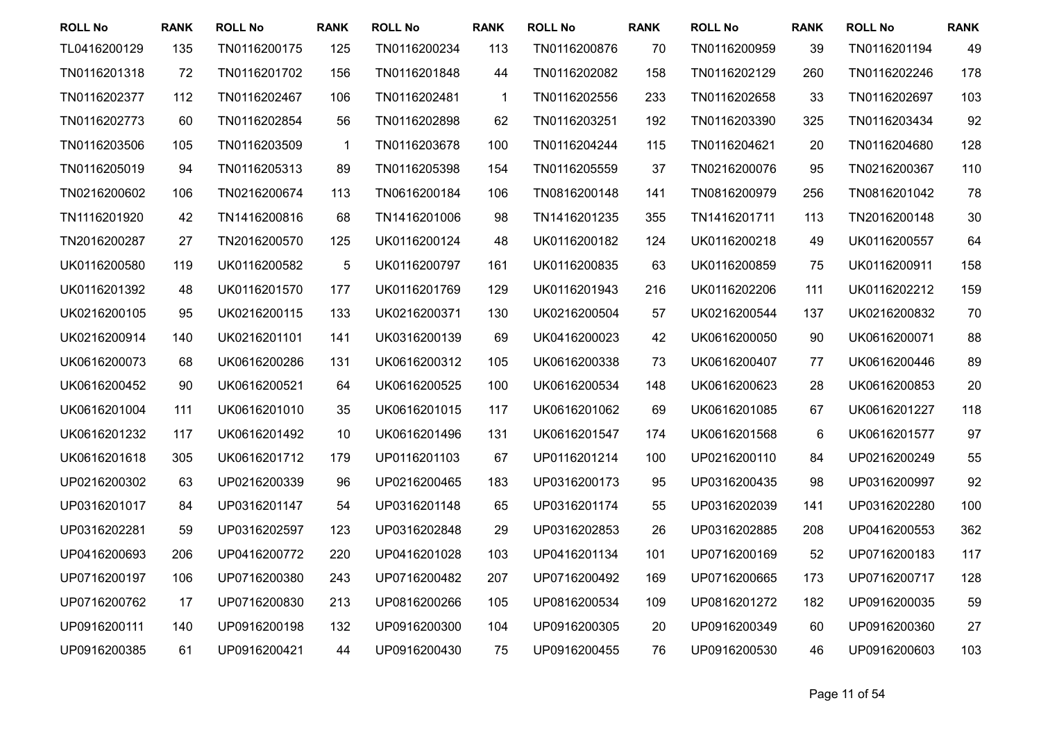| <b>ROLL No</b> | <b>RANK</b> | <b>ROLL No</b> | <b>RANK</b>  | <b>ROLL No</b> | <b>RANK</b>  | <b>ROLL No</b> | <b>RANK</b> | <b>ROLL No</b> | <b>RANK</b> | <b>ROLL No</b> | <b>RANK</b> |
|----------------|-------------|----------------|--------------|----------------|--------------|----------------|-------------|----------------|-------------|----------------|-------------|
| TL0416200129   | 135         | TN0116200175   | 125          | TN0116200234   | 113          | TN0116200876   | 70          | TN0116200959   | 39          | TN0116201194   | 49          |
| TN0116201318   | 72          | TN0116201702   | 156          | TN0116201848   | 44           | TN0116202082   | 158         | TN0116202129   | 260         | TN0116202246   | 178         |
| TN0116202377   | 112         | TN0116202467   | 106          | TN0116202481   | $\mathbf{1}$ | TN0116202556   | 233         | TN0116202658   | 33          | TN0116202697   | 103         |
| TN0116202773   | 60          | TN0116202854   | 56           | TN0116202898   | 62           | TN0116203251   | 192         | TN0116203390   | 325         | TN0116203434   | 92          |
| TN0116203506   | 105         | TN0116203509   | $\mathbf{1}$ | TN0116203678   | 100          | TN0116204244   | 115         | TN0116204621   | 20          | TN0116204680   | 128         |
| TN0116205019   | 94          | TN0116205313   | 89           | TN0116205398   | 154          | TN0116205559   | 37          | TN0216200076   | 95          | TN0216200367   | 110         |
| TN0216200602   | 106         | TN0216200674   | 113          | TN0616200184   | 106          | TN0816200148   | 141         | TN0816200979   | 256         | TN0816201042   | 78          |
| TN1116201920   | 42          | TN1416200816   | 68           | TN1416201006   | 98           | TN1416201235   | 355         | TN1416201711   | 113         | TN2016200148   | 30          |
| TN2016200287   | 27          | TN2016200570   | 125          | UK0116200124   | 48           | UK0116200182   | 124         | UK0116200218   | 49          | UK0116200557   | 64          |
| UK0116200580   | 119         | UK0116200582   | $\mathbf 5$  | UK0116200797   | 161          | UK0116200835   | 63          | UK0116200859   | 75          | UK0116200911   | 158         |
| UK0116201392   | 48          | UK0116201570   | 177          | UK0116201769   | 129          | UK0116201943   | 216         | UK0116202206   | 111         | UK0116202212   | 159         |
| UK0216200105   | 95          | UK0216200115   | 133          | UK0216200371   | 130          | UK0216200504   | 57          | UK0216200544   | 137         | UK0216200832   | 70          |
| UK0216200914   | 140         | UK0216201101   | 141          | UK0316200139   | 69           | UK0416200023   | 42          | UK0616200050   | 90          | UK0616200071   | 88          |
| UK0616200073   | 68          | UK0616200286   | 131          | UK0616200312   | 105          | UK0616200338   | 73          | UK0616200407   | 77          | UK0616200446   | 89          |
| UK0616200452   | 90          | UK0616200521   | 64           | UK0616200525   | 100          | UK0616200534   | 148         | UK0616200623   | 28          | UK0616200853   | 20          |
| UK0616201004   | 111         | UK0616201010   | 35           | UK0616201015   | 117          | UK0616201062   | 69          | UK0616201085   | 67          | UK0616201227   | 118         |
| UK0616201232   | 117         | UK0616201492   | 10           | UK0616201496   | 131          | UK0616201547   | 174         | UK0616201568   | $\,6$       | UK0616201577   | 97          |
| UK0616201618   | 305         | UK0616201712   | 179          | UP0116201103   | 67           | UP0116201214   | 100         | UP0216200110   | 84          | UP0216200249   | 55          |
| UP0216200302   | 63          | UP0216200339   | 96           | UP0216200465   | 183          | UP0316200173   | 95          | UP0316200435   | 98          | UP0316200997   | 92          |
| UP0316201017   | 84          | UP0316201147   | 54           | UP0316201148   | 65           | UP0316201174   | 55          | UP0316202039   | 141         | UP0316202280   | 100         |
| UP0316202281   | 59          | UP0316202597   | 123          | UP0316202848   | 29           | UP0316202853   | 26          | UP0316202885   | 208         | UP0416200553   | 362         |
| UP0416200693   | 206         | UP0416200772   | 220          | UP0416201028   | 103          | UP0416201134   | 101         | UP0716200169   | 52          | UP0716200183   | 117         |
| UP0716200197   | 106         | UP0716200380   | 243          | UP0716200482   | 207          | UP0716200492   | 169         | UP0716200665   | 173         | UP0716200717   | 128         |
| UP0716200762   | 17          | UP0716200830   | 213          | UP0816200266   | 105          | UP0816200534   | 109         | UP0816201272   | 182         | UP0916200035   | 59          |
| UP0916200111   | 140         | UP0916200198   | 132          | UP0916200300   | 104          | UP0916200305   | 20          | UP0916200349   | 60          | UP0916200360   | 27          |
| UP0916200385   | 61          | UP0916200421   | 44           | UP0916200430   | 75           | UP0916200455   | 76          | UP0916200530   | 46          | UP0916200603   | 103         |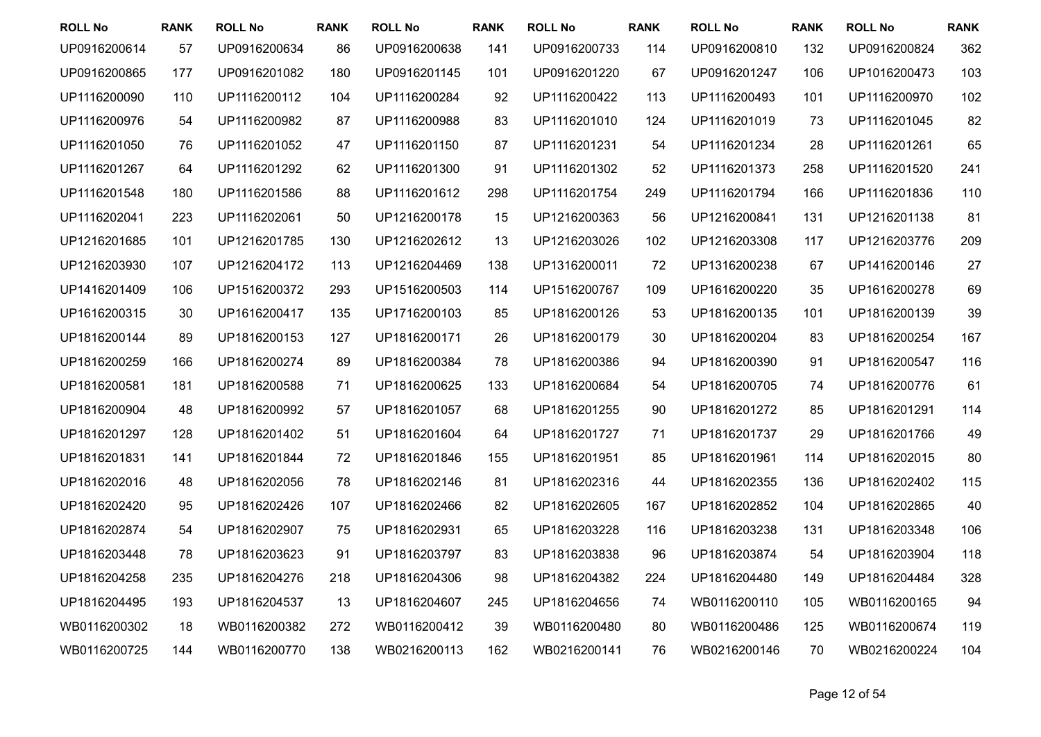| <b>ROLL No</b> | <b>RANK</b> | <b>ROLL No</b> | <b>RANK</b> | <b>ROLL No</b> | <b>RANK</b> | <b>ROLL No</b> | <b>RANK</b> | <b>ROLL No</b> | <b>RANK</b> | <b>ROLL No</b> | <b>RANK</b> |
|----------------|-------------|----------------|-------------|----------------|-------------|----------------|-------------|----------------|-------------|----------------|-------------|
| UP0916200614   | 57          | UP0916200634   | 86          | UP0916200638   | 141         | UP0916200733   | 114         | UP0916200810   | 132         | UP0916200824   | 362         |
| UP0916200865   | 177         | UP0916201082   | 180         | UP0916201145   | 101         | UP0916201220   | 67          | UP0916201247   | 106         | UP1016200473   | 103         |
| UP1116200090   | 110         | UP1116200112   | 104         | UP1116200284   | 92          | UP1116200422   | 113         | UP1116200493   | 101         | UP1116200970   | 102         |
| UP1116200976   | 54          | UP1116200982   | 87          | UP1116200988   | 83          | UP1116201010   | 124         | UP1116201019   | 73          | UP1116201045   | 82          |
| UP1116201050   | 76          | UP1116201052   | 47          | UP1116201150   | 87          | UP1116201231   | 54          | UP1116201234   | 28          | UP1116201261   | 65          |
| UP1116201267   | 64          | UP1116201292   | 62          | UP1116201300   | 91          | UP1116201302   | 52          | UP1116201373   | 258         | UP1116201520   | 241         |
| UP1116201548   | 180         | UP1116201586   | 88          | UP1116201612   | 298         | UP1116201754   | 249         | UP1116201794   | 166         | UP1116201836   | 110         |
| UP1116202041   | 223         | UP1116202061   | 50          | UP1216200178   | 15          | UP1216200363   | 56          | UP1216200841   | 131         | UP1216201138   | 81          |
| UP1216201685   | 101         | UP1216201785   | 130         | UP1216202612   | 13          | UP1216203026   | 102         | UP1216203308   | 117         | UP1216203776   | 209         |
| UP1216203930   | 107         | UP1216204172   | 113         | UP1216204469   | 138         | UP1316200011   | 72          | UP1316200238   | 67          | UP1416200146   | 27          |
| UP1416201409   | 106         | UP1516200372   | 293         | UP1516200503   | 114         | UP1516200767   | 109         | UP1616200220   | 35          | UP1616200278   | 69          |
| UP1616200315   | 30          | UP1616200417   | 135         | UP1716200103   | 85          | UP1816200126   | 53          | UP1816200135   | 101         | UP1816200139   | 39          |
| UP1816200144   | 89          | UP1816200153   | 127         | UP1816200171   | 26          | UP1816200179   | 30          | UP1816200204   | 83          | UP1816200254   | 167         |
| UP1816200259   | 166         | UP1816200274   | 89          | UP1816200384   | 78          | UP1816200386   | 94          | UP1816200390   | 91          | UP1816200547   | 116         |
| UP1816200581   | 181         | UP1816200588   | 71          | UP1816200625   | 133         | UP1816200684   | 54          | UP1816200705   | 74          | UP1816200776   | 61          |
| UP1816200904   | 48          | UP1816200992   | 57          | UP1816201057   | 68          | UP1816201255   | 90          | UP1816201272   | 85          | UP1816201291   | 114         |
| UP1816201297   | 128         | UP1816201402   | 51          | UP1816201604   | 64          | UP1816201727   | 71          | UP1816201737   | 29          | UP1816201766   | 49          |
| UP1816201831   | 141         | UP1816201844   | 72          | UP1816201846   | 155         | UP1816201951   | 85          | UP1816201961   | 114         | UP1816202015   | 80          |
| UP1816202016   | 48          | UP1816202056   | 78          | UP1816202146   | 81          | UP1816202316   | 44          | UP1816202355   | 136         | UP1816202402   | 115         |
| UP1816202420   | 95          | UP1816202426   | 107         | UP1816202466   | 82          | UP1816202605   | 167         | UP1816202852   | 104         | UP1816202865   | 40          |
| UP1816202874   | 54          | UP1816202907   | 75          | UP1816202931   | 65          | UP1816203228   | 116         | UP1816203238   | 131         | UP1816203348   | 106         |
| UP1816203448   | 78          | UP1816203623   | 91          | UP1816203797   | 83          | UP1816203838   | 96          | UP1816203874   | 54          | UP1816203904   | 118         |
| UP1816204258   | 235         | UP1816204276   | 218         | UP1816204306   | 98          | UP1816204382   | 224         | UP1816204480   | 149         | UP1816204484   | 328         |
| UP1816204495   | 193         | UP1816204537   | 13          | UP1816204607   | 245         | UP1816204656   | 74          | WB0116200110   | 105         | WB0116200165   | 94          |
| WB0116200302   | 18          | WB0116200382   | 272         | WB0116200412   | 39          | WB0116200480   | 80          | WB0116200486   | 125         | WB0116200674   | 119         |
| WB0116200725   | 144         | WB0116200770   | 138         | WB0216200113   | 162         | WB0216200141   | 76          | WB0216200146   | 70          | WB0216200224   | 104         |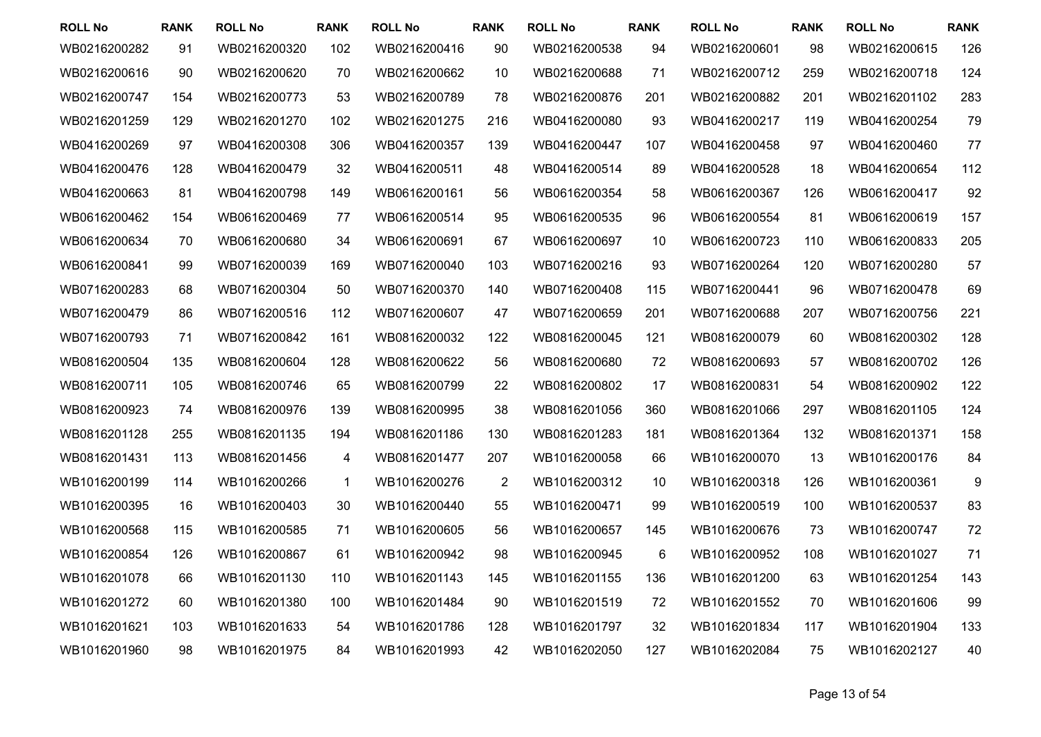| <b>ROLL No</b> | <b>RANK</b> | <b>ROLL No</b> | <b>RANK</b>  | <b>ROLL No</b> | <b>RANK</b>    | <b>ROLL No</b> | <b>RANK</b> | <b>ROLL No</b> | <b>RANK</b> | <b>ROLL No</b> | <b>RANK</b> |
|----------------|-------------|----------------|--------------|----------------|----------------|----------------|-------------|----------------|-------------|----------------|-------------|
| WB0216200282   | 91          | WB0216200320   | 102          | WB0216200416   | 90             | WB0216200538   | 94          | WB0216200601   | 98          | WB0216200615   | 126         |
| WB0216200616   | 90          | WB0216200620   | 70           | WB0216200662   | 10             | WB0216200688   | 71          | WB0216200712   | 259         | WB0216200718   | 124         |
| WB0216200747   | 154         | WB0216200773   | 53           | WB0216200789   | 78             | WB0216200876   | 201         | WB0216200882   | 201         | WB0216201102   | 283         |
| WB0216201259   | 129         | WB0216201270   | 102          | WB0216201275   | 216            | WB0416200080   | 93          | WB0416200217   | 119         | WB0416200254   | 79          |
| WB0416200269   | 97          | WB0416200308   | 306          | WB0416200357   | 139            | WB0416200447   | 107         | WB0416200458   | 97          | WB0416200460   | 77          |
| WB0416200476   | 128         | WB0416200479   | 32           | WB0416200511   | 48             | WB0416200514   | 89          | WB0416200528   | 18          | WB0416200654   | 112         |
| WB0416200663   | 81          | WB0416200798   | 149          | WB0616200161   | 56             | WB0616200354   | 58          | WB0616200367   | 126         | WB0616200417   | 92          |
| WB0616200462   | 154         | WB0616200469   | 77           | WB0616200514   | 95             | WB0616200535   | 96          | WB0616200554   | 81          | WB0616200619   | 157         |
| WB0616200634   | 70          | WB0616200680   | 34           | WB0616200691   | 67             | WB0616200697   | 10          | WB0616200723   | 110         | WB0616200833   | 205         |
| WB0616200841   | 99          | WB0716200039   | 169          | WB0716200040   | 103            | WB0716200216   | 93          | WB0716200264   | 120         | WB0716200280   | 57          |
| WB0716200283   | 68          | WB0716200304   | 50           | WB0716200370   | 140            | WB0716200408   | 115         | WB0716200441   | 96          | WB0716200478   | 69          |
| WB0716200479   | 86          | WB0716200516   | 112          | WB0716200607   | 47             | WB0716200659   | 201         | WB0716200688   | 207         | WB0716200756   | 221         |
| WB0716200793   | 71          | WB0716200842   | 161          | WB0816200032   | 122            | WB0816200045   | 121         | WB0816200079   | 60          | WB0816200302   | 128         |
| WB0816200504   | 135         | WB0816200604   | 128          | WB0816200622   | 56             | WB0816200680   | 72          | WB0816200693   | 57          | WB0816200702   | 126         |
| WB0816200711   | 105         | WB0816200746   | 65           | WB0816200799   | 22             | WB0816200802   | 17          | WB0816200831   | 54          | WB0816200902   | 122         |
| WB0816200923   | 74          | WB0816200976   | 139          | WB0816200995   | 38             | WB0816201056   | 360         | WB0816201066   | 297         | WB0816201105   | 124         |
| WB0816201128   | 255         | WB0816201135   | 194          | WB0816201186   | 130            | WB0816201283   | 181         | WB0816201364   | 132         | WB0816201371   | 158         |
| WB0816201431   | 113         | WB0816201456   | 4            | WB0816201477   | 207            | WB1016200058   | 66          | WB1016200070   | 13          | WB1016200176   | 84          |
| WB1016200199   | 114         | WB1016200266   | $\mathbf{1}$ | WB1016200276   | $\overline{2}$ | WB1016200312   | 10          | WB1016200318   | 126         | WB1016200361   | 9           |
| WB1016200395   | 16          | WB1016200403   | 30           | WB1016200440   | 55             | WB1016200471   | 99          | WB1016200519   | 100         | WB1016200537   | 83          |
| WB1016200568   | 115         | WB1016200585   | 71           | WB1016200605   | 56             | WB1016200657   | 145         | WB1016200676   | 73          | WB1016200747   | 72          |
| WB1016200854   | 126         | WB1016200867   | 61           | WB1016200942   | 98             | WB1016200945   | 6           | WB1016200952   | 108         | WB1016201027   | 71          |
| WB1016201078   | 66          | WB1016201130   | 110          | WB1016201143   | 145            | WB1016201155   | 136         | WB1016201200   | 63          | WB1016201254   | 143         |
| WB1016201272   | 60          | WB1016201380   | 100          | WB1016201484   | 90             | WB1016201519   | 72          | WB1016201552   | 70          | WB1016201606   | 99          |
| WB1016201621   | 103         | WB1016201633   | 54           | WB1016201786   | 128            | WB1016201797   | 32          | WB1016201834   | 117         | WB1016201904   | 133         |
| WB1016201960   | 98          | WB1016201975   | 84           | WB1016201993   | 42             | WB1016202050   | 127         | WB1016202084   | 75          | WB1016202127   | 40          |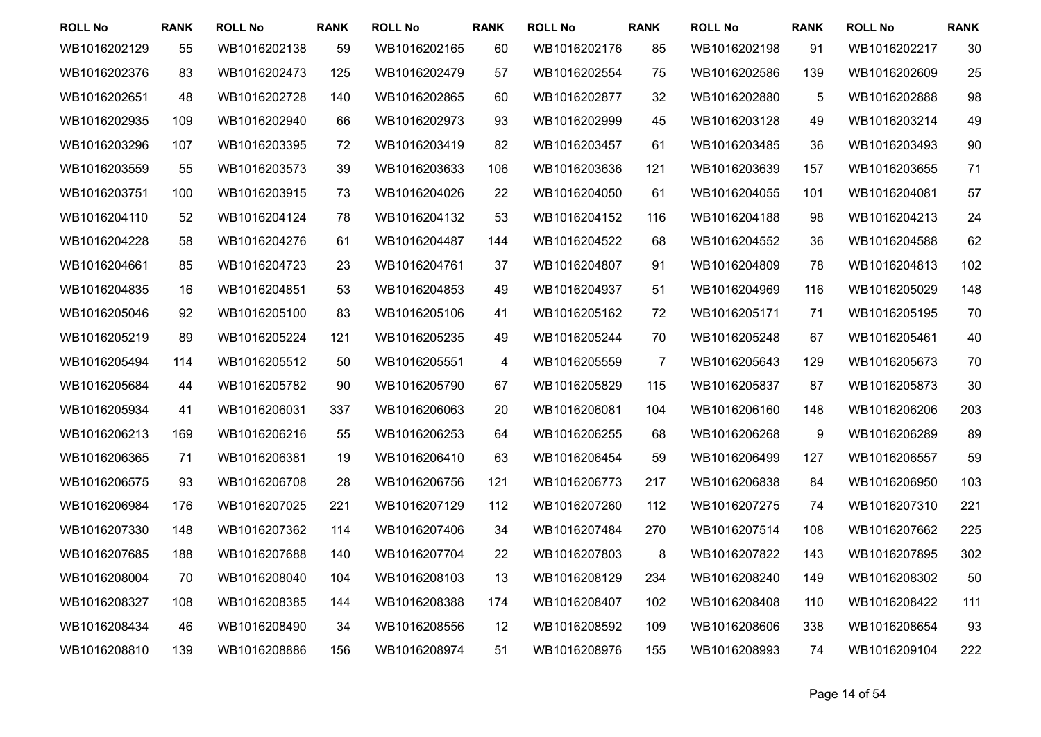| <b>ROLL No</b> | <b>RANK</b> | <b>ROLL No</b> | <b>RANK</b> | <b>ROLL No</b> | <b>RANK</b> | <b>ROLL No</b> | <b>RANK</b> | <b>ROLL No</b> | <b>RANK</b> | <b>ROLL No</b> | <b>RANK</b> |
|----------------|-------------|----------------|-------------|----------------|-------------|----------------|-------------|----------------|-------------|----------------|-------------|
| WB1016202129   | 55          | WB1016202138   | 59          | WB1016202165   | 60          | WB1016202176   | 85          | WB1016202198   | 91          | WB1016202217   | 30          |
| WB1016202376   | 83          | WB1016202473   | 125         | WB1016202479   | 57          | WB1016202554   | 75          | WB1016202586   | 139         | WB1016202609   | 25          |
| WB1016202651   | 48          | WB1016202728   | 140         | WB1016202865   | 60          | WB1016202877   | 32          | WB1016202880   | 5           | WB1016202888   | 98          |
| WB1016202935   | 109         | WB1016202940   | 66          | WB1016202973   | 93          | WB1016202999   | 45          | WB1016203128   | 49          | WB1016203214   | 49          |
| WB1016203296   | 107         | WB1016203395   | 72          | WB1016203419   | 82          | WB1016203457   | 61          | WB1016203485   | 36          | WB1016203493   | 90          |
| WB1016203559   | 55          | WB1016203573   | 39          | WB1016203633   | 106         | WB1016203636   | 121         | WB1016203639   | 157         | WB1016203655   | 71          |
| WB1016203751   | 100         | WB1016203915   | 73          | WB1016204026   | 22          | WB1016204050   | 61          | WB1016204055   | 101         | WB1016204081   | 57          |
| WB1016204110   | 52          | WB1016204124   | 78          | WB1016204132   | 53          | WB1016204152   | 116         | WB1016204188   | 98          | WB1016204213   | 24          |
| WB1016204228   | 58          | WB1016204276   | 61          | WB1016204487   | 144         | WB1016204522   | 68          | WB1016204552   | 36          | WB1016204588   | 62          |
| WB1016204661   | 85          | WB1016204723   | 23          | WB1016204761   | 37          | WB1016204807   | 91          | WB1016204809   | 78          | WB1016204813   | 102         |
| WB1016204835   | 16          | WB1016204851   | 53          | WB1016204853   | 49          | WB1016204937   | 51          | WB1016204969   | 116         | WB1016205029   | 148         |
| WB1016205046   | 92          | WB1016205100   | 83          | WB1016205106   | 41          | WB1016205162   | 72          | WB1016205171   | 71          | WB1016205195   | 70          |
| WB1016205219   | 89          | WB1016205224   | 121         | WB1016205235   | 49          | WB1016205244   | 70          | WB1016205248   | 67          | WB1016205461   | 40          |
| WB1016205494   | 114         | WB1016205512   | 50          | WB1016205551   | 4           | WB1016205559   | 7           | WB1016205643   | 129         | WB1016205673   | 70          |
| WB1016205684   | 44          | WB1016205782   | 90          | WB1016205790   | 67          | WB1016205829   | 115         | WB1016205837   | 87          | WB1016205873   | 30          |
| WB1016205934   | 41          | WB1016206031   | 337         | WB1016206063   | 20          | WB1016206081   | 104         | WB1016206160   | 148         | WB1016206206   | 203         |
| WB1016206213   | 169         | WB1016206216   | 55          | WB1016206253   | 64          | WB1016206255   | 68          | WB1016206268   | 9           | WB1016206289   | 89          |
| WB1016206365   | 71          | WB1016206381   | 19          | WB1016206410   | 63          | WB1016206454   | 59          | WB1016206499   | 127         | WB1016206557   | 59          |
| WB1016206575   | 93          | WB1016206708   | 28          | WB1016206756   | 121         | WB1016206773   | 217         | WB1016206838   | 84          | WB1016206950   | 103         |
| WB1016206984   | 176         | WB1016207025   | 221         | WB1016207129   | 112         | WB1016207260   | 112         | WB1016207275   | 74          | WB1016207310   | 221         |
| WB1016207330   | 148         | WB1016207362   | 114         | WB1016207406   | 34          | WB1016207484   | 270         | WB1016207514   | 108         | WB1016207662   | 225         |
| WB1016207685   | 188         | WB1016207688   | 140         | WB1016207704   | 22          | WB1016207803   | 8           | WB1016207822   | 143         | WB1016207895   | 302         |
| WB1016208004   | 70          | WB1016208040   | 104         | WB1016208103   | 13          | WB1016208129   | 234         | WB1016208240   | 149         | WB1016208302   | 50          |
| WB1016208327   | 108         | WB1016208385   | 144         | WB1016208388   | 174         | WB1016208407   | 102         | WB1016208408   | 110         | WB1016208422   | 111         |
| WB1016208434   | 46          | WB1016208490   | 34          | WB1016208556   | 12          | WB1016208592   | 109         | WB1016208606   | 338         | WB1016208654   | 93          |
| WB1016208810   | 139         | WB1016208886   | 156         | WB1016208974   | 51          | WB1016208976   | 155         | WB1016208993   | 74          | WB1016209104   | 222         |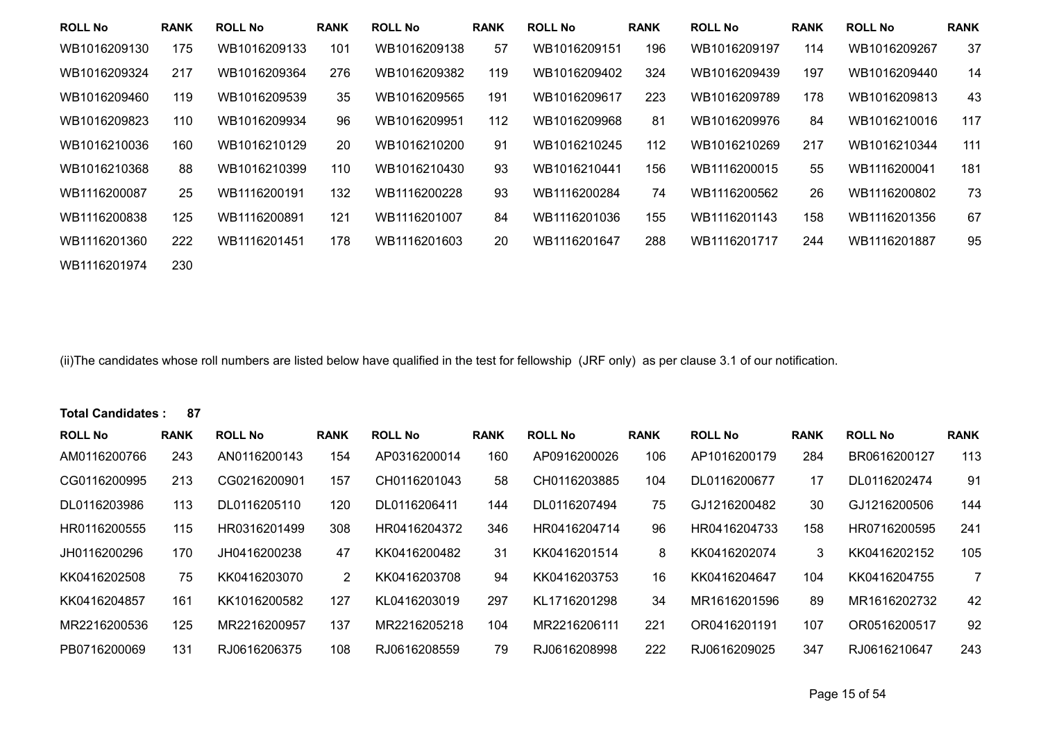| <b>ROLL No</b> | <b>RANK</b> | <b>ROLL No</b> | <b>RANK</b> | <b>ROLL No</b> | <b>RANK</b> | <b>ROLL No</b> | <b>RANK</b> | <b>ROLL No</b> | <b>RANK</b> | <b>ROLL No</b> | <b>RANK</b> |
|----------------|-------------|----------------|-------------|----------------|-------------|----------------|-------------|----------------|-------------|----------------|-------------|
| WB1016209130   | 175         | WB1016209133   | 101         | WB1016209138   | 57          | WB1016209151   | 196         | WB1016209197   | 114         | WB1016209267   | 37          |
| WB1016209324   | 217         | WB1016209364   | 276         | WB1016209382   | 119         | WB1016209402   | 324         | WB1016209439   | 197         | WB1016209440   | 14          |
| WB1016209460   | 119         | WB1016209539   | 35          | WB1016209565   | 191         | WB1016209617   | 223         | WB1016209789   | 178         | WB1016209813   | 43          |
| WB1016209823   | 110         | WB1016209934   | 96          | WB1016209951   | 112         | WB1016209968   | 81          | WB1016209976   | 84          | WB1016210016   | 117         |
| WB1016210036   | 160         | WB1016210129   | 20          | WB1016210200   | 91          | WB1016210245   | 112         | WB1016210269   | 217         | WB1016210344   | 111         |
| WB1016210368   | 88          | WB1016210399   | 110         | WB1016210430   | 93          | WB1016210441   | 156         | WB1116200015   | 55          | WB1116200041   | 181         |
| WB1116200087   | 25          | WB1116200191   | 132         | WB1116200228   | 93          | WB1116200284   | 74          | WB1116200562   | 26          | WB1116200802   | 73          |
| WB1116200838   | 125         | WB1116200891   | 121         | WB1116201007   | 84          | WB1116201036   | 155         | WB1116201143   | 158         | WB1116201356   | 67          |
| WB1116201360   | 222         | WB1116201451   | 178         | WB1116201603   | 20          | WB1116201647   | 288         | WB1116201717   | 244         | WB1116201887   | 95          |
| WB1116201974   | 230         |                |             |                |             |                |             |                |             |                |             |

(ii)The candidates whose roll numbers are listed below have qualified in the test for fellowship (JRF only) as per clause 3.1 of our notification.

## **Total Candidates : 87**

| <b>ROLL No</b> | <b>RANK</b> | <b>ROLL No</b> | <b>RANK</b> | <b>ROLL No</b> | <b>RANK</b> | <b>ROLL No</b> | <b>RANK</b> | <b>ROLL No</b> | <b>RANK</b> | <b>ROLL No</b> | <b>RANK</b>    |
|----------------|-------------|----------------|-------------|----------------|-------------|----------------|-------------|----------------|-------------|----------------|----------------|
| AM0116200766   | 243         | AN0116200143   | 154         | AP0316200014   | 160         | AP0916200026   | 106         | AP1016200179   | 284         | BR0616200127   | 113            |
| CG0116200995   | 213         | CG0216200901   | 157         | CH0116201043   | 58          | CH0116203885   | 104         | DL0116200677   | 17          | DL0116202474   | 91             |
| DL0116203986   | 113         | DL0116205110   | 120         | DL0116206411   | 144         | DL0116207494   | 75          | GJ1216200482   | 30          | GJ1216200506   | 144            |
| HR0116200555   | 115         | HR0316201499   | 308         | HR0416204372   | 346         | HR0416204714   | 96          | HR0416204733   | 158         | HR0716200595   | 241            |
| JH0116200296   | 170         | JH0416200238   | 47          | KK0416200482   | 31          | KK0416201514   | 8           | KK0416202074   | 3           | KK0416202152   | 105            |
| KK0416202508   | 75          | KK0416203070   | 2           | KK0416203708   | 94          | KK0416203753   | 16          | KK0416204647   | 104         | KK0416204755   | $\overline{7}$ |
| KK0416204857   | 161         | KK1016200582   | 127         | KL0416203019   | 297         | KL1716201298   | 34          | MR1616201596   | 89          | MR1616202732   | 42             |
| MR2216200536   | 125         | MR2216200957   | 137         | MR2216205218   | 104         | MR2216206111   | 221         | OR0416201191   | 107         | OR0516200517   | 92             |
| PB0716200069   | 131         | RJ0616206375   | 108         | RJ0616208559   | 79          | RJ0616208998   | 222         | RJ0616209025   | 347         | RJ0616210647   | 243            |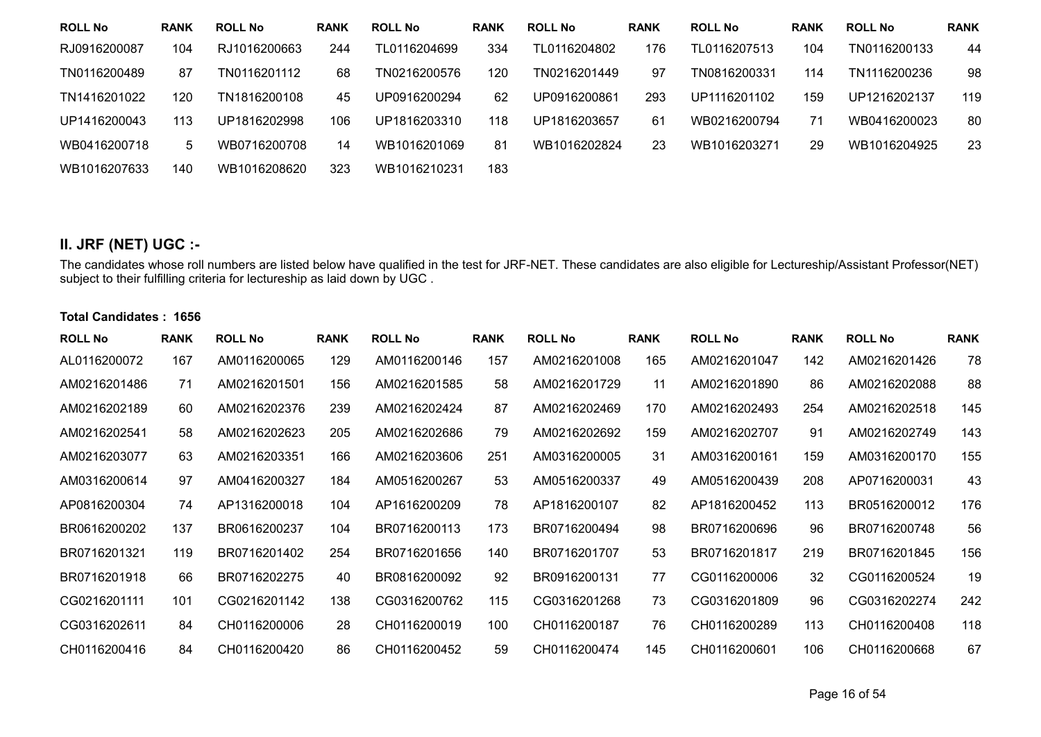| <b>ROLL No</b> | <b>RANK</b> | <b>ROLL No</b> | <b>RANK</b> | <b>ROLL No</b> | <b>RANK</b> | <b>ROLL No</b> | <b>RANK</b> | <b>ROLL No</b> | <b>RANK</b> | <b>ROLL No</b> | <b>RANK</b> |
|----------------|-------------|----------------|-------------|----------------|-------------|----------------|-------------|----------------|-------------|----------------|-------------|
| RJ0916200087   | 104         | RJ1016200663   | 244         | TL0116204699   | 334         | TL0116204802   | 176         | TL0116207513   | 104         | TN0116200133   | 44          |
| TN0116200489   | 87          | TN0116201112   | 68          | TN0216200576   | 120         | TN0216201449   | 97          | TN0816200331   | 114         | TN1116200236   | 98          |
| TN1416201022   | 120         | TN1816200108   | 45          | UP0916200294   | 62          | UP0916200861   | 293         | UP1116201102   | 159         | UP1216202137   | 119         |
| UP1416200043   | 113         | UP1816202998   | 106         | UP1816203310   | 118         | UP1816203657   | 61          | WB0216200794   | 71          | WB0416200023   | 80          |
| WB0416200718   | 5           | WB0716200708   | 14          | WB1016201069   | 81          | WB1016202824   | 23          | WB1016203271   | 29          | WB1016204925   | 23          |
| WB1016207633   | 140         | WB1016208620   | 323         | WB1016210231   | 183         |                |             |                |             |                |             |

## **II. JRF (NET) UGC :-**

The candidates whose roll numbers are listed below have qualified in the test for JRF-NET. These candidates are also eligible for Lectureship/Assistant Professor(NET) subject to their fulfilling criteria for lectureship as laid down by UGC .

## **Total Candidates : 1656**

| <b>ROLL No</b> | <b>RANK</b> | <b>ROLL No</b> | <b>RANK</b> | <b>ROLL No</b> | <b>RANK</b> | <b>ROLL No</b> | <b>RANK</b> | <b>ROLL No</b> | <b>RANK</b> | <b>ROLL No</b> | <b>RANK</b> |
|----------------|-------------|----------------|-------------|----------------|-------------|----------------|-------------|----------------|-------------|----------------|-------------|
| AL0116200072   | 167         | AM0116200065   | 129         | AM0116200146   | 157         | AM0216201008   | 165         | AM0216201047   | 142         | AM0216201426   | 78          |
| AM0216201486   | 71          | AM0216201501   | 156         | AM0216201585   | 58          | AM0216201729   | 11          | AM0216201890   | 86          | AM0216202088   | 88          |
| AM0216202189   | 60          | AM0216202376   | 239         | AM0216202424   | 87          | AM0216202469   | 170         | AM0216202493   | 254         | AM0216202518   | 145         |
| AM0216202541   | 58          | AM0216202623   | 205         | AM0216202686   | 79          | AM0216202692   | 159         | AM0216202707   | 91          | AM0216202749   | 143         |
| AM0216203077   | 63          | AM0216203351   | 166         | AM0216203606   | 251         | AM0316200005   | 31          | AM0316200161   | 159         | AM0316200170   | 155         |
| AM0316200614   | 97          | AM0416200327   | 184         | AM0516200267   | 53          | AM0516200337   | 49          | AM0516200439   | 208         | AP0716200031   | 43          |
| AP0816200304   | 74          | AP1316200018   | 104         | AP1616200209   | 78          | AP1816200107   | 82          | AP1816200452   | 113         | BR0516200012   | 176         |
| BR0616200202   | 137         | BR0616200237   | 104         | BR0716200113   | 173         | BR0716200494   | 98          | BR0716200696   | 96          | BR0716200748   | 56          |
| BR0716201321   | 119         | BR0716201402   | 254         | BR0716201656   | 140         | BR0716201707   | 53          | BR0716201817   | 219         | BR0716201845   | 156         |
| BR0716201918   | 66          | BR0716202275   | 40          | BR0816200092   | 92          | BR0916200131   | 77          | CG0116200006   | 32          | CG0116200524   | 19          |
| CG0216201111   | 101         | CG0216201142   | 138         | CG0316200762   | 115         | CG0316201268   | 73          | CG0316201809   | 96          | CG0316202274   | 242         |
| CG0316202611   | 84          | CH0116200006   | 28          | CH0116200019   | 100         | CH0116200187   | 76          | CH0116200289   | 113         | CH0116200408   | 118         |
| CH0116200416   | 84          | CH0116200420   | 86          | CH0116200452   | 59          | CH0116200474   | 145         | CH0116200601   | 106         | CH0116200668   | 67          |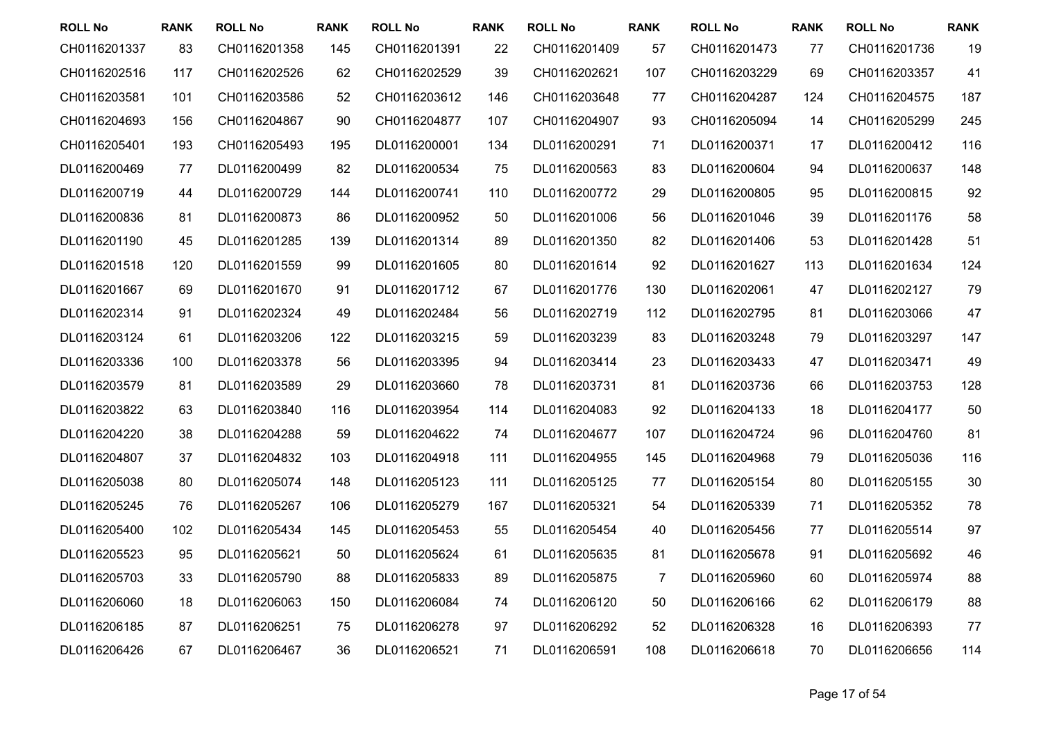| <b>ROLL No</b> | <b>RANK</b> | <b>ROLL No</b> | <b>RANK</b> | <b>ROLL No</b> | <b>RANK</b> | <b>ROLL No</b> | <b>RANK</b> | <b>ROLL No</b> | <b>RANK</b> | <b>ROLL No</b> | <b>RANK</b> |
|----------------|-------------|----------------|-------------|----------------|-------------|----------------|-------------|----------------|-------------|----------------|-------------|
| CH0116201337   | 83          | CH0116201358   | 145         | CH0116201391   | 22          | CH0116201409   | 57          | CH0116201473   | 77          | CH0116201736   | 19          |
| CH0116202516   | 117         | CH0116202526   | 62          | CH0116202529   | 39          | CH0116202621   | 107         | CH0116203229   | 69          | CH0116203357   | 41          |
| CH0116203581   | 101         | CH0116203586   | 52          | CH0116203612   | 146         | CH0116203648   | 77          | CH0116204287   | 124         | CH0116204575   | 187         |
| CH0116204693   | 156         | CH0116204867   | 90          | CH0116204877   | 107         | CH0116204907   | 93          | CH0116205094   | 14          | CH0116205299   | 245         |
| CH0116205401   | 193         | CH0116205493   | 195         | DL0116200001   | 134         | DL0116200291   | 71          | DL0116200371   | 17          | DL0116200412   | 116         |
| DL0116200469   | 77          | DL0116200499   | 82          | DL0116200534   | 75          | DL0116200563   | 83          | DL0116200604   | 94          | DL0116200637   | 148         |
| DL0116200719   | 44          | DL0116200729   | 144         | DL0116200741   | 110         | DL0116200772   | 29          | DL0116200805   | 95          | DL0116200815   | 92          |
| DL0116200836   | 81          | DL0116200873   | 86          | DL0116200952   | 50          | DL0116201006   | 56          | DL0116201046   | 39          | DL0116201176   | 58          |
| DL0116201190   | 45          | DL0116201285   | 139         | DL0116201314   | 89          | DL0116201350   | 82          | DL0116201406   | 53          | DL0116201428   | 51          |
| DL0116201518   | 120         | DL0116201559   | 99          | DL0116201605   | 80          | DL0116201614   | 92          | DL0116201627   | 113         | DL0116201634   | 124         |
| DL0116201667   | 69          | DL0116201670   | 91          | DL0116201712   | 67          | DL0116201776   | 130         | DL0116202061   | 47          | DL0116202127   | 79          |
| DL0116202314   | 91          | DL0116202324   | 49          | DL0116202484   | 56          | DL0116202719   | 112         | DL0116202795   | 81          | DL0116203066   | 47          |
| DL0116203124   | 61          | DL0116203206   | 122         | DL0116203215   | 59          | DL0116203239   | 83          | DL0116203248   | 79          | DL0116203297   | 147         |
| DL0116203336   | 100         | DL0116203378   | 56          | DL0116203395   | 94          | DL0116203414   | 23          | DL0116203433   | 47          | DL0116203471   | 49          |
| DL0116203579   | 81          | DL0116203589   | 29          | DL0116203660   | 78          | DL0116203731   | 81          | DL0116203736   | 66          | DL0116203753   | 128         |
| DL0116203822   | 63          | DL0116203840   | 116         | DL0116203954   | 114         | DL0116204083   | 92          | DL0116204133   | 18          | DL0116204177   | 50          |
| DL0116204220   | 38          | DL0116204288   | 59          | DL0116204622   | 74          | DL0116204677   | 107         | DL0116204724   | 96          | DL0116204760   | 81          |
| DL0116204807   | 37          | DL0116204832   | 103         | DL0116204918   | 111         | DL0116204955   | 145         | DL0116204968   | 79          | DL0116205036   | 116         |
| DL0116205038   | 80          | DL0116205074   | 148         | DL0116205123   | 111         | DL0116205125   | 77          | DL0116205154   | 80          | DL0116205155   | 30          |
| DL0116205245   | 76          | DL0116205267   | 106         | DL0116205279   | 167         | DL0116205321   | 54          | DL0116205339   | 71          | DL0116205352   | 78          |
| DL0116205400   | 102         | DL0116205434   | 145         | DL0116205453   | 55          | DL0116205454   | 40          | DL0116205456   | 77          | DL0116205514   | 97          |
| DL0116205523   | 95          | DL0116205621   | 50          | DL0116205624   | 61          | DL0116205635   | 81          | DL0116205678   | 91          | DL0116205692   | 46          |
| DL0116205703   | 33          | DL0116205790   | 88          | DL0116205833   | 89          | DL0116205875   | 7           | DL0116205960   | 60          | DL0116205974   | 88          |
| DL0116206060   | 18          | DL0116206063   | 150         | DL0116206084   | 74          | DL0116206120   | 50          | DL0116206166   | 62          | DL0116206179   | 88          |
| DL0116206185   | 87          | DL0116206251   | 75          | DL0116206278   | 97          | DL0116206292   | 52          | DL0116206328   | 16          | DL0116206393   | 77          |
| DL0116206426   | 67          | DL0116206467   | 36          | DL0116206521   | 71          | DL0116206591   | 108         | DL0116206618   | 70          | DL0116206656   | 114         |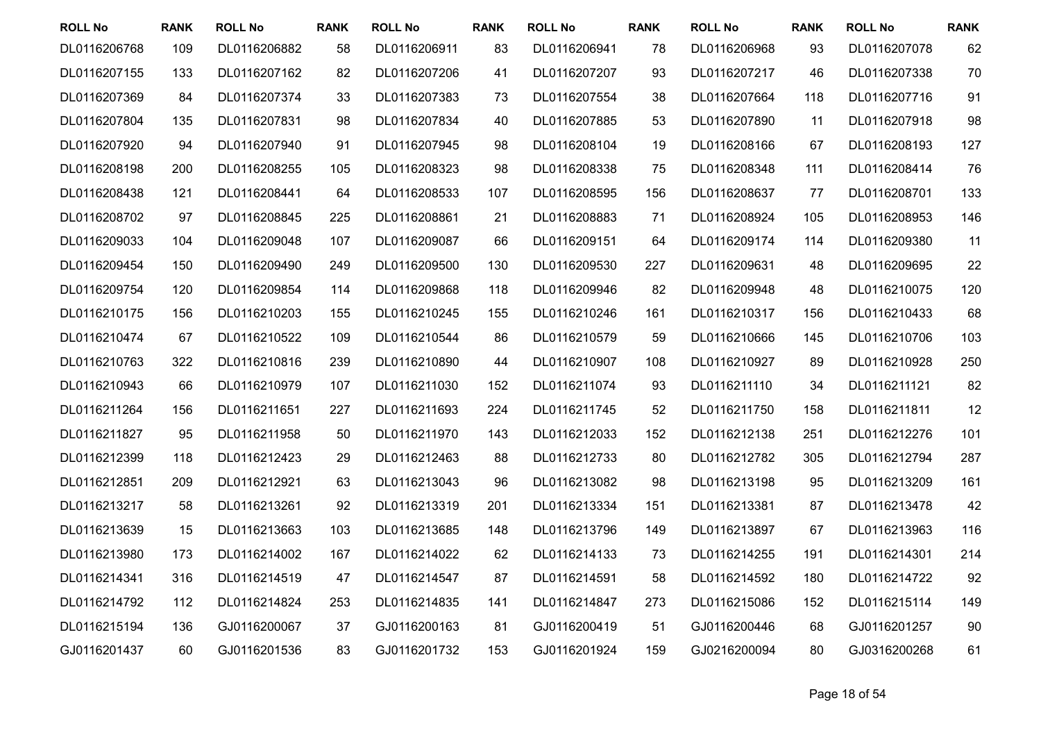| <b>ROLL No</b> | <b>RANK</b> | <b>ROLL No</b> | <b>RANK</b> | <b>ROLL No</b> | <b>RANK</b> | <b>ROLL No</b> | <b>RANK</b> | <b>ROLL No</b> | <b>RANK</b> | <b>ROLL No</b> | <b>RANK</b> |
|----------------|-------------|----------------|-------------|----------------|-------------|----------------|-------------|----------------|-------------|----------------|-------------|
| DL0116206768   | 109         | DL0116206882   | 58          | DL0116206911   | 83          | DL0116206941   | 78          | DL0116206968   | 93          | DL0116207078   | 62          |
| DL0116207155   | 133         | DL0116207162   | 82          | DL0116207206   | 41          | DL0116207207   | 93          | DL0116207217   | 46          | DL0116207338   | 70          |
| DL0116207369   | 84          | DL0116207374   | 33          | DL0116207383   | 73          | DL0116207554   | 38          | DL0116207664   | 118         | DL0116207716   | 91          |
| DL0116207804   | 135         | DL0116207831   | 98          | DL0116207834   | 40          | DL0116207885   | 53          | DL0116207890   | 11          | DL0116207918   | 98          |
| DL0116207920   | 94          | DL0116207940   | 91          | DL0116207945   | 98          | DL0116208104   | 19          | DL0116208166   | 67          | DL0116208193   | 127         |
| DL0116208198   | 200         | DL0116208255   | 105         | DL0116208323   | 98          | DL0116208338   | 75          | DL0116208348   | 111         | DL0116208414   | 76          |
| DL0116208438   | 121         | DL0116208441   | 64          | DL0116208533   | 107         | DL0116208595   | 156         | DL0116208637   | 77          | DL0116208701   | 133         |
| DL0116208702   | 97          | DL0116208845   | 225         | DL0116208861   | 21          | DL0116208883   | 71          | DL0116208924   | 105         | DL0116208953   | 146         |
| DL0116209033   | 104         | DL0116209048   | 107         | DL0116209087   | 66          | DL0116209151   | 64          | DL0116209174   | 114         | DL0116209380   | 11          |
| DL0116209454   | 150         | DL0116209490   | 249         | DL0116209500   | 130         | DL0116209530   | 227         | DL0116209631   | 48          | DL0116209695   | 22          |
| DL0116209754   | 120         | DL0116209854   | 114         | DL0116209868   | 118         | DL0116209946   | 82          | DL0116209948   | 48          | DL0116210075   | 120         |
| DL0116210175   | 156         | DL0116210203   | 155         | DL0116210245   | 155         | DL0116210246   | 161         | DL0116210317   | 156         | DL0116210433   | 68          |
| DL0116210474   | 67          | DL0116210522   | 109         | DL0116210544   | 86          | DL0116210579   | 59          | DL0116210666   | 145         | DL0116210706   | 103         |
| DL0116210763   | 322         | DL0116210816   | 239         | DL0116210890   | 44          | DL0116210907   | 108         | DL0116210927   | 89          | DL0116210928   | 250         |
| DL0116210943   | 66          | DL0116210979   | 107         | DL0116211030   | 152         | DL0116211074   | 93          | DL0116211110   | 34          | DL0116211121   | 82          |
| DL0116211264   | 156         | DL0116211651   | 227         | DL0116211693   | 224         | DL0116211745   | 52          | DL0116211750   | 158         | DL0116211811   | 12          |
| DL0116211827   | 95          | DL0116211958   | 50          | DL0116211970   | 143         | DL0116212033   | 152         | DL0116212138   | 251         | DL0116212276   | 101         |
| DL0116212399   | 118         | DL0116212423   | 29          | DL0116212463   | 88          | DL0116212733   | 80          | DL0116212782   | 305         | DL0116212794   | 287         |
| DL0116212851   | 209         | DL0116212921   | 63          | DL0116213043   | 96          | DL0116213082   | 98          | DL0116213198   | 95          | DL0116213209   | 161         |
| DL0116213217   | 58          | DL0116213261   | 92          | DL0116213319   | 201         | DL0116213334   | 151         | DL0116213381   | 87          | DL0116213478   | 42          |
| DL0116213639   | 15          | DL0116213663   | 103         | DL0116213685   | 148         | DL0116213796   | 149         | DL0116213897   | 67          | DL0116213963   | 116         |
| DL0116213980   | 173         | DL0116214002   | 167         | DL0116214022   | 62          | DL0116214133   | 73          | DL0116214255   | 191         | DL0116214301   | 214         |
| DL0116214341   | 316         | DL0116214519   | 47          | DL0116214547   | 87          | DL0116214591   | 58          | DL0116214592   | 180         | DL0116214722   | 92          |
| DL0116214792   | 112         | DL0116214824   | 253         | DL0116214835   | 141         | DL0116214847   | 273         | DL0116215086   | 152         | DL0116215114   | 149         |
| DL0116215194   | 136         | GJ0116200067   | 37          | GJ0116200163   | 81          | GJ0116200419   | 51          | GJ0116200446   | 68          | GJ0116201257   | 90          |
| GJ0116201437   | 60          | GJ0116201536   | 83          | GJ0116201732   | 153         | GJ0116201924   | 159         | GJ0216200094   | 80          | GJ0316200268   | 61          |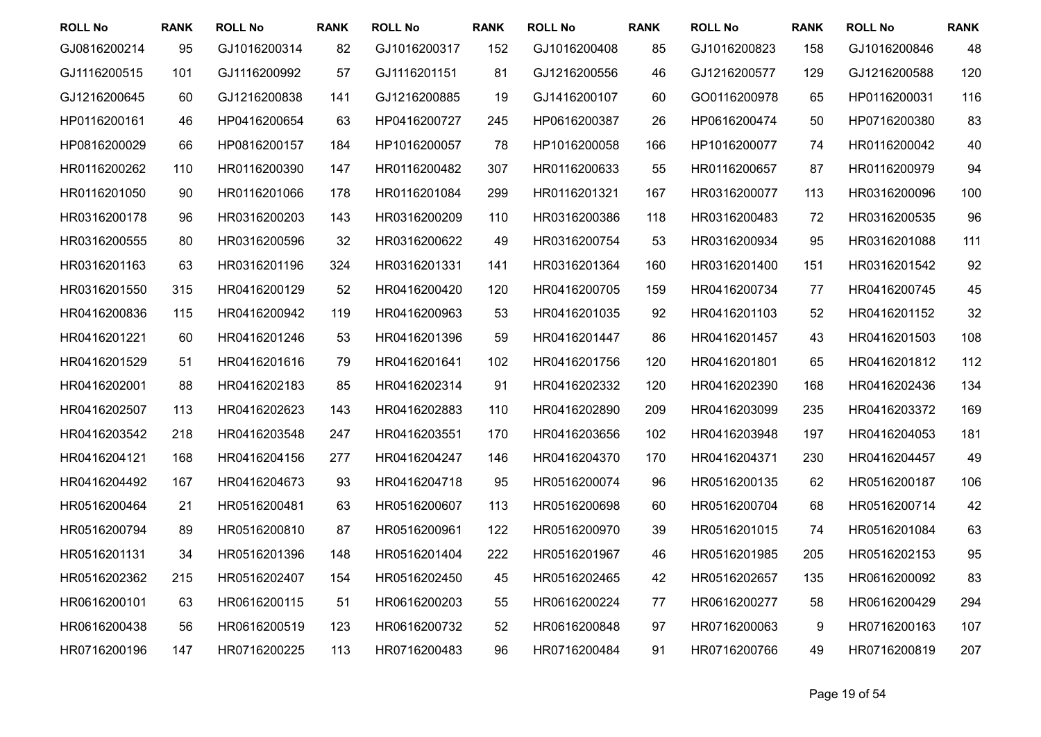| <b>ROLL No</b> | <b>RANK</b> | <b>ROLL No</b> | <b>RANK</b> | <b>ROLL No</b> | <b>RANK</b> | <b>ROLL No</b> | <b>RANK</b> | <b>ROLL No</b> | <b>RANK</b> | <b>ROLL No</b> | <b>RANK</b> |
|----------------|-------------|----------------|-------------|----------------|-------------|----------------|-------------|----------------|-------------|----------------|-------------|
| GJ0816200214   | 95          | GJ1016200314   | 82          | GJ1016200317   | 152         | GJ1016200408   | 85          | GJ1016200823   | 158         | GJ1016200846   | 48          |
| GJ1116200515   | 101         | GJ1116200992   | 57          | GJ1116201151   | 81          | GJ1216200556   | 46          | GJ1216200577   | 129         | GJ1216200588   | 120         |
| GJ1216200645   | 60          | GJ1216200838   | 141         | GJ1216200885   | 19          | GJ1416200107   | 60          | GO0116200978   | 65          | HP0116200031   | 116         |
| HP0116200161   | 46          | HP0416200654   | 63          | HP0416200727   | 245         | HP0616200387   | 26          | HP0616200474   | 50          | HP0716200380   | 83          |
| HP0816200029   | 66          | HP0816200157   | 184         | HP1016200057   | 78          | HP1016200058   | 166         | HP1016200077   | 74          | HR0116200042   | 40          |
| HR0116200262   | 110         | HR0116200390   | 147         | HR0116200482   | 307         | HR0116200633   | 55          | HR0116200657   | 87          | HR0116200979   | 94          |
| HR0116201050   | 90          | HR0116201066   | 178         | HR0116201084   | 299         | HR0116201321   | 167         | HR0316200077   | 113         | HR0316200096   | 100         |
| HR0316200178   | 96          | HR0316200203   | 143         | HR0316200209   | 110         | HR0316200386   | 118         | HR0316200483   | 72          | HR0316200535   | 96          |
| HR0316200555   | 80          | HR0316200596   | 32          | HR0316200622   | 49          | HR0316200754   | 53          | HR0316200934   | 95          | HR0316201088   | 111         |
| HR0316201163   | 63          | HR0316201196   | 324         | HR0316201331   | 141         | HR0316201364   | 160         | HR0316201400   | 151         | HR0316201542   | 92          |
| HR0316201550   | 315         | HR0416200129   | 52          | HR0416200420   | 120         | HR0416200705   | 159         | HR0416200734   | 77          | HR0416200745   | 45          |
| HR0416200836   | 115         | HR0416200942   | 119         | HR0416200963   | 53          | HR0416201035   | 92          | HR0416201103   | 52          | HR0416201152   | 32          |
| HR0416201221   | 60          | HR0416201246   | 53          | HR0416201396   | 59          | HR0416201447   | 86          | HR0416201457   | 43          | HR0416201503   | 108         |
| HR0416201529   | 51          | HR0416201616   | 79          | HR0416201641   | 102         | HR0416201756   | 120         | HR0416201801   | 65          | HR0416201812   | 112         |
| HR0416202001   | 88          | HR0416202183   | 85          | HR0416202314   | 91          | HR0416202332   | 120         | HR0416202390   | 168         | HR0416202436   | 134         |
| HR0416202507   | 113         | HR0416202623   | 143         | HR0416202883   | 110         | HR0416202890   | 209         | HR0416203099   | 235         | HR0416203372   | 169         |
| HR0416203542   | 218         | HR0416203548   | 247         | HR0416203551   | 170         | HR0416203656   | 102         | HR0416203948   | 197         | HR0416204053   | 181         |
| HR0416204121   | 168         | HR0416204156   | 277         | HR0416204247   | 146         | HR0416204370   | 170         | HR0416204371   | 230         | HR0416204457   | 49          |
| HR0416204492   | 167         | HR0416204673   | 93          | HR0416204718   | 95          | HR0516200074   | 96          | HR0516200135   | 62          | HR0516200187   | 106         |
| HR0516200464   | 21          | HR0516200481   | 63          | HR0516200607   | 113         | HR0516200698   | 60          | HR0516200704   | 68          | HR0516200714   | 42          |
| HR0516200794   | 89          | HR0516200810   | 87          | HR0516200961   | 122         | HR0516200970   | 39          | HR0516201015   | 74          | HR0516201084   | 63          |
| HR0516201131   | 34          | HR0516201396   | 148         | HR0516201404   | 222         | HR0516201967   | 46          | HR0516201985   | 205         | HR0516202153   | 95          |
| HR0516202362   | 215         | HR0516202407   | 154         | HR0516202450   | 45          | HR0516202465   | 42          | HR0516202657   | 135         | HR0616200092   | 83          |
| HR0616200101   | 63          | HR0616200115   | 51          | HR0616200203   | 55          | HR0616200224   | 77          | HR0616200277   | 58          | HR0616200429   | 294         |
| HR0616200438   | 56          | HR0616200519   | 123         | HR0616200732   | 52          | HR0616200848   | 97          | HR0716200063   | 9           | HR0716200163   | 107         |
| HR0716200196   | 147         | HR0716200225   | 113         | HR0716200483   | 96          | HR0716200484   | 91          | HR0716200766   | 49          | HR0716200819   | 207         |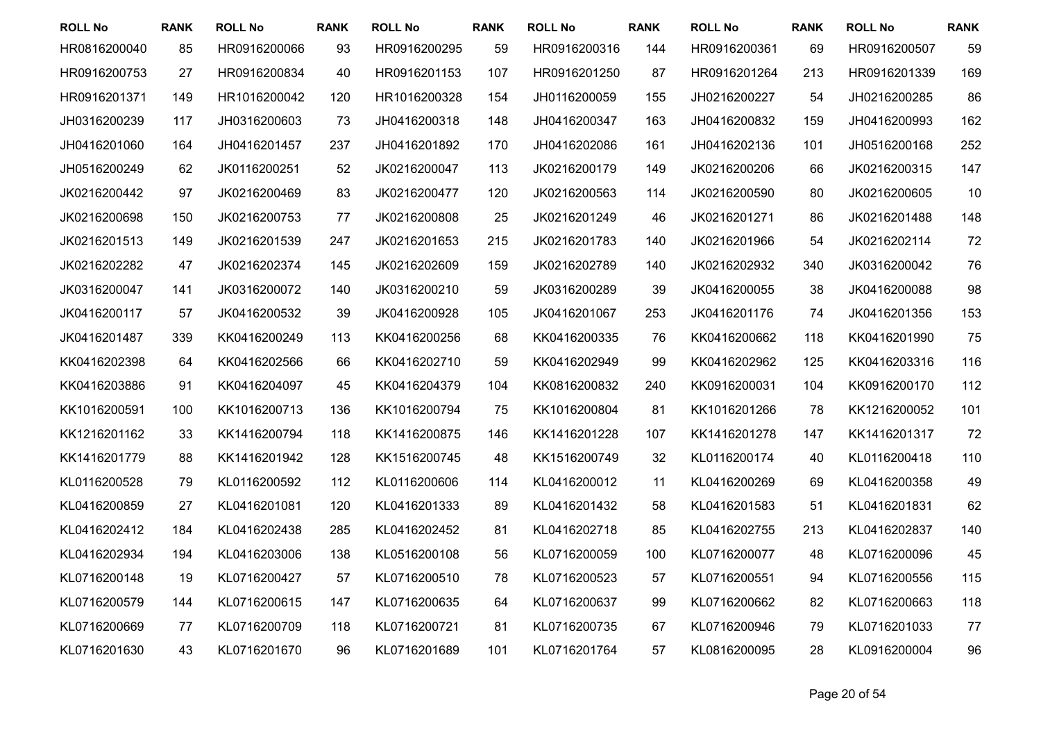| <b>ROLL No</b> | <b>RANK</b> | <b>ROLL No</b> | <b>RANK</b> | <b>ROLL No</b> | <b>RANK</b> | <b>ROLL No</b> | <b>RANK</b> | <b>ROLL No</b> | <b>RANK</b> | <b>ROLL No</b> | <b>RANK</b> |
|----------------|-------------|----------------|-------------|----------------|-------------|----------------|-------------|----------------|-------------|----------------|-------------|
| HR0816200040   | 85          | HR0916200066   | 93          | HR0916200295   | 59          | HR0916200316   | 144         | HR0916200361   | 69          | HR0916200507   | 59          |
| HR0916200753   | 27          | HR0916200834   | 40          | HR0916201153   | 107         | HR0916201250   | 87          | HR0916201264   | 213         | HR0916201339   | 169         |
| HR0916201371   | 149         | HR1016200042   | 120         | HR1016200328   | 154         | JH0116200059   | 155         | JH0216200227   | 54          | JH0216200285   | 86          |
| JH0316200239   | 117         | JH0316200603   | 73          | JH0416200318   | 148         | JH0416200347   | 163         | JH0416200832   | 159         | JH0416200993   | 162         |
| JH0416201060   | 164         | JH0416201457   | 237         | JH0416201892   | 170         | JH0416202086   | 161         | JH0416202136   | 101         | JH0516200168   | 252         |
| JH0516200249   | 62          | JK0116200251   | 52          | JK0216200047   | 113         | JK0216200179   | 149         | JK0216200206   | 66          | JK0216200315   | 147         |
| JK0216200442   | 97          | JK0216200469   | 83          | JK0216200477   | 120         | JK0216200563   | 114         | JK0216200590   | 80          | JK0216200605   | 10          |
| JK0216200698   | 150         | JK0216200753   | 77          | JK0216200808   | 25          | JK0216201249   | 46          | JK0216201271   | 86          | JK0216201488   | 148         |
| JK0216201513   | 149         | JK0216201539   | 247         | JK0216201653   | 215         | JK0216201783   | 140         | JK0216201966   | 54          | JK0216202114   | 72          |
| JK0216202282   | 47          | JK0216202374   | 145         | JK0216202609   | 159         | JK0216202789   | 140         | JK0216202932   | 340         | JK0316200042   | 76          |
| JK0316200047   | 141         | JK0316200072   | 140         | JK0316200210   | 59          | JK0316200289   | 39          | JK0416200055   | 38          | JK0416200088   | 98          |
| JK0416200117   | 57          | JK0416200532   | 39          | JK0416200928   | 105         | JK0416201067   | 253         | JK0416201176   | 74          | JK0416201356   | 153         |
| JK0416201487   | 339         | KK0416200249   | 113         | KK0416200256   | 68          | KK0416200335   | 76          | KK0416200662   | 118         | KK0416201990   | 75          |
| KK0416202398   | 64          | KK0416202566   | 66          | KK0416202710   | 59          | KK0416202949   | 99          | KK0416202962   | 125         | KK0416203316   | 116         |
| KK0416203886   | 91          | KK0416204097   | 45          | KK0416204379   | 104         | KK0816200832   | 240         | KK0916200031   | 104         | KK0916200170   | 112         |
| KK1016200591   | 100         | KK1016200713   | 136         | KK1016200794   | 75          | KK1016200804   | 81          | KK1016201266   | 78          | KK1216200052   | 101         |
| KK1216201162   | 33          | KK1416200794   | 118         | KK1416200875   | 146         | KK1416201228   | 107         | KK1416201278   | 147         | KK1416201317   | 72          |
| KK1416201779   | 88          | KK1416201942   | 128         | KK1516200745   | 48          | KK1516200749   | 32          | KL0116200174   | 40          | KL0116200418   | 110         |
| KL0116200528   | 79          | KL0116200592   | 112         | KL0116200606   | 114         | KL0416200012   | 11          | KL0416200269   | 69          | KL0416200358   | 49          |
| KL0416200859   | 27          | KL0416201081   | 120         | KL0416201333   | 89          | KL0416201432   | 58          | KL0416201583   | 51          | KL0416201831   | 62          |
| KL0416202412   | 184         | KL0416202438   | 285         | KL0416202452   | 81          | KL0416202718   | 85          | KL0416202755   | 213         | KL0416202837   | 140         |
| KL0416202934   | 194         | KL0416203006   | 138         | KL0516200108   | 56          | KL0716200059   | 100         | KL0716200077   | 48          | KL0716200096   | 45          |
| KL0716200148   | 19          | KL0716200427   | 57          | KL0716200510   | 78          | KL0716200523   | 57          | KL0716200551   | 94          | KL0716200556   | 115         |
| KL0716200579   | 144         | KL0716200615   | 147         | KL0716200635   | 64          | KL0716200637   | 99          | KL0716200662   | 82          | KL0716200663   | 118         |
| KL0716200669   | 77          | KL0716200709   | 118         | KL0716200721   | 81          | KL0716200735   | 67          | KL0716200946   | 79          | KL0716201033   | 77          |
| KL0716201630   | 43          | KL0716201670   | 96          | KL0716201689   | 101         | KL0716201764   | 57          | KL0816200095   | 28          | KL0916200004   | 96          |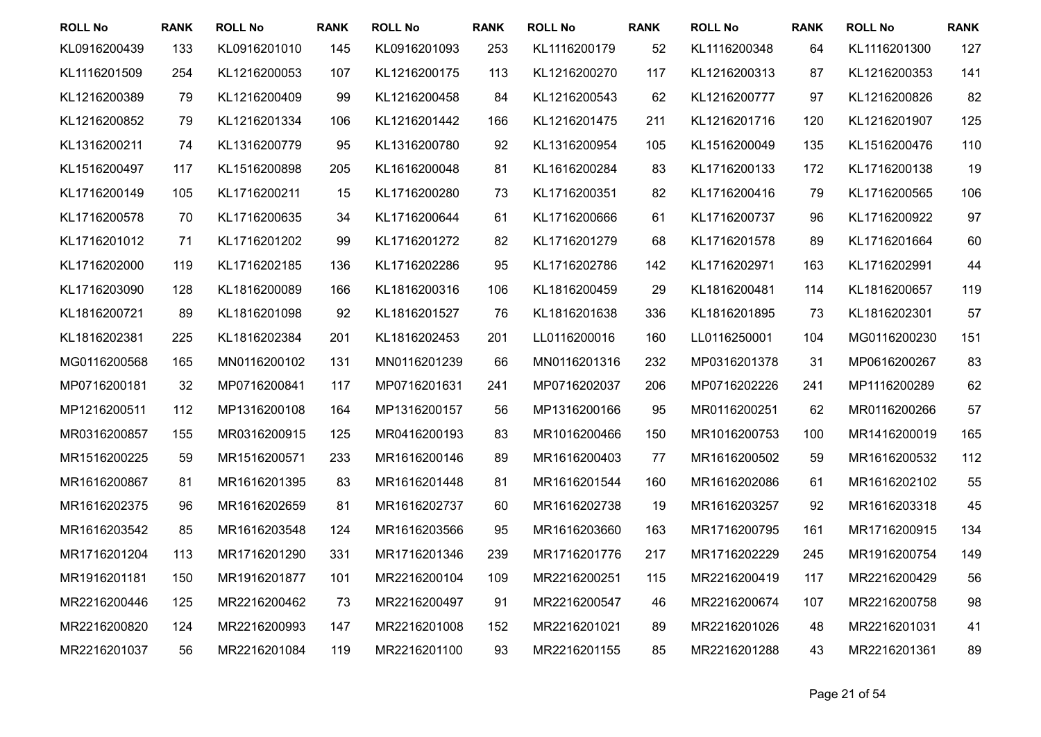| <b>ROLL No</b> | <b>RANK</b> | <b>ROLL No</b> | <b>RANK</b> | <b>ROLL No</b> | <b>RANK</b> | <b>ROLL No</b> | <b>RANK</b> | <b>ROLL No</b> | <b>RANK</b> | <b>ROLL No</b> | <b>RANK</b> |
|----------------|-------------|----------------|-------------|----------------|-------------|----------------|-------------|----------------|-------------|----------------|-------------|
| KL0916200439   | 133         | KL0916201010   | 145         | KL0916201093   | 253         | KL1116200179   | 52          | KL1116200348   | 64          | KL1116201300   | 127         |
| KL1116201509   | 254         | KL1216200053   | 107         | KL1216200175   | 113         | KL1216200270   | 117         | KL1216200313   | 87          | KL1216200353   | 141         |
| KL1216200389   | 79          | KL1216200409   | 99          | KL1216200458   | 84          | KL1216200543   | 62          | KL1216200777   | 97          | KL1216200826   | 82          |
| KL1216200852   | 79          | KL1216201334   | 106         | KL1216201442   | 166         | KL1216201475   | 211         | KL1216201716   | 120         | KL1216201907   | 125         |
| KL1316200211   | 74          | KL1316200779   | 95          | KL1316200780   | 92          | KL1316200954   | 105         | KL1516200049   | 135         | KL1516200476   | 110         |
| KL1516200497   | 117         | KL1516200898   | 205         | KL1616200048   | 81          | KL1616200284   | 83          | KL1716200133   | 172         | KL1716200138   | 19          |
| KL1716200149   | 105         | KL1716200211   | 15          | KL1716200280   | 73          | KL1716200351   | 82          | KL1716200416   | 79          | KL1716200565   | 106         |
| KL1716200578   | 70          | KL1716200635   | 34          | KL1716200644   | 61          | KL1716200666   | 61          | KL1716200737   | 96          | KL1716200922   | 97          |
| KL1716201012   | 71          | KL1716201202   | 99          | KL1716201272   | 82          | KL1716201279   | 68          | KL1716201578   | 89          | KL1716201664   | 60          |
| KL1716202000   | 119         | KL1716202185   | 136         | KL1716202286   | 95          | KL1716202786   | 142         | KL1716202971   | 163         | KL1716202991   | 44          |
| KL1716203090   | 128         | KL1816200089   | 166         | KL1816200316   | 106         | KL1816200459   | 29          | KL1816200481   | 114         | KL1816200657   | 119         |
| KL1816200721   | 89          | KL1816201098   | 92          | KL1816201527   | 76          | KL1816201638   | 336         | KL1816201895   | 73          | KL1816202301   | 57          |
| KL1816202381   | 225         | KL1816202384   | 201         | KL1816202453   | 201         | LL0116200016   | 160         | LL0116250001   | 104         | MG0116200230   | 151         |
| MG0116200568   | 165         | MN0116200102   | 131         | MN0116201239   | 66          | MN0116201316   | 232         | MP0316201378   | 31          | MP0616200267   | 83          |
| MP0716200181   | 32          | MP0716200841   | 117         | MP0716201631   | 241         | MP0716202037   | 206         | MP0716202226   | 241         | MP1116200289   | 62          |
| MP1216200511   | 112         | MP1316200108   | 164         | MP1316200157   | 56          | MP1316200166   | 95          | MR0116200251   | 62          | MR0116200266   | 57          |
| MR0316200857   | 155         | MR0316200915   | 125         | MR0416200193   | 83          | MR1016200466   | 150         | MR1016200753   | 100         | MR1416200019   | 165         |
| MR1516200225   | 59          | MR1516200571   | 233         | MR1616200146   | 89          | MR1616200403   | 77          | MR1616200502   | 59          | MR1616200532   | 112         |
| MR1616200867   | 81          | MR1616201395   | 83          | MR1616201448   | 81          | MR1616201544   | 160         | MR1616202086   | 61          | MR1616202102   | 55          |
| MR1616202375   | 96          | MR1616202659   | 81          | MR1616202737   | 60          | MR1616202738   | 19          | MR1616203257   | 92          | MR1616203318   | 45          |
| MR1616203542   | 85          | MR1616203548   | 124         | MR1616203566   | 95          | MR1616203660   | 163         | MR1716200795   | 161         | MR1716200915   | 134         |
| MR1716201204   | 113         | MR1716201290   | 331         | MR1716201346   | 239         | MR1716201776   | 217         | MR1716202229   | 245         | MR1916200754   | 149         |
| MR1916201181   | 150         | MR1916201877   | 101         | MR2216200104   | 109         | MR2216200251   | 115         | MR2216200419   | 117         | MR2216200429   | 56          |
| MR2216200446   | 125         | MR2216200462   | 73          | MR2216200497   | 91          | MR2216200547   | 46          | MR2216200674   | 107         | MR2216200758   | 98          |
| MR2216200820   | 124         | MR2216200993   | 147         | MR2216201008   | 152         | MR2216201021   | 89          | MR2216201026   | 48          | MR2216201031   | 41          |
| MR2216201037   | 56          | MR2216201084   | 119         | MR2216201100   | 93          | MR2216201155   | 85          | MR2216201288   | 43          | MR2216201361   | 89          |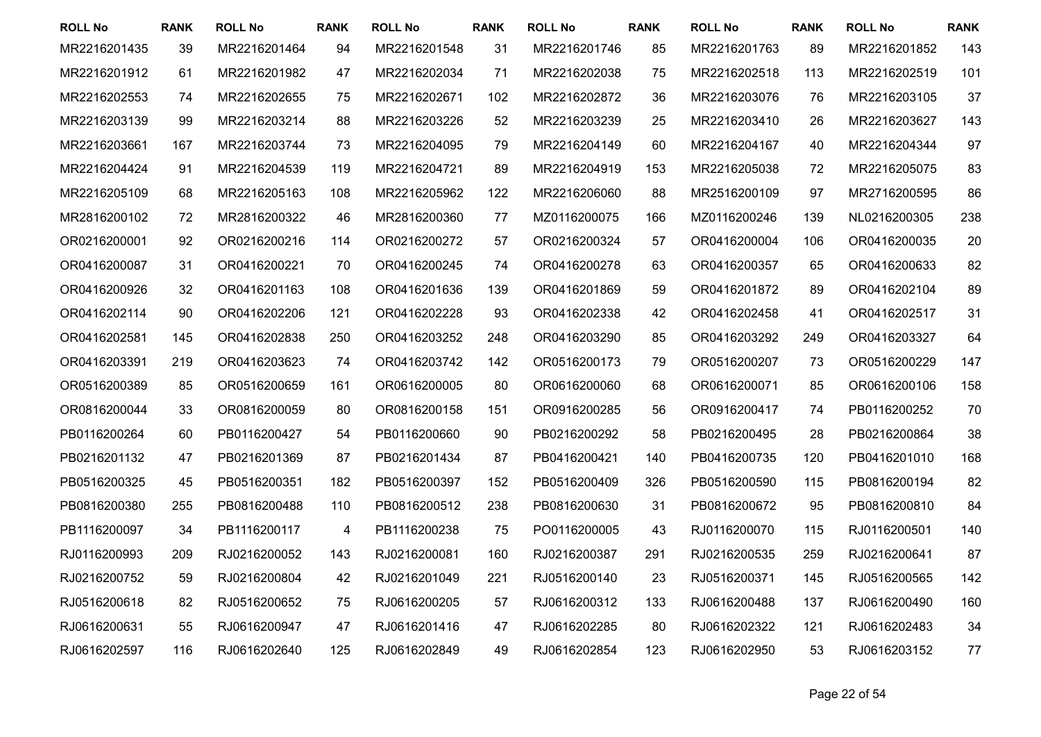| <b>ROLL No</b> | <b>RANK</b> | <b>ROLL No</b> | <b>RANK</b> | <b>ROLL No</b> | <b>RANK</b> | <b>ROLL No</b> | <b>RANK</b> | <b>ROLL No</b> | <b>RANK</b> | <b>ROLL No</b> | <b>RANK</b> |
|----------------|-------------|----------------|-------------|----------------|-------------|----------------|-------------|----------------|-------------|----------------|-------------|
| MR2216201435   | 39          | MR2216201464   | 94          | MR2216201548   | 31          | MR2216201746   | 85          | MR2216201763   | 89          | MR2216201852   | 143         |
| MR2216201912   | 61          | MR2216201982   | 47          | MR2216202034   | 71          | MR2216202038   | 75          | MR2216202518   | 113         | MR2216202519   | 101         |
| MR2216202553   | 74          | MR2216202655   | 75          | MR2216202671   | 102         | MR2216202872   | 36          | MR2216203076   | 76          | MR2216203105   | 37          |
| MR2216203139   | 99          | MR2216203214   | 88          | MR2216203226   | 52          | MR2216203239   | 25          | MR2216203410   | 26          | MR2216203627   | 143         |
| MR2216203661   | 167         | MR2216203744   | 73          | MR2216204095   | 79          | MR2216204149   | 60          | MR2216204167   | 40          | MR2216204344   | 97          |
| MR2216204424   | 91          | MR2216204539   | 119         | MR2216204721   | 89          | MR2216204919   | 153         | MR2216205038   | 72          | MR2216205075   | 83          |
| MR2216205109   | 68          | MR2216205163   | 108         | MR2216205962   | 122         | MR2216206060   | 88          | MR2516200109   | 97          | MR2716200595   | 86          |
| MR2816200102   | 72          | MR2816200322   | 46          | MR2816200360   | 77          | MZ0116200075   | 166         | MZ0116200246   | 139         | NL0216200305   | 238         |
| OR0216200001   | 92          | OR0216200216   | 114         | OR0216200272   | 57          | OR0216200324   | 57          | OR0416200004   | 106         | OR0416200035   | 20          |
| OR0416200087   | 31          | OR0416200221   | 70          | OR0416200245   | 74          | OR0416200278   | 63          | OR0416200357   | 65          | OR0416200633   | 82          |
| OR0416200926   | 32          | OR0416201163   | 108         | OR0416201636   | 139         | OR0416201869   | 59          | OR0416201872   | 89          | OR0416202104   | 89          |
| OR0416202114   | 90          | OR0416202206   | 121         | OR0416202228   | 93          | OR0416202338   | 42          | OR0416202458   | 41          | OR0416202517   | 31          |
| OR0416202581   | 145         | OR0416202838   | 250         | OR0416203252   | 248         | OR0416203290   | 85          | OR0416203292   | 249         | OR0416203327   | 64          |
| OR0416203391   | 219         | OR0416203623   | 74          | OR0416203742   | 142         | OR0516200173   | 79          | OR0516200207   | 73          | OR0516200229   | 147         |
| OR0516200389   | 85          | OR0516200659   | 161         | OR0616200005   | 80          | OR0616200060   | 68          | OR0616200071   | 85          | OR0616200106   | 158         |
| OR0816200044   | 33          | OR0816200059   | 80          | OR0816200158   | 151         | OR0916200285   | 56          | OR0916200417   | 74          | PB0116200252   | 70          |
| PB0116200264   | 60          | PB0116200427   | 54          | PB0116200660   | 90          | PB0216200292   | 58          | PB0216200495   | 28          | PB0216200864   | 38          |
| PB0216201132   | 47          | PB0216201369   | 87          | PB0216201434   | 87          | PB0416200421   | 140         | PB0416200735   | 120         | PB0416201010   | 168         |
| PB0516200325   | 45          | PB0516200351   | 182         | PB0516200397   | 152         | PB0516200409   | 326         | PB0516200590   | 115         | PB0816200194   | 82          |
| PB0816200380   | 255         | PB0816200488   | 110         | PB0816200512   | 238         | PB0816200630   | 31          | PB0816200672   | 95          | PB0816200810   | 84          |
| PB1116200097   | 34          | PB1116200117   | 4           | PB1116200238   | 75          | PO0116200005   | 43          | RJ0116200070   | 115         | RJ0116200501   | 140         |
| RJ0116200993   | 209         | RJ0216200052   | 143         | RJ0216200081   | 160         | RJ0216200387   | 291         | RJ0216200535   | 259         | RJ0216200641   | 87          |
| RJ0216200752   | 59          | RJ0216200804   | 42          | RJ0216201049   | 221         | RJ0516200140   | 23          | RJ0516200371   | 145         | RJ0516200565   | 142         |
| RJ0516200618   | 82          | RJ0516200652   | 75          | RJ0616200205   | 57          | RJ0616200312   | 133         | RJ0616200488   | 137         | RJ0616200490   | 160         |
| RJ0616200631   | 55          | RJ0616200947   | 47          | RJ0616201416   | 47          | RJ0616202285   | 80          | RJ0616202322   | 121         | RJ0616202483   | 34          |
| RJ0616202597   | 116         | RJ0616202640   | 125         | RJ0616202849   | 49          | RJ0616202854   | 123         | RJ0616202950   | 53          | RJ0616203152   | 77          |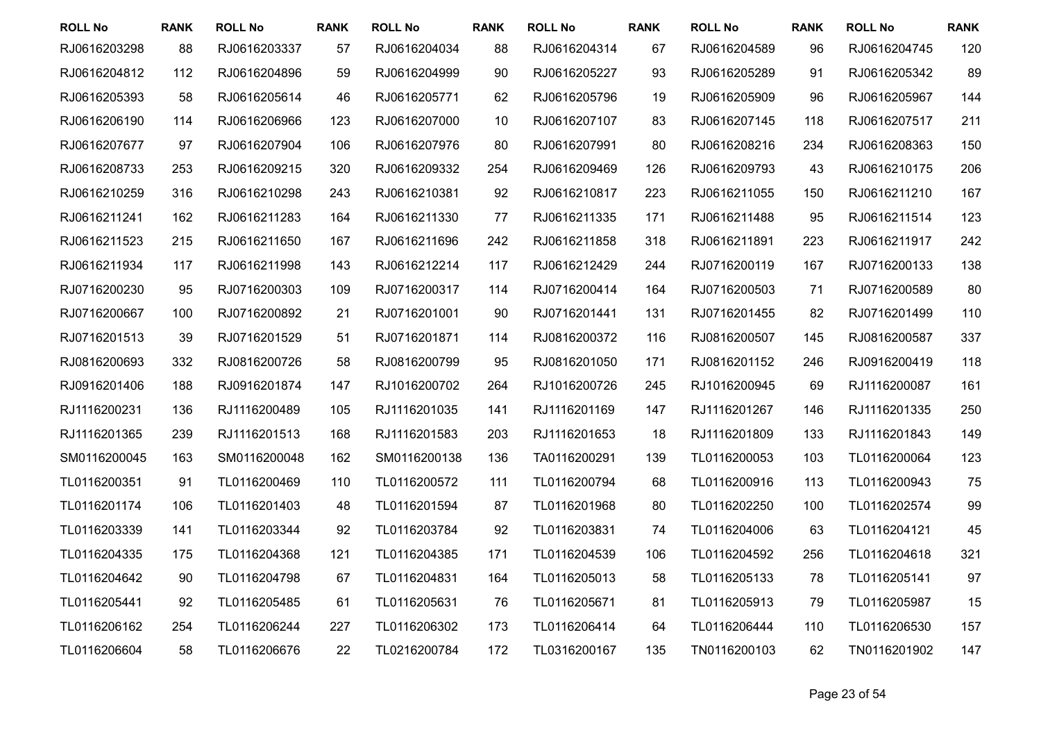| <b>ROLL No</b> | <b>RANK</b> | <b>ROLL No</b> | <b>RANK</b> | <b>ROLL No</b> | <b>RANK</b> | <b>ROLL No</b> | <b>RANK</b> | <b>ROLL No</b> | <b>RANK</b> | <b>ROLL No</b> | <b>RANK</b> |
|----------------|-------------|----------------|-------------|----------------|-------------|----------------|-------------|----------------|-------------|----------------|-------------|
| RJ0616203298   | 88          | RJ0616203337   | 57          | RJ0616204034   | 88          | RJ0616204314   | 67          | RJ0616204589   | 96          | RJ0616204745   | 120         |
| RJ0616204812   | 112         | RJ0616204896   | 59          | RJ0616204999   | 90          | RJ0616205227   | 93          | RJ0616205289   | 91          | RJ0616205342   | 89          |
| RJ0616205393   | 58          | RJ0616205614   | 46          | RJ0616205771   | 62          | RJ0616205796   | 19          | RJ0616205909   | 96          | RJ0616205967   | 144         |
| RJ0616206190   | 114         | RJ0616206966   | 123         | RJ0616207000   | 10          | RJ0616207107   | 83          | RJ0616207145   | 118         | RJ0616207517   | 211         |
| RJ0616207677   | 97          | RJ0616207904   | 106         | RJ0616207976   | 80          | RJ0616207991   | 80          | RJ0616208216   | 234         | RJ0616208363   | 150         |
| RJ0616208733   | 253         | RJ0616209215   | 320         | RJ0616209332   | 254         | RJ0616209469   | 126         | RJ0616209793   | 43          | RJ0616210175   | 206         |
| RJ0616210259   | 316         | RJ0616210298   | 243         | RJ0616210381   | 92          | RJ0616210817   | 223         | RJ0616211055   | 150         | RJ0616211210   | 167         |
| RJ0616211241   | 162         | RJ0616211283   | 164         | RJ0616211330   | 77          | RJ0616211335   | 171         | RJ0616211488   | 95          | RJ0616211514   | 123         |
| RJ0616211523   | 215         | RJ0616211650   | 167         | RJ0616211696   | 242         | RJ0616211858   | 318         | RJ0616211891   | 223         | RJ0616211917   | 242         |
| RJ0616211934   | 117         | RJ0616211998   | 143         | RJ0616212214   | 117         | RJ0616212429   | 244         | RJ0716200119   | 167         | RJ0716200133   | 138         |
| RJ0716200230   | 95          | RJ0716200303   | 109         | RJ0716200317   | 114         | RJ0716200414   | 164         | RJ0716200503   | 71          | RJ0716200589   | 80          |
| RJ0716200667   | 100         | RJ0716200892   | 21          | RJ0716201001   | 90          | RJ0716201441   | 131         | RJ0716201455   | 82          | RJ0716201499   | 110         |
| RJ0716201513   | 39          | RJ0716201529   | 51          | RJ0716201871   | 114         | RJ0816200372   | 116         | RJ0816200507   | 145         | RJ0816200587   | 337         |
| RJ0816200693   | 332         | RJ0816200726   | 58          | RJ0816200799   | 95          | RJ0816201050   | 171         | RJ0816201152   | 246         | RJ0916200419   | 118         |
| RJ0916201406   | 188         | RJ0916201874   | 147         | RJ1016200702   | 264         | RJ1016200726   | 245         | RJ1016200945   | 69          | RJ1116200087   | 161         |
| RJ1116200231   | 136         | RJ1116200489   | 105         | RJ1116201035   | 141         | RJ1116201169   | 147         | RJ1116201267   | 146         | RJ1116201335   | 250         |
| RJ1116201365   | 239         | RJ1116201513   | 168         | RJ1116201583   | 203         | RJ1116201653   | 18          | RJ1116201809   | 133         | RJ1116201843   | 149         |
| SM0116200045   | 163         | SM0116200048   | 162         | SM0116200138   | 136         | TA0116200291   | 139         | TL0116200053   | 103         | TL0116200064   | 123         |
| TL0116200351   | 91          | TL0116200469   | 110         | TL0116200572   | 111         | TL0116200794   | 68          | TL0116200916   | 113         | TL0116200943   | 75          |
| TL0116201174   | 106         | TL0116201403   | 48          | TL0116201594   | 87          | TL0116201968   | 80          | TL0116202250   | 100         | TL0116202574   | 99          |
| TL0116203339   | 141         | TL0116203344   | 92          | TL0116203784   | 92          | TL0116203831   | 74          | TL0116204006   | 63          | TL0116204121   | 45          |
| TL0116204335   | 175         | TL0116204368   | 121         | TL0116204385   | 171         | TL0116204539   | 106         | TL0116204592   | 256         | TL0116204618   | 321         |
| TL0116204642   | 90          | TL0116204798   | 67          | TL0116204831   | 164         | TL0116205013   | 58          | TL0116205133   | 78          | TL0116205141   | 97          |
| TL0116205441   | 92          | TL0116205485   | 61          | TL0116205631   | 76          | TL0116205671   | 81          | TL0116205913   | 79          | TL0116205987   | 15          |
| TL0116206162   | 254         | TL0116206244   | 227         | TL0116206302   | 173         | TL0116206414   | 64          | TL0116206444   | 110         | TL0116206530   | 157         |
| TL0116206604   | 58          | TL0116206676   | 22          | TL0216200784   | 172         | TL0316200167   | 135         | TN0116200103   | 62          | TN0116201902   | 147         |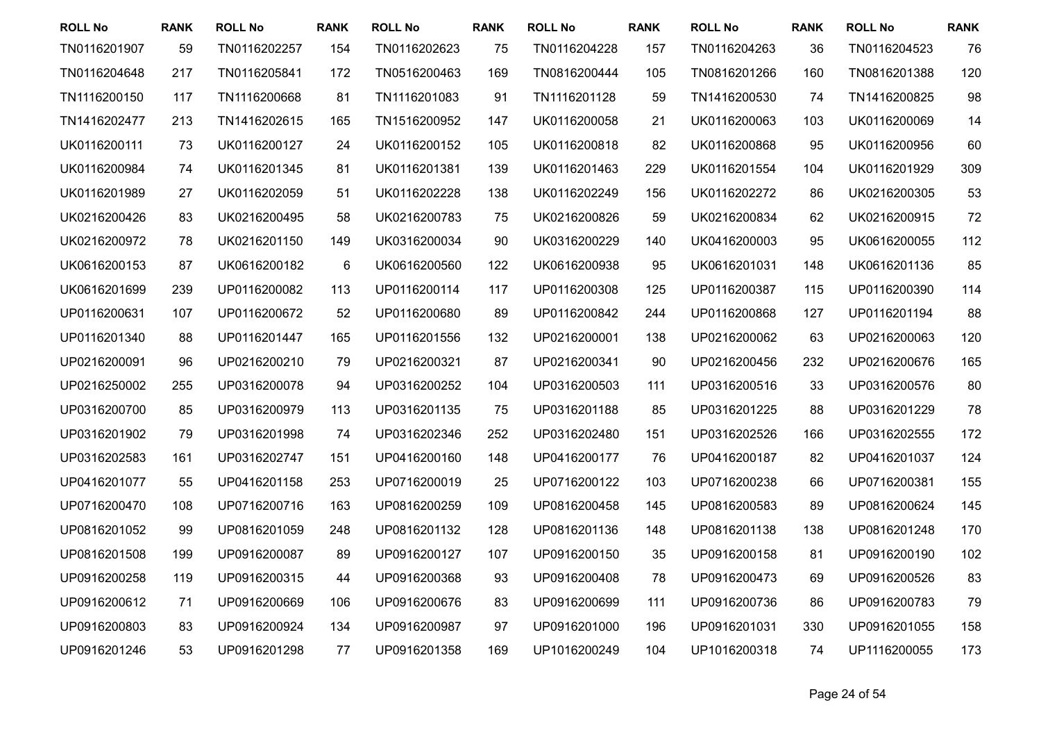| <b>ROLL No</b> | <b>RANK</b> | <b>ROLL No</b> | <b>RANK</b> | <b>ROLL No</b> | <b>RANK</b> | <b>ROLL No</b> | <b>RANK</b> | <b>ROLL No</b> | <b>RANK</b> | <b>ROLL No</b> | <b>RANK</b> |
|----------------|-------------|----------------|-------------|----------------|-------------|----------------|-------------|----------------|-------------|----------------|-------------|
| TN0116201907   | 59          | TN0116202257   | 154         | TN0116202623   | 75          | TN0116204228   | 157         | TN0116204263   | 36          | TN0116204523   | 76          |
| TN0116204648   | 217         | TN0116205841   | 172         | TN0516200463   | 169         | TN0816200444   | 105         | TN0816201266   | 160         | TN0816201388   | 120         |
| TN1116200150   | 117         | TN1116200668   | 81          | TN1116201083   | 91          | TN1116201128   | 59          | TN1416200530   | 74          | TN1416200825   | 98          |
| TN1416202477   | 213         | TN1416202615   | 165         | TN1516200952   | 147         | UK0116200058   | 21          | UK0116200063   | 103         | UK0116200069   | 14          |
| UK0116200111   | 73          | UK0116200127   | 24          | UK0116200152   | 105         | UK0116200818   | 82          | UK0116200868   | 95          | UK0116200956   | 60          |
| UK0116200984   | 74          | UK0116201345   | 81          | UK0116201381   | 139         | UK0116201463   | 229         | UK0116201554   | 104         | UK0116201929   | 309         |
| UK0116201989   | 27          | UK0116202059   | 51          | UK0116202228   | 138         | UK0116202249   | 156         | UK0116202272   | 86          | UK0216200305   | 53          |
| UK0216200426   | 83          | UK0216200495   | 58          | UK0216200783   | 75          | UK0216200826   | 59          | UK0216200834   | 62          | UK0216200915   | 72          |
| UK0216200972   | 78          | UK0216201150   | 149         | UK0316200034   | 90          | UK0316200229   | 140         | UK0416200003   | 95          | UK0616200055   | 112         |
| UK0616200153   | 87          | UK0616200182   | $\,6$       | UK0616200560   | 122         | UK0616200938   | 95          | UK0616201031   | 148         | UK0616201136   | 85          |
| UK0616201699   | 239         | UP0116200082   | 113         | UP0116200114   | 117         | UP0116200308   | 125         | UP0116200387   | 115         | UP0116200390   | 114         |
| UP0116200631   | 107         | UP0116200672   | 52          | UP0116200680   | 89          | UP0116200842   | 244         | UP0116200868   | 127         | UP0116201194   | 88          |
| UP0116201340   | 88          | UP0116201447   | 165         | UP0116201556   | 132         | UP0216200001   | 138         | UP0216200062   | 63          | UP0216200063   | 120         |
| UP0216200091   | 96          | UP0216200210   | 79          | UP0216200321   | 87          | UP0216200341   | 90          | UP0216200456   | 232         | UP0216200676   | 165         |
| UP0216250002   | 255         | UP0316200078   | 94          | UP0316200252   | 104         | UP0316200503   | 111         | UP0316200516   | 33          | UP0316200576   | 80          |
| UP0316200700   | 85          | UP0316200979   | 113         | UP0316201135   | 75          | UP0316201188   | 85          | UP0316201225   | 88          | UP0316201229   | 78          |
| UP0316201902   | 79          | UP0316201998   | 74          | UP0316202346   | 252         | UP0316202480   | 151         | UP0316202526   | 166         | UP0316202555   | 172         |
| UP0316202583   | 161         | UP0316202747   | 151         | UP0416200160   | 148         | UP0416200177   | 76          | UP0416200187   | 82          | UP0416201037   | 124         |
| UP0416201077   | 55          | UP0416201158   | 253         | UP0716200019   | 25          | UP0716200122   | 103         | UP0716200238   | 66          | UP0716200381   | 155         |
| UP0716200470   | 108         | UP0716200716   | 163         | UP0816200259   | 109         | UP0816200458   | 145         | UP0816200583   | 89          | UP0816200624   | 145         |
| UP0816201052   | 99          | UP0816201059   | 248         | UP0816201132   | 128         | UP0816201136   | 148         | UP0816201138   | 138         | UP0816201248   | 170         |
| UP0816201508   | 199         | UP0916200087   | 89          | UP0916200127   | 107         | UP0916200150   | 35          | UP0916200158   | 81          | UP0916200190   | 102         |
| UP0916200258   | 119         | UP0916200315   | 44          | UP0916200368   | 93          | UP0916200408   | 78          | UP0916200473   | 69          | UP0916200526   | 83          |
| UP0916200612   | 71          | UP0916200669   | 106         | UP0916200676   | 83          | UP0916200699   | 111         | UP0916200736   | 86          | UP0916200783   | 79          |
| UP0916200803   | 83          | UP0916200924   | 134         | UP0916200987   | 97          | UP0916201000   | 196         | UP0916201031   | 330         | UP0916201055   | 158         |
| UP0916201246   | 53          | UP0916201298   | 77          | UP0916201358   | 169         | UP1016200249   | 104         | UP1016200318   | 74          | UP1116200055   | 173         |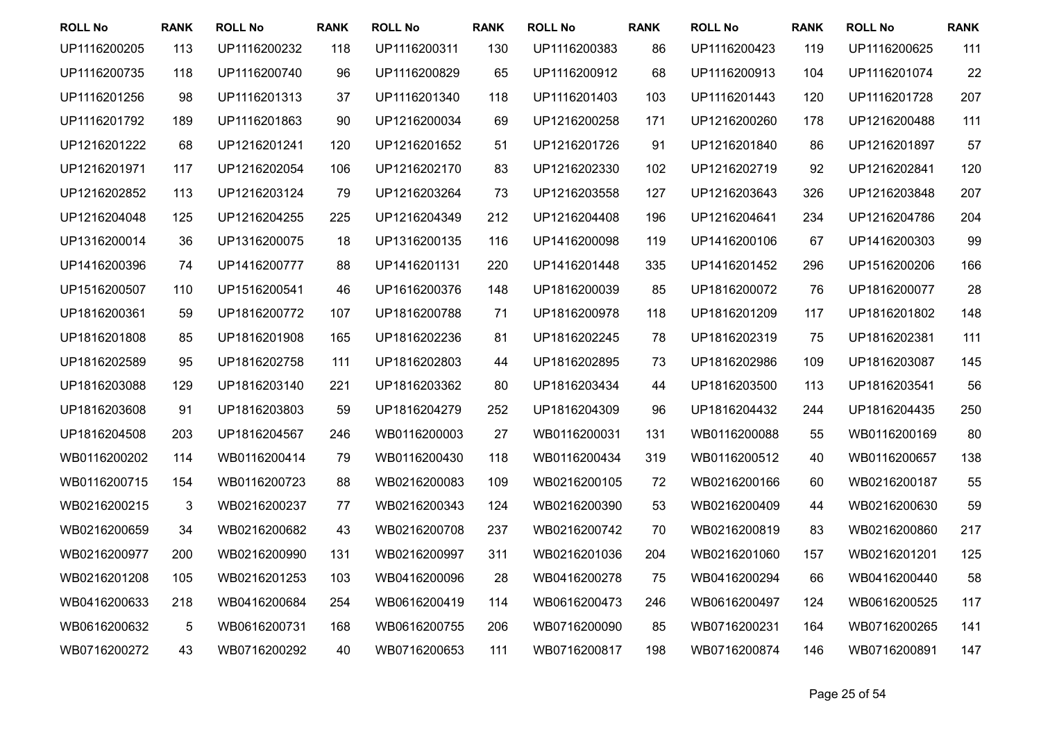| <b>ROLL No</b> | <b>RANK</b> | <b>ROLL No</b> | <b>RANK</b> | <b>ROLL No</b> | <b>RANK</b> | <b>ROLL No</b> | <b>RANK</b> | <b>ROLL No</b> | <b>RANK</b> | <b>ROLL No</b> | <b>RANK</b> |
|----------------|-------------|----------------|-------------|----------------|-------------|----------------|-------------|----------------|-------------|----------------|-------------|
| UP1116200205   | 113         | UP1116200232   | 118         | UP1116200311   | 130         | UP1116200383   | 86          | UP1116200423   | 119         | UP1116200625   | 111         |
| UP1116200735   | 118         | UP1116200740   | 96          | UP1116200829   | 65          | UP1116200912   | 68          | UP1116200913   | 104         | UP1116201074   | 22          |
| UP1116201256   | 98          | UP1116201313   | 37          | UP1116201340   | 118         | UP1116201403   | 103         | UP1116201443   | 120         | UP1116201728   | 207         |
| UP1116201792   | 189         | UP1116201863   | 90          | UP1216200034   | 69          | UP1216200258   | 171         | UP1216200260   | 178         | UP1216200488   | 111         |
| UP1216201222   | 68          | UP1216201241   | 120         | UP1216201652   | 51          | UP1216201726   | 91          | UP1216201840   | 86          | UP1216201897   | 57          |
| UP1216201971   | 117         | UP1216202054   | 106         | UP1216202170   | 83          | UP1216202330   | 102         | UP1216202719   | 92          | UP1216202841   | 120         |
| UP1216202852   | 113         | UP1216203124   | 79          | UP1216203264   | 73          | UP1216203558   | 127         | UP1216203643   | 326         | UP1216203848   | 207         |
| UP1216204048   | 125         | UP1216204255   | 225         | UP1216204349   | 212         | UP1216204408   | 196         | UP1216204641   | 234         | UP1216204786   | 204         |
| UP1316200014   | 36          | UP1316200075   | 18          | UP1316200135   | 116         | UP1416200098   | 119         | UP1416200106   | 67          | UP1416200303   | 99          |
| UP1416200396   | 74          | UP1416200777   | 88          | UP1416201131   | 220         | UP1416201448   | 335         | UP1416201452   | 296         | UP1516200206   | 166         |
| UP1516200507   | 110         | UP1516200541   | 46          | UP1616200376   | 148         | UP1816200039   | 85          | UP1816200072   | 76          | UP1816200077   | 28          |
| UP1816200361   | 59          | UP1816200772   | 107         | UP1816200788   | 71          | UP1816200978   | 118         | UP1816201209   | 117         | UP1816201802   | 148         |
| UP1816201808   | 85          | UP1816201908   | 165         | UP1816202236   | 81          | UP1816202245   | 78          | UP1816202319   | 75          | UP1816202381   | 111         |
| UP1816202589   | 95          | UP1816202758   | 111         | UP1816202803   | 44          | UP1816202895   | 73          | UP1816202986   | 109         | UP1816203087   | 145         |
| UP1816203088   | 129         | UP1816203140   | 221         | UP1816203362   | 80          | UP1816203434   | 44          | UP1816203500   | 113         | UP1816203541   | 56          |
| UP1816203608   | 91          | UP1816203803   | 59          | UP1816204279   | 252         | UP1816204309   | 96          | UP1816204432   | 244         | UP1816204435   | 250         |
| UP1816204508   | 203         | UP1816204567   | 246         | WB0116200003   | 27          | WB0116200031   | 131         | WB0116200088   | 55          | WB0116200169   | 80          |
| WB0116200202   | 114         | WB0116200414   | 79          | WB0116200430   | 118         | WB0116200434   | 319         | WB0116200512   | 40          | WB0116200657   | 138         |
| WB0116200715   | 154         | WB0116200723   | 88          | WB0216200083   | 109         | WB0216200105   | 72          | WB0216200166   | 60          | WB0216200187   | 55          |
| WB0216200215   | 3           | WB0216200237   | 77          | WB0216200343   | 124         | WB0216200390   | 53          | WB0216200409   | 44          | WB0216200630   | 59          |
| WB0216200659   | 34          | WB0216200682   | 43          | WB0216200708   | 237         | WB0216200742   | 70          | WB0216200819   | 83          | WB0216200860   | 217         |
| WB0216200977   | 200         | WB0216200990   | 131         | WB0216200997   | 311         | WB0216201036   | 204         | WB0216201060   | 157         | WB0216201201   | 125         |
| WB0216201208   | 105         | WB0216201253   | 103         | WB0416200096   | 28          | WB0416200278   | 75          | WB0416200294   | 66          | WB0416200440   | 58          |
| WB0416200633   | 218         | WB0416200684   | 254         | WB0616200419   | 114         | WB0616200473   | 246         | WB0616200497   | 124         | WB0616200525   | 117         |
| WB0616200632   | 5           | WB0616200731   | 168         | WB0616200755   | 206         | WB0716200090   | 85          | WB0716200231   | 164         | WB0716200265   | 141         |
| WB0716200272   | 43          | WB0716200292   | 40          | WB0716200653   | 111         | WB0716200817   | 198         | WB0716200874   | 146         | WB0716200891   | 147         |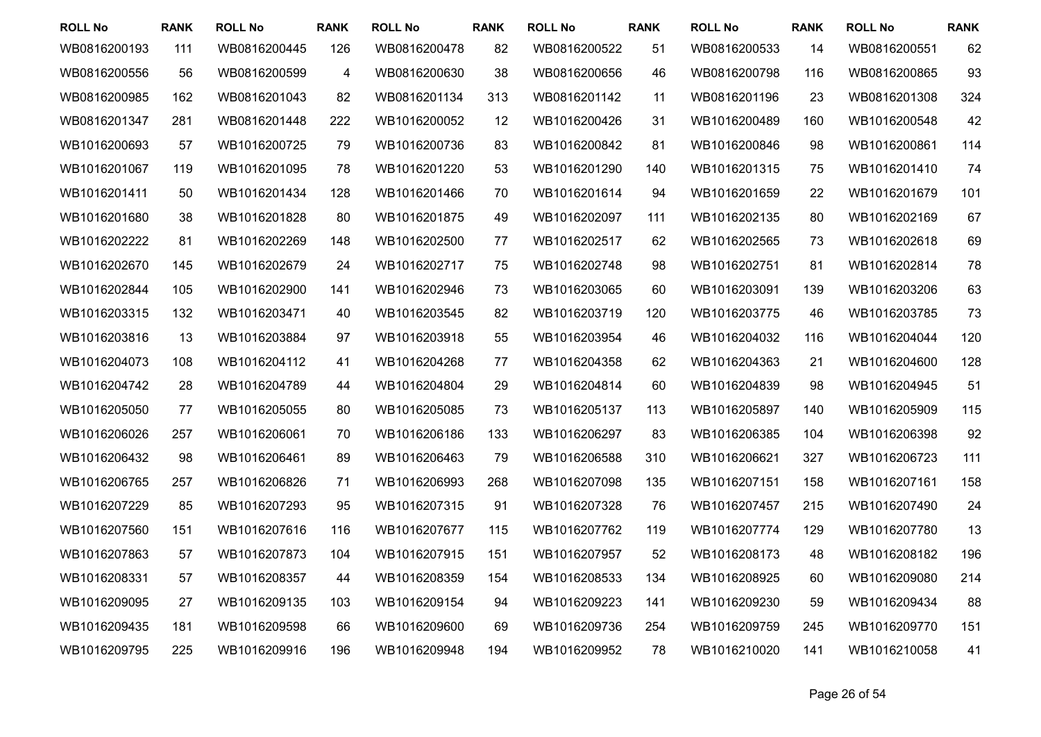| <b>ROLL No</b> | <b>RANK</b> | <b>ROLL No</b> | <b>RANK</b> | <b>ROLL No</b> | <b>RANK</b> | <b>ROLL No</b> | <b>RANK</b> | <b>ROLL No</b> | <b>RANK</b> | <b>ROLL No</b> | <b>RANK</b> |
|----------------|-------------|----------------|-------------|----------------|-------------|----------------|-------------|----------------|-------------|----------------|-------------|
| WB0816200193   | 111         | WB0816200445   | 126         | WB0816200478   | 82          | WB0816200522   | 51          | WB0816200533   | 14          | WB0816200551   | 62          |
| WB0816200556   | 56          | WB0816200599   | 4           | WB0816200630   | 38          | WB0816200656   | 46          | WB0816200798   | 116         | WB0816200865   | 93          |
| WB0816200985   | 162         | WB0816201043   | 82          | WB0816201134   | 313         | WB0816201142   | 11          | WB0816201196   | 23          | WB0816201308   | 324         |
| WB0816201347   | 281         | WB0816201448   | 222         | WB1016200052   | 12          | WB1016200426   | 31          | WB1016200489   | 160         | WB1016200548   | 42          |
| WB1016200693   | 57          | WB1016200725   | 79          | WB1016200736   | 83          | WB1016200842   | 81          | WB1016200846   | 98          | WB1016200861   | 114         |
| WB1016201067   | 119         | WB1016201095   | 78          | WB1016201220   | 53          | WB1016201290   | 140         | WB1016201315   | 75          | WB1016201410   | 74          |
| WB1016201411   | 50          | WB1016201434   | 128         | WB1016201466   | 70          | WB1016201614   | 94          | WB1016201659   | 22          | WB1016201679   | 101         |
| WB1016201680   | 38          | WB1016201828   | 80          | WB1016201875   | 49          | WB1016202097   | 111         | WB1016202135   | 80          | WB1016202169   | 67          |
| WB1016202222   | 81          | WB1016202269   | 148         | WB1016202500   | 77          | WB1016202517   | 62          | WB1016202565   | 73          | WB1016202618   | 69          |
| WB1016202670   | 145         | WB1016202679   | 24          | WB1016202717   | 75          | WB1016202748   | 98          | WB1016202751   | 81          | WB1016202814   | 78          |
| WB1016202844   | 105         | WB1016202900   | 141         | WB1016202946   | 73          | WB1016203065   | 60          | WB1016203091   | 139         | WB1016203206   | 63          |
| WB1016203315   | 132         | WB1016203471   | 40          | WB1016203545   | 82          | WB1016203719   | 120         | WB1016203775   | 46          | WB1016203785   | 73          |
| WB1016203816   | 13          | WB1016203884   | 97          | WB1016203918   | 55          | WB1016203954   | 46          | WB1016204032   | 116         | WB1016204044   | 120         |
| WB1016204073   | 108         | WB1016204112   | 41          | WB1016204268   | 77          | WB1016204358   | 62          | WB1016204363   | 21          | WB1016204600   | 128         |
| WB1016204742   | 28          | WB1016204789   | 44          | WB1016204804   | 29          | WB1016204814   | 60          | WB1016204839   | 98          | WB1016204945   | 51          |
| WB1016205050   | 77          | WB1016205055   | 80          | WB1016205085   | 73          | WB1016205137   | 113         | WB1016205897   | 140         | WB1016205909   | 115         |
| WB1016206026   | 257         | WB1016206061   | 70          | WB1016206186   | 133         | WB1016206297   | 83          | WB1016206385   | 104         | WB1016206398   | 92          |
| WB1016206432   | 98          | WB1016206461   | 89          | WB1016206463   | 79          | WB1016206588   | 310         | WB1016206621   | 327         | WB1016206723   | 111         |
| WB1016206765   | 257         | WB1016206826   | 71          | WB1016206993   | 268         | WB1016207098   | 135         | WB1016207151   | 158         | WB1016207161   | 158         |
| WB1016207229   | 85          | WB1016207293   | 95          | WB1016207315   | 91          | WB1016207328   | 76          | WB1016207457   | 215         | WB1016207490   | 24          |
| WB1016207560   | 151         | WB1016207616   | 116         | WB1016207677   | 115         | WB1016207762   | 119         | WB1016207774   | 129         | WB1016207780   | 13          |
| WB1016207863   | 57          | WB1016207873   | 104         | WB1016207915   | 151         | WB1016207957   | 52          | WB1016208173   | 48          | WB1016208182   | 196         |
| WB1016208331   | 57          | WB1016208357   | 44          | WB1016208359   | 154         | WB1016208533   | 134         | WB1016208925   | 60          | WB1016209080   | 214         |
| WB1016209095   | 27          | WB1016209135   | 103         | WB1016209154   | 94          | WB1016209223   | 141         | WB1016209230   | 59          | WB1016209434   | 88          |
| WB1016209435   | 181         | WB1016209598   | 66          | WB1016209600   | 69          | WB1016209736   | 254         | WB1016209759   | 245         | WB1016209770   | 151         |
| WB1016209795   | 225         | WB1016209916   | 196         | WB1016209948   | 194         | WB1016209952   | 78          | WB1016210020   | 141         | WB1016210058   | 41          |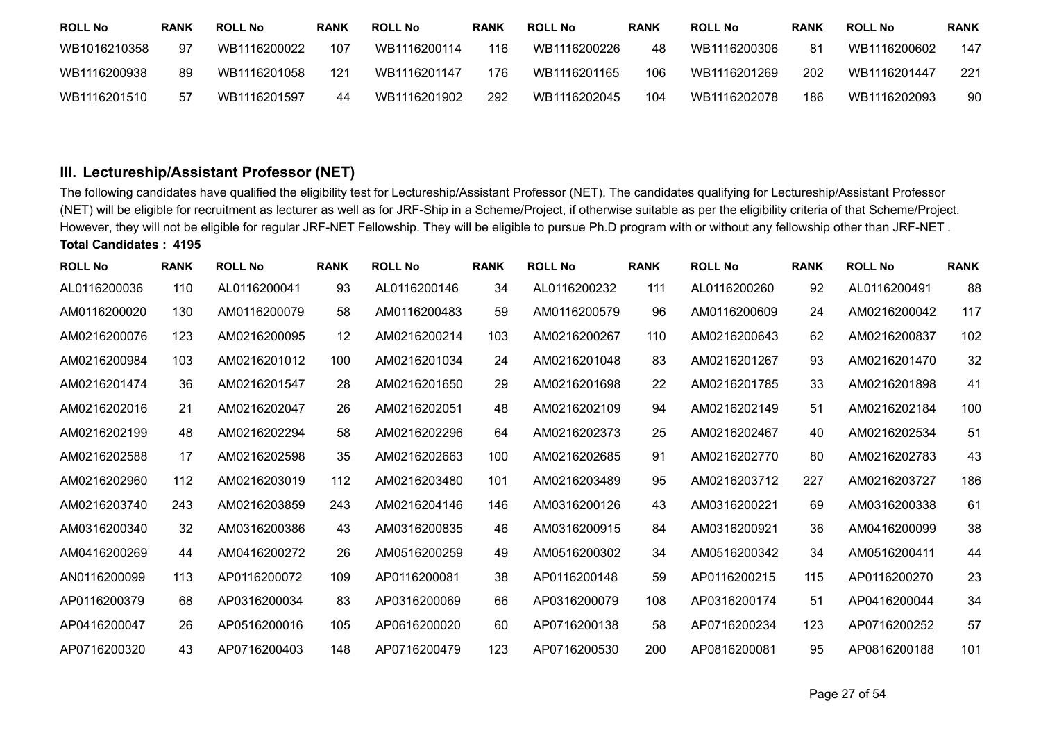| <b>ROLL No</b> | RANK | <b>ROLL No</b> | <b>RANK</b> | <b>ROLL No</b> | <b>RANK</b> | <b>ROLL No</b> | <b>RANK</b> | <b>ROLL No</b> | <b>RANK</b> | <b>ROLL No</b> | <b>RANK</b> |
|----------------|------|----------------|-------------|----------------|-------------|----------------|-------------|----------------|-------------|----------------|-------------|
| WB1016210358   | -97  | WB1116200022   | 107         | WB1116200114   | 116         | WB1116200226   | 48          | WB1116200306   | 81          | WB1116200602   | 147         |
| WB1116200938   | 89   | WB1116201058   | 121         | WB1116201147   | 176         | WB1116201165   | 106         | WB1116201269   | 202         | WB1116201447   | 221         |
| WB1116201510   | 57   | WB1116201597   | 44          | WB1116201902   | 292         | WB1116202045   | 104         | WB1116202078   | 186         | WB1116202093   | 90          |

## **III. Lectureship/Assistant Professor (NET)**

The following candidates have qualified the eligibility test for Lectureship/Assistant Professor (NET). The candidates qualifying for Lectureship/Assistant Professor (NET) will be eligible for recruitment as lecturer as well as for JRF-Ship in a Scheme/Project, if otherwise suitable as per the eligibility criteria of that Scheme/Project. However, they will not be eligible for regular JRF-NET Fellowship. They will be eligible to pursue Ph.D program with or without any fellowship other than JRF-NET . **Total Candidates : <sup>4195</sup>**

| <b>ROLL No</b> | <b>RANK</b> | <b>ROLL No</b> | <b>RANK</b> | <b>ROLL No</b> | <b>RANK</b> | <b>ROLL No</b> | <b>RANK</b> | <b>ROLL No</b> | <b>RANK</b> | <b>ROLL No</b> | <b>RANK</b> |
|----------------|-------------|----------------|-------------|----------------|-------------|----------------|-------------|----------------|-------------|----------------|-------------|
| AL0116200036   | 110         | AL0116200041   | 93          | AL0116200146   | 34          | AL0116200232   | 111         | AL0116200260   | 92          | AL0116200491   | 88          |
| AM0116200020   | 130         | AM0116200079   | 58          | AM0116200483   | 59          | AM0116200579   | 96          | AM0116200609   | 24          | AM0216200042   | 117         |
| AM0216200076   | 123         | AM0216200095   | 12          | AM0216200214   | 103         | AM0216200267   | 110         | AM0216200643   | 62          | AM0216200837   | 102         |
| AM0216200984   | 103         | AM0216201012   | 100         | AM0216201034   | 24          | AM0216201048   | 83          | AM0216201267   | 93          | AM0216201470   | 32          |
| AM0216201474   | 36          | AM0216201547   | 28          | AM0216201650   | 29          | AM0216201698   | 22          | AM0216201785   | 33          | AM0216201898   | 41          |
| AM0216202016   | 21          | AM0216202047   | 26          | AM0216202051   | 48          | AM0216202109   | 94          | AM0216202149   | 51          | AM0216202184   | 100         |
| AM0216202199   | 48          | AM0216202294   | 58          | AM0216202296   | 64          | AM0216202373   | 25          | AM0216202467   | 40          | AM0216202534   | 51          |
| AM0216202588   | 17          | AM0216202598   | 35          | AM0216202663   | 100         | AM0216202685   | 91          | AM0216202770   | 80          | AM0216202783   | 43          |
| AM0216202960   | 112         | AM0216203019   | 112         | AM0216203480   | 101         | AM0216203489   | 95          | AM0216203712   | 227         | AM0216203727   | 186         |
| AM0216203740   | 243         | AM0216203859   | 243         | AM0216204146   | 146         | AM0316200126   | 43          | AM0316200221   | 69          | AM0316200338   | 61          |
| AM0316200340   | 32          | AM0316200386   | 43          | AM0316200835   | 46          | AM0316200915   | 84          | AM0316200921   | 36          | AM0416200099   | 38          |
| AM0416200269   | 44          | AM0416200272   | 26          | AM0516200259   | 49          | AM0516200302   | 34          | AM0516200342   | 34          | AM0516200411   | 44          |
| AN0116200099   | 113         | AP0116200072   | 109         | AP0116200081   | 38          | AP0116200148   | 59          | AP0116200215   | 115         | AP0116200270   | 23          |
| AP0116200379   | 68          | AP0316200034   | 83          | AP0316200069   | 66          | AP0316200079   | 108         | AP0316200174   | 51          | AP0416200044   | 34          |
| AP0416200047   | 26          | AP0516200016   | 105         | AP0616200020   | 60          | AP0716200138   | 58          | AP0716200234   | 123         | AP0716200252   | 57          |
| AP0716200320   | 43          | AP0716200403   | 148         | AP0716200479   | 123         | AP0716200530   | 200         | AP0816200081   | 95          | AP0816200188   | 101         |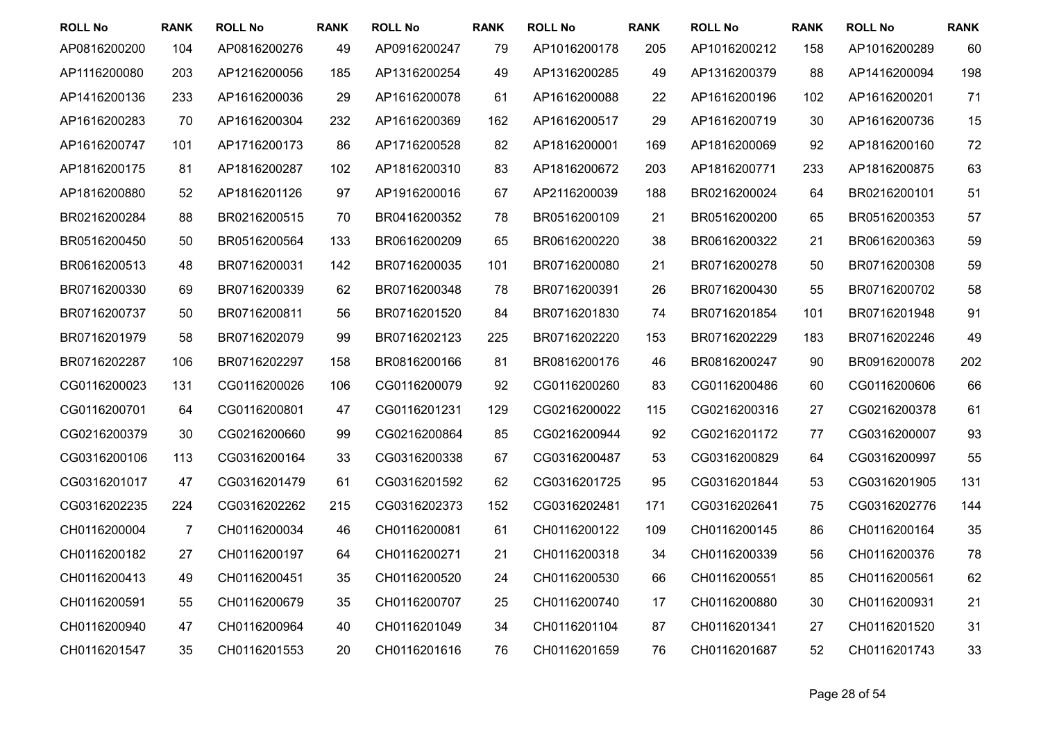| <b>ROLL No</b> | <b>RANK</b> | <b>ROLL No</b> | <b>RANK</b> | <b>ROLL No</b> | <b>RANK</b> | <b>ROLL No</b> | <b>RANK</b> | <b>ROLL No</b> | <b>RANK</b> | <b>ROLL No</b> | <b>RANK</b> |
|----------------|-------------|----------------|-------------|----------------|-------------|----------------|-------------|----------------|-------------|----------------|-------------|
| AP0816200200   | 104         | AP0816200276   | 49          | AP0916200247   | 79          | AP1016200178   | 205         | AP1016200212   | 158         | AP1016200289   | 60          |
| AP1116200080   | 203         | AP1216200056   | 185         | AP1316200254   | 49          | AP1316200285   | 49          | AP1316200379   | 88          | AP1416200094   | 198         |
| AP1416200136   | 233         | AP1616200036   | 29          | AP1616200078   | 61          | AP1616200088   | 22          | AP1616200196   | 102         | AP1616200201   | 71          |
| AP1616200283   | 70          | AP1616200304   | 232         | AP1616200369   | 162         | AP1616200517   | 29          | AP1616200719   | 30          | AP1616200736   | 15          |
| AP1616200747   | 101         | AP1716200173   | 86          | AP1716200528   | 82          | AP1816200001   | 169         | AP1816200069   | 92          | AP1816200160   | 72          |
| AP1816200175   | 81          | AP1816200287   | 102         | AP1816200310   | 83          | AP1816200672   | 203         | AP1816200771   | 233         | AP1816200875   | 63          |
| AP1816200880   | 52          | AP1816201126   | 97          | AP1916200016   | 67          | AP2116200039   | 188         | BR0216200024   | 64          | BR0216200101   | 51          |
| BR0216200284   | 88          | BR0216200515   | 70          | BR0416200352   | 78          | BR0516200109   | 21          | BR0516200200   | 65          | BR0516200353   | 57          |
| BR0516200450   | 50          | BR0516200564   | 133         | BR0616200209   | 65          | BR0616200220   | 38          | BR0616200322   | 21          | BR0616200363   | 59          |
| BR0616200513   | 48          | BR0716200031   | 142         | BR0716200035   | 101         | BR0716200080   | 21          | BR0716200278   | 50          | BR0716200308   | 59          |
| BR0716200330   | 69          | BR0716200339   | 62          | BR0716200348   | 78          | BR0716200391   | 26          | BR0716200430   | 55          | BR0716200702   | 58          |
| BR0716200737   | 50          | BR0716200811   | 56          | BR0716201520   | 84          | BR0716201830   | 74          | BR0716201854   | 101         | BR0716201948   | 91          |
| BR0716201979   | 58          | BR0716202079   | 99          | BR0716202123   | 225         | BR0716202220   | 153         | BR0716202229   | 183         | BR0716202246   | 49          |
| BR0716202287   | 106         | BR0716202297   | 158         | BR0816200166   | 81          | BR0816200176   | 46          | BR0816200247   | 90          | BR0916200078   | 202         |
| CG0116200023   | 131         | CG0116200026   | 106         | CG0116200079   | 92          | CG0116200260   | 83          | CG0116200486   | 60          | CG0116200606   | 66          |
| CG0116200701   | 64          | CG0116200801   | 47          | CG0116201231   | 129         | CG0216200022   | 115         | CG0216200316   | 27          | CG0216200378   | 61          |
| CG0216200379   | 30          | CG0216200660   | 99          | CG0216200864   | 85          | CG0216200944   | 92          | CG0216201172   | 77          | CG0316200007   | 93          |
| CG0316200106   | 113         | CG0316200164   | 33          | CG0316200338   | 67          | CG0316200487   | 53          | CG0316200829   | 64          | CG0316200997   | 55          |
| CG0316201017   | 47          | CG0316201479   | 61          | CG0316201592   | 62          | CG0316201725   | 95          | CG0316201844   | 53          | CG0316201905   | 131         |
| CG0316202235   | 224         | CG0316202262   | 215         | CG0316202373   | 152         | CG0316202481   | 171         | CG0316202641   | 75          | CG0316202776   | 144         |
| CH0116200004   | 7           | CH0116200034   | 46          | CH0116200081   | 61          | CH0116200122   | 109         | CH0116200145   | 86          | CH0116200164   | 35          |
| CH0116200182   | 27          | CH0116200197   | 64          | CH0116200271   | 21          | CH0116200318   | 34          | CH0116200339   | 56          | CH0116200376   | 78          |
| CH0116200413   | 49          | CH0116200451   | 35          | CH0116200520   | 24          | CH0116200530   | 66          | CH0116200551   | 85          | CH0116200561   | 62          |
| CH0116200591   | 55          | CH0116200679   | 35          | CH0116200707   | 25          | CH0116200740   | 17          | CH0116200880   | 30          | CH0116200931   | 21          |
| CH0116200940   | 47          | CH0116200964   | 40          | CH0116201049   | 34          | CH0116201104   | 87          | CH0116201341   | 27          | CH0116201520   | 31          |
| CH0116201547   | 35          | CH0116201553   | 20          | CH0116201616   | 76          | CH0116201659   | 76          | CH0116201687   | 52          | CH0116201743   | 33          |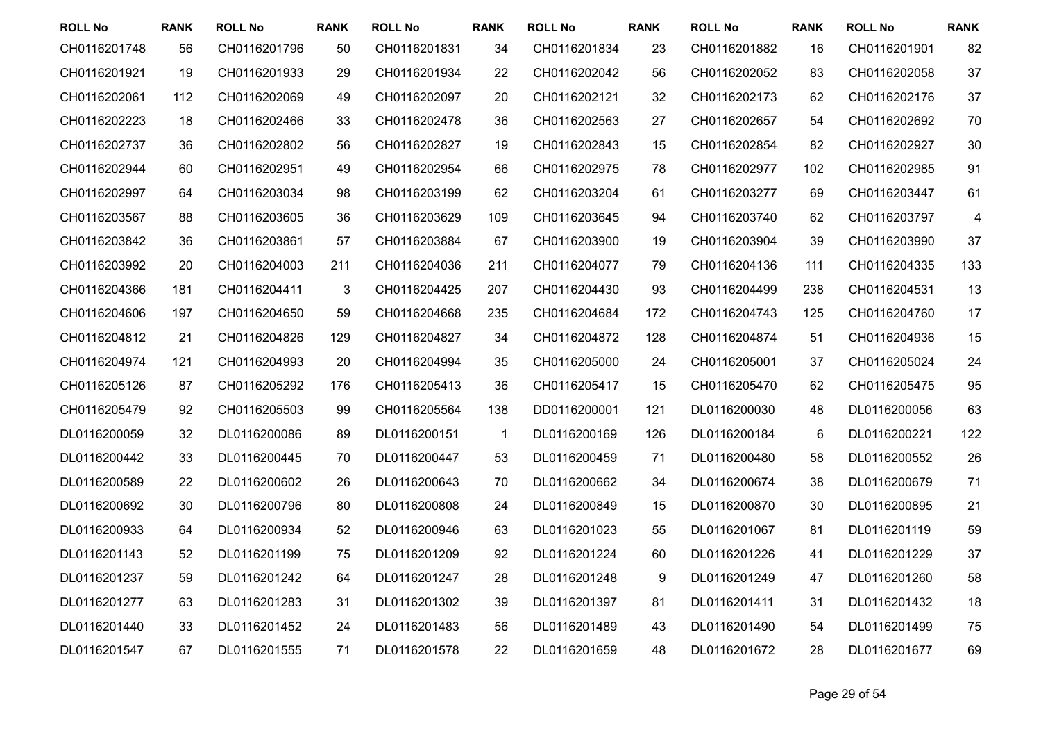| <b>ROLL No</b> | <b>RANK</b> | <b>ROLL No</b> | RANK | <b>ROLL No</b> | <b>RANK</b>  | <b>ROLL No</b> | <b>RANK</b> | <b>ROLL No</b> | <b>RANK</b> | <b>ROLL No</b> | <b>RANK</b> |
|----------------|-------------|----------------|------|----------------|--------------|----------------|-------------|----------------|-------------|----------------|-------------|
| CH0116201748   | 56          | CH0116201796   | 50   | CH0116201831   | 34           | CH0116201834   | 23          | CH0116201882   | 16          | CH0116201901   | 82          |
| CH0116201921   | 19          | CH0116201933   | 29   | CH0116201934   | 22           | CH0116202042   | 56          | CH0116202052   | 83          | CH0116202058   | 37          |
| CH0116202061   | 112         | CH0116202069   | 49   | CH0116202097   | 20           | CH0116202121   | 32          | CH0116202173   | 62          | CH0116202176   | 37          |
| CH0116202223   | 18          | CH0116202466   | 33   | CH0116202478   | 36           | CH0116202563   | 27          | CH0116202657   | 54          | CH0116202692   | 70          |
| CH0116202737   | 36          | CH0116202802   | 56   | CH0116202827   | 19           | CH0116202843   | 15          | CH0116202854   | 82          | CH0116202927   | 30          |
| CH0116202944   | 60          | CH0116202951   | 49   | CH0116202954   | 66           | CH0116202975   | 78          | CH0116202977   | 102         | CH0116202985   | 91          |
| CH0116202997   | 64          | CH0116203034   | 98   | CH0116203199   | 62           | CH0116203204   | 61          | CH0116203277   | 69          | CH0116203447   | 61          |
| CH0116203567   | 88          | CH0116203605   | 36   | CH0116203629   | 109          | CH0116203645   | 94          | CH0116203740   | 62          | CH0116203797   | 4           |
| CH0116203842   | 36          | CH0116203861   | 57   | CH0116203884   | 67           | CH0116203900   | 19          | CH0116203904   | 39          | CH0116203990   | 37          |
| CH0116203992   | 20          | CH0116204003   | 211  | CH0116204036   | 211          | CH0116204077   | 79          | CH0116204136   | 111         | CH0116204335   | 133         |
| CH0116204366   | 181         | CH0116204411   | 3    | CH0116204425   | 207          | CH0116204430   | 93          | CH0116204499   | 238         | CH0116204531   | 13          |
| CH0116204606   | 197         | CH0116204650   | 59   | CH0116204668   | 235          | CH0116204684   | 172         | CH0116204743   | 125         | CH0116204760   | 17          |
| CH0116204812   | 21          | CH0116204826   | 129  | CH0116204827   | 34           | CH0116204872   | 128         | CH0116204874   | 51          | CH0116204936   | 15          |
| CH0116204974   | 121         | CH0116204993   | 20   | CH0116204994   | 35           | CH0116205000   | 24          | CH0116205001   | 37          | CH0116205024   | 24          |
| CH0116205126   | 87          | CH0116205292   | 176  | CH0116205413   | 36           | CH0116205417   | 15          | CH0116205470   | 62          | CH0116205475   | 95          |
| CH0116205479   | 92          | CH0116205503   | 99   | CH0116205564   | 138          | DD0116200001   | 121         | DL0116200030   | 48          | DL0116200056   | 63          |
| DL0116200059   | 32          | DL0116200086   | 89   | DL0116200151   | $\mathbf{1}$ | DL0116200169   | 126         | DL0116200184   | 6           | DL0116200221   | 122         |
| DL0116200442   | 33          | DL0116200445   | 70   | DL0116200447   | 53           | DL0116200459   | 71          | DL0116200480   | 58          | DL0116200552   | 26          |
| DL0116200589   | 22          | DL0116200602   | 26   | DL0116200643   | 70           | DL0116200662   | 34          | DL0116200674   | 38          | DL0116200679   | 71          |
| DL0116200692   | 30          | DL0116200796   | 80   | DL0116200808   | 24           | DL0116200849   | 15          | DL0116200870   | 30          | DL0116200895   | 21          |
| DL0116200933   | 64          | DL0116200934   | 52   | DL0116200946   | 63           | DL0116201023   | 55          | DL0116201067   | 81          | DL0116201119   | 59          |
| DL0116201143   | 52          | DL0116201199   | 75   | DL0116201209   | 92           | DL0116201224   | 60          | DL0116201226   | 41          | DL0116201229   | 37          |
| DL0116201237   | 59          | DL0116201242   | 64   | DL0116201247   | 28           | DL0116201248   | 9           | DL0116201249   | 47          | DL0116201260   | 58          |
| DL0116201277   | 63          | DL0116201283   | 31   | DL0116201302   | 39           | DL0116201397   | 81          | DL0116201411   | 31          | DL0116201432   | 18          |
| DL0116201440   | 33          | DL0116201452   | 24   | DL0116201483   | 56           | DL0116201489   | 43          | DL0116201490   | 54          | DL0116201499   | 75          |
| DL0116201547   | 67          | DL0116201555   | 71   | DL0116201578   | 22           | DL0116201659   | 48          | DL0116201672   | 28          | DL0116201677   | 69          |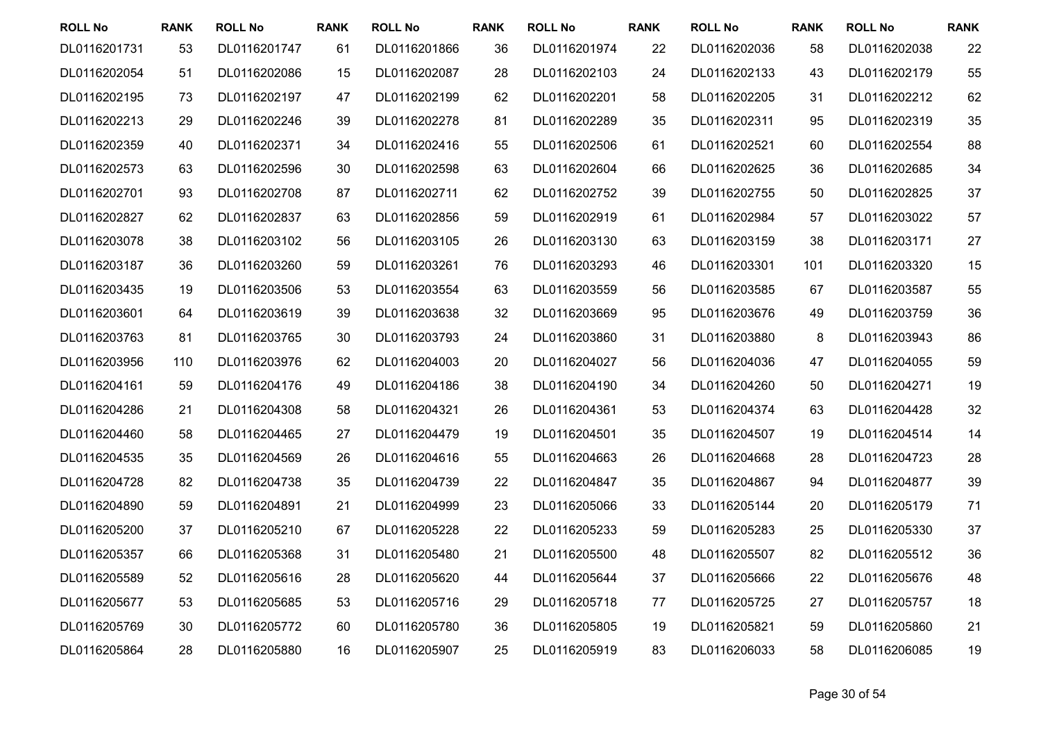| <b>ROLL No</b> | <b>RANK</b> | <b>ROLL No</b> | <b>RANK</b> | <b>ROLL No</b> | <b>RANK</b> | <b>ROLL No</b> | <b>RANK</b> | <b>ROLL No</b> | <b>RANK</b> | <b>ROLL No</b> | <b>RANK</b> |
|----------------|-------------|----------------|-------------|----------------|-------------|----------------|-------------|----------------|-------------|----------------|-------------|
| DL0116201731   | 53          | DL0116201747   | 61          | DL0116201866   | 36          | DL0116201974   | 22          | DL0116202036   | 58          | DL0116202038   | 22          |
| DL0116202054   | 51          | DL0116202086   | 15          | DL0116202087   | 28          | DL0116202103   | 24          | DL0116202133   | 43          | DL0116202179   | 55          |
| DL0116202195   | 73          | DL0116202197   | 47          | DL0116202199   | 62          | DL0116202201   | 58          | DL0116202205   | 31          | DL0116202212   | 62          |
| DL0116202213   | 29          | DL0116202246   | 39          | DL0116202278   | 81          | DL0116202289   | 35          | DL0116202311   | 95          | DL0116202319   | 35          |
| DL0116202359   | 40          | DL0116202371   | 34          | DL0116202416   | 55          | DL0116202506   | 61          | DL0116202521   | 60          | DL0116202554   | 88          |
| DL0116202573   | 63          | DL0116202596   | 30          | DL0116202598   | 63          | DL0116202604   | 66          | DL0116202625   | 36          | DL0116202685   | 34          |
| DL0116202701   | 93          | DL0116202708   | 87          | DL0116202711   | 62          | DL0116202752   | 39          | DL0116202755   | 50          | DL0116202825   | 37          |
| DL0116202827   | 62          | DL0116202837   | 63          | DL0116202856   | 59          | DL0116202919   | 61          | DL0116202984   | 57          | DL0116203022   | 57          |
| DL0116203078   | 38          | DL0116203102   | 56          | DL0116203105   | 26          | DL0116203130   | 63          | DL0116203159   | 38          | DL0116203171   | 27          |
| DL0116203187   | 36          | DL0116203260   | 59          | DL0116203261   | 76          | DL0116203293   | 46          | DL0116203301   | 101         | DL0116203320   | 15          |
| DL0116203435   | 19          | DL0116203506   | 53          | DL0116203554   | 63          | DL0116203559   | 56          | DL0116203585   | 67          | DL0116203587   | 55          |
| DL0116203601   | 64          | DL0116203619   | 39          | DL0116203638   | 32          | DL0116203669   | 95          | DL0116203676   | 49          | DL0116203759   | 36          |
| DL0116203763   | 81          | DL0116203765   | 30          | DL0116203793   | 24          | DL0116203860   | 31          | DL0116203880   | 8           | DL0116203943   | 86          |
| DL0116203956   | 110         | DL0116203976   | 62          | DL0116204003   | 20          | DL0116204027   | 56          | DL0116204036   | 47          | DL0116204055   | 59          |
| DL0116204161   | 59          | DL0116204176   | 49          | DL0116204186   | 38          | DL0116204190   | 34          | DL0116204260   | 50          | DL0116204271   | 19          |
| DL0116204286   | 21          | DL0116204308   | 58          | DL0116204321   | 26          | DL0116204361   | 53          | DL0116204374   | 63          | DL0116204428   | 32          |
| DL0116204460   | 58          | DL0116204465   | 27          | DL0116204479   | 19          | DL0116204501   | 35          | DL0116204507   | 19          | DL0116204514   | 14          |
| DL0116204535   | 35          | DL0116204569   | 26          | DL0116204616   | 55          | DL0116204663   | 26          | DL0116204668   | 28          | DL0116204723   | 28          |
| DL0116204728   | 82          | DL0116204738   | 35          | DL0116204739   | 22          | DL0116204847   | 35          | DL0116204867   | 94          | DL0116204877   | 39          |
| DL0116204890   | 59          | DL0116204891   | 21          | DL0116204999   | 23          | DL0116205066   | 33          | DL0116205144   | 20          | DL0116205179   | 71          |
| DL0116205200   | 37          | DL0116205210   | 67          | DL0116205228   | 22          | DL0116205233   | 59          | DL0116205283   | 25          | DL0116205330   | 37          |
| DL0116205357   | 66          | DL0116205368   | 31          | DL0116205480   | 21          | DL0116205500   | 48          | DL0116205507   | 82          | DL0116205512   | 36          |
| DL0116205589   | 52          | DL0116205616   | 28          | DL0116205620   | 44          | DL0116205644   | 37          | DL0116205666   | 22          | DL0116205676   | 48          |
| DL0116205677   | 53          | DL0116205685   | 53          | DL0116205716   | 29          | DL0116205718   | 77          | DL0116205725   | 27          | DL0116205757   | 18          |
| DL0116205769   | 30          | DL0116205772   | 60          | DL0116205780   | 36          | DL0116205805   | 19          | DL0116205821   | 59          | DL0116205860   | 21          |
| DL0116205864   | 28          | DL0116205880   | 16          | DL0116205907   | 25          | DL0116205919   | 83          | DL0116206033   | 58          | DL0116206085   | 19          |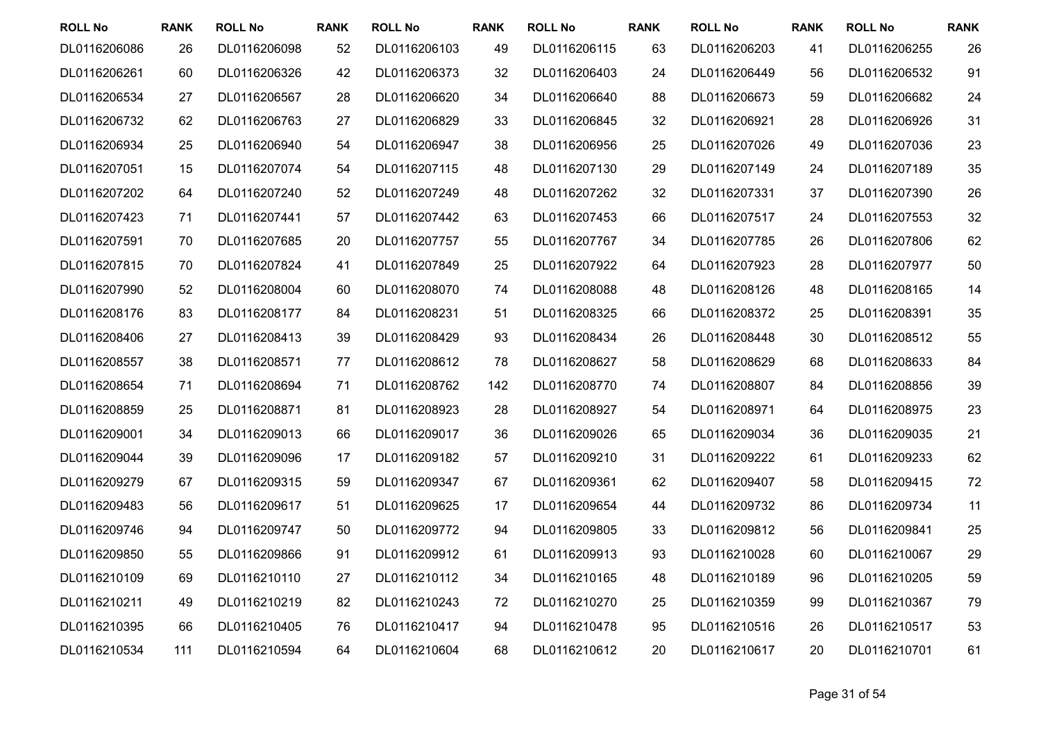| <b>ROLL No</b> | <b>RANK</b> | <b>ROLL No</b> | <b>RANK</b> | <b>ROLL No</b> | <b>RANK</b> | <b>ROLL No</b> | <b>RANK</b> | <b>ROLL No</b> | <b>RANK</b> | <b>ROLL No</b> | <b>RANK</b> |
|----------------|-------------|----------------|-------------|----------------|-------------|----------------|-------------|----------------|-------------|----------------|-------------|
| DL0116206086   | 26          | DL0116206098   | 52          | DL0116206103   | 49          | DL0116206115   | 63          | DL0116206203   | 41          | DL0116206255   | 26          |
| DL0116206261   | 60          | DL0116206326   | 42          | DL0116206373   | 32          | DL0116206403   | 24          | DL0116206449   | 56          | DL0116206532   | 91          |
| DL0116206534   | 27          | DL0116206567   | 28          | DL0116206620   | 34          | DL0116206640   | 88          | DL0116206673   | 59          | DL0116206682   | 24          |
| DL0116206732   | 62          | DL0116206763   | 27          | DL0116206829   | 33          | DL0116206845   | 32          | DL0116206921   | 28          | DL0116206926   | 31          |
| DL0116206934   | 25          | DL0116206940   | 54          | DL0116206947   | 38          | DL0116206956   | 25          | DL0116207026   | 49          | DL0116207036   | 23          |
| DL0116207051   | 15          | DL0116207074   | 54          | DL0116207115   | 48          | DL0116207130   | 29          | DL0116207149   | 24          | DL0116207189   | 35          |
| DL0116207202   | 64          | DL0116207240   | 52          | DL0116207249   | 48          | DL0116207262   | 32          | DL0116207331   | 37          | DL0116207390   | 26          |
| DL0116207423   | 71          | DL0116207441   | 57          | DL0116207442   | 63          | DL0116207453   | 66          | DL0116207517   | 24          | DL0116207553   | 32          |
| DL0116207591   | 70          | DL0116207685   | 20          | DL0116207757   | 55          | DL0116207767   | 34          | DL0116207785   | 26          | DL0116207806   | 62          |
| DL0116207815   | 70          | DL0116207824   | 41          | DL0116207849   | 25          | DL0116207922   | 64          | DL0116207923   | 28          | DL0116207977   | 50          |
| DL0116207990   | 52          | DL0116208004   | 60          | DL0116208070   | 74          | DL0116208088   | 48          | DL0116208126   | 48          | DL0116208165   | 14          |
| DL0116208176   | 83          | DL0116208177   | 84          | DL0116208231   | 51          | DL0116208325   | 66          | DL0116208372   | 25          | DL0116208391   | 35          |
| DL0116208406   | 27          | DL0116208413   | 39          | DL0116208429   | 93          | DL0116208434   | 26          | DL0116208448   | 30          | DL0116208512   | 55          |
| DL0116208557   | 38          | DL0116208571   | 77          | DL0116208612   | 78          | DL0116208627   | 58          | DL0116208629   | 68          | DL0116208633   | 84          |
| DL0116208654   | 71          | DL0116208694   | 71          | DL0116208762   | 142         | DL0116208770   | 74          | DL0116208807   | 84          | DL0116208856   | 39          |
| DL0116208859   | 25          | DL0116208871   | 81          | DL0116208923   | 28          | DL0116208927   | 54          | DL0116208971   | 64          | DL0116208975   | 23          |
| DL0116209001   | 34          | DL0116209013   | 66          | DL0116209017   | 36          | DL0116209026   | 65          | DL0116209034   | 36          | DL0116209035   | 21          |
| DL0116209044   | 39          | DL0116209096   | 17          | DL0116209182   | 57          | DL0116209210   | 31          | DL0116209222   | 61          | DL0116209233   | 62          |
| DL0116209279   | 67          | DL0116209315   | 59          | DL0116209347   | 67          | DL0116209361   | 62          | DL0116209407   | 58          | DL0116209415   | 72          |
| DL0116209483   | 56          | DL0116209617   | 51          | DL0116209625   | 17          | DL0116209654   | 44          | DL0116209732   | 86          | DL0116209734   | 11          |
| DL0116209746   | 94          | DL0116209747   | 50          | DL0116209772   | 94          | DL0116209805   | 33          | DL0116209812   | 56          | DL0116209841   | 25          |
| DL0116209850   | 55          | DL0116209866   | 91          | DL0116209912   | 61          | DL0116209913   | 93          | DL0116210028   | 60          | DL0116210067   | 29          |
| DL0116210109   | 69          | DL0116210110   | 27          | DL0116210112   | 34          | DL0116210165   | 48          | DL0116210189   | 96          | DL0116210205   | 59          |
| DL0116210211   | 49          | DL0116210219   | 82          | DL0116210243   | 72          | DL0116210270   | 25          | DL0116210359   | 99          | DL0116210367   | 79          |
| DL0116210395   | 66          | DL0116210405   | 76          | DL0116210417   | 94          | DL0116210478   | 95          | DL0116210516   | 26          | DL0116210517   | 53          |
| DL0116210534   | 111         | DL0116210594   | 64          | DL0116210604   | 68          | DL0116210612   | 20          | DL0116210617   | 20          | DL0116210701   | 61          |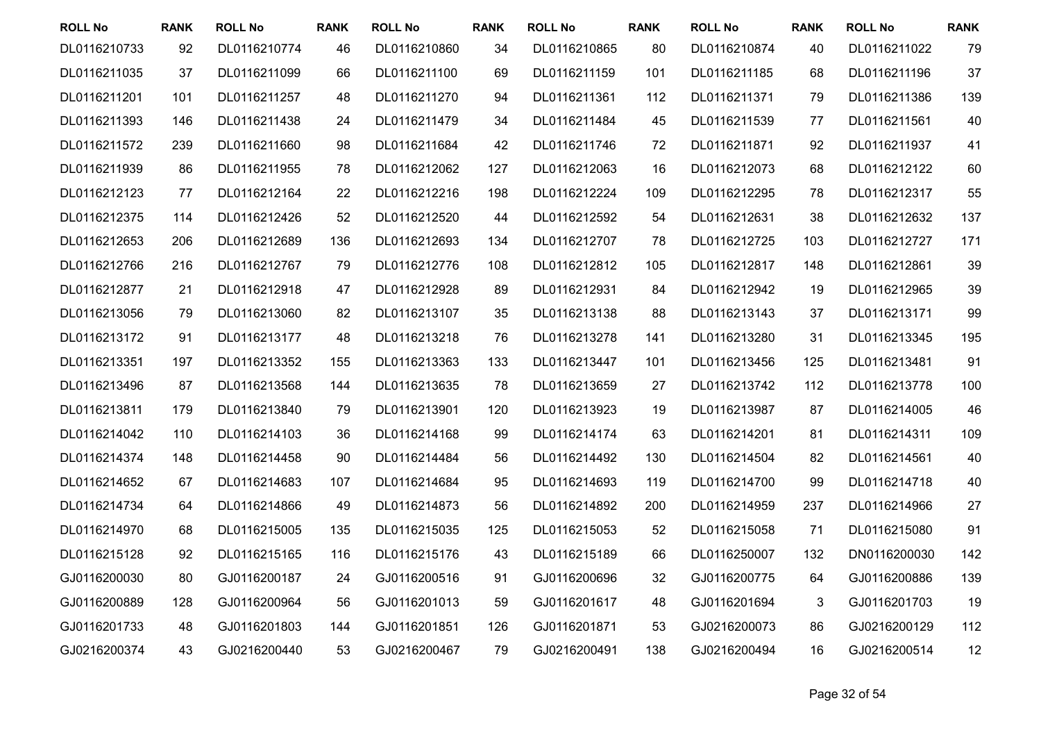| <b>ROLL No</b> | <b>RANK</b> | <b>ROLL No</b> | <b>RANK</b> | <b>ROLL No</b> | <b>RANK</b> | <b>ROLL No</b> | <b>RANK</b> | <b>ROLL No</b> | <b>RANK</b> | <b>ROLL No</b> | <b>RANK</b> |
|----------------|-------------|----------------|-------------|----------------|-------------|----------------|-------------|----------------|-------------|----------------|-------------|
| DL0116210733   | 92          | DL0116210774   | 46          | DL0116210860   | 34          | DL0116210865   | 80          | DL0116210874   | 40          | DL0116211022   | 79          |
| DL0116211035   | 37          | DL0116211099   | 66          | DL0116211100   | 69          | DL0116211159   | 101         | DL0116211185   | 68          | DL0116211196   | 37          |
| DL0116211201   | 101         | DL0116211257   | 48          | DL0116211270   | 94          | DL0116211361   | 112         | DL0116211371   | 79          | DL0116211386   | 139         |
| DL0116211393   | 146         | DL0116211438   | 24          | DL0116211479   | 34          | DL0116211484   | 45          | DL0116211539   | 77          | DL0116211561   | 40          |
| DL0116211572   | 239         | DL0116211660   | 98          | DL0116211684   | 42          | DL0116211746   | 72          | DL0116211871   | 92          | DL0116211937   | 41          |
| DL0116211939   | 86          | DL0116211955   | 78          | DL0116212062   | 127         | DL0116212063   | 16          | DL0116212073   | 68          | DL0116212122   | 60          |
| DL0116212123   | 77          | DL0116212164   | 22          | DL0116212216   | 198         | DL0116212224   | 109         | DL0116212295   | 78          | DL0116212317   | 55          |
| DL0116212375   | 114         | DL0116212426   | 52          | DL0116212520   | 44          | DL0116212592   | 54          | DL0116212631   | 38          | DL0116212632   | 137         |
| DL0116212653   | 206         | DL0116212689   | 136         | DL0116212693   | 134         | DL0116212707   | 78          | DL0116212725   | 103         | DL0116212727   | 171         |
| DL0116212766   | 216         | DL0116212767   | 79          | DL0116212776   | 108         | DL0116212812   | 105         | DL0116212817   | 148         | DL0116212861   | 39          |
| DL0116212877   | 21          | DL0116212918   | 47          | DL0116212928   | 89          | DL0116212931   | 84          | DL0116212942   | 19          | DL0116212965   | 39          |
| DL0116213056   | 79          | DL0116213060   | 82          | DL0116213107   | 35          | DL0116213138   | 88          | DL0116213143   | 37          | DL0116213171   | 99          |
| DL0116213172   | 91          | DL0116213177   | 48          | DL0116213218   | 76          | DL0116213278   | 141         | DL0116213280   | 31          | DL0116213345   | 195         |
| DL0116213351   | 197         | DL0116213352   | 155         | DL0116213363   | 133         | DL0116213447   | 101         | DL0116213456   | 125         | DL0116213481   | 91          |
| DL0116213496   | 87          | DL0116213568   | 144         | DL0116213635   | 78          | DL0116213659   | 27          | DL0116213742   | 112         | DL0116213778   | 100         |
| DL0116213811   | 179         | DL0116213840   | 79          | DL0116213901   | 120         | DL0116213923   | 19          | DL0116213987   | 87          | DL0116214005   | 46          |
| DL0116214042   | 110         | DL0116214103   | 36          | DL0116214168   | 99          | DL0116214174   | 63          | DL0116214201   | 81          | DL0116214311   | 109         |
| DL0116214374   | 148         | DL0116214458   | 90          | DL0116214484   | 56          | DL0116214492   | 130         | DL0116214504   | 82          | DL0116214561   | 40          |
| DL0116214652   | 67          | DL0116214683   | 107         | DL0116214684   | 95          | DL0116214693   | 119         | DL0116214700   | 99          | DL0116214718   | 40          |
| DL0116214734   | 64          | DL0116214866   | 49          | DL0116214873   | 56          | DL0116214892   | 200         | DL0116214959   | 237         | DL0116214966   | 27          |
| DL0116214970   | 68          | DL0116215005   | 135         | DL0116215035   | 125         | DL0116215053   | 52          | DL0116215058   | 71          | DL0116215080   | 91          |
| DL0116215128   | 92          | DL0116215165   | 116         | DL0116215176   | 43          | DL0116215189   | 66          | DL0116250007   | 132         | DN0116200030   | 142         |
| GJ0116200030   | 80          | GJ0116200187   | 24          | GJ0116200516   | 91          | GJ0116200696   | 32          | GJ0116200775   | 64          | GJ0116200886   | 139         |
| GJ0116200889   | 128         | GJ0116200964   | 56          | GJ0116201013   | 59          | GJ0116201617   | 48          | GJ0116201694   | 3           | GJ0116201703   | 19          |
| GJ0116201733   | 48          | GJ0116201803   | 144         | GJ0116201851   | 126         | GJ0116201871   | 53          | GJ0216200073   | 86          | GJ0216200129   | 112         |
| GJ0216200374   | 43          | GJ0216200440   | 53          | GJ0216200467   | 79          | GJ0216200491   | 138         | GJ0216200494   | 16          | GJ0216200514   | 12          |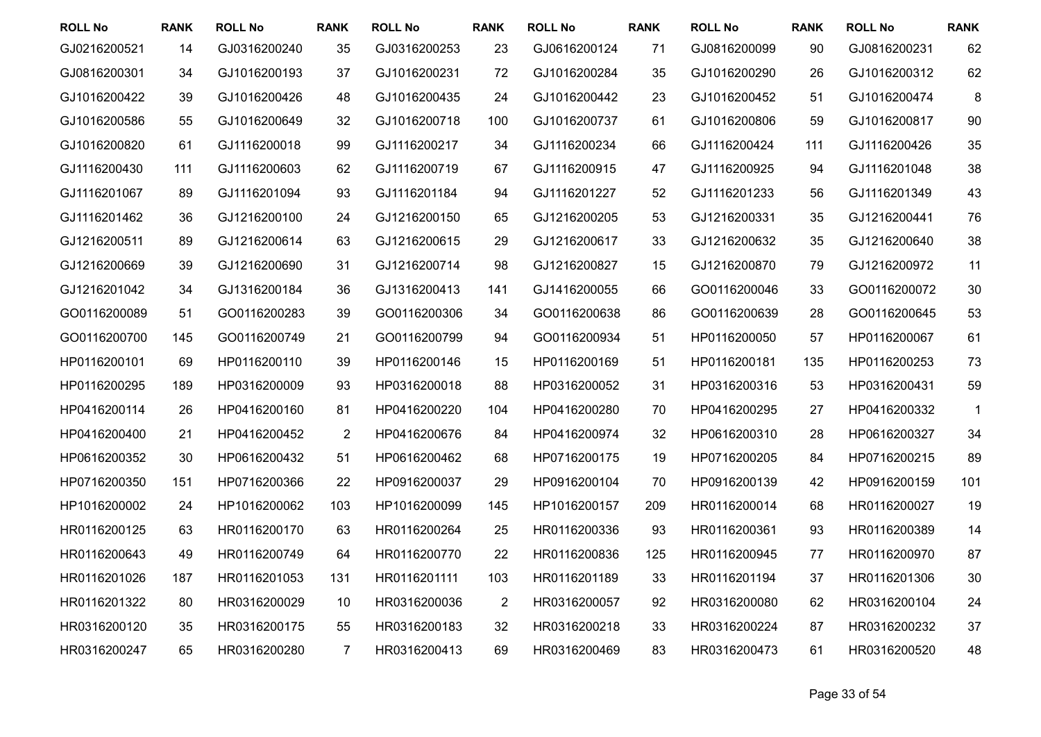| <b>ROLL No</b> | <b>RANK</b> | <b>ROLL No</b> | <b>RANK</b>    | <b>ROLL No</b> | <b>RANK</b>    | <b>ROLL No</b> | <b>RANK</b> | <b>ROLL No</b> | <b>RANK</b> | <b>ROLL No</b> | <b>RANK</b> |
|----------------|-------------|----------------|----------------|----------------|----------------|----------------|-------------|----------------|-------------|----------------|-------------|
| GJ0216200521   | 14          | GJ0316200240   | 35             | GJ0316200253   | 23             | GJ0616200124   | 71          | GJ0816200099   | 90          | GJ0816200231   | 62          |
| GJ0816200301   | 34          | GJ1016200193   | 37             | GJ1016200231   | 72             | GJ1016200284   | 35          | GJ1016200290   | 26          | GJ1016200312   | 62          |
| GJ1016200422   | 39          | GJ1016200426   | 48             | GJ1016200435   | 24             | GJ1016200442   | 23          | GJ1016200452   | 51          | GJ1016200474   | 8           |
| GJ1016200586   | 55          | GJ1016200649   | 32             | GJ1016200718   | 100            | GJ1016200737   | 61          | GJ1016200806   | 59          | GJ1016200817   | 90          |
| GJ1016200820   | 61          | GJ1116200018   | 99             | GJ1116200217   | 34             | GJ1116200234   | 66          | GJ1116200424   | 111         | GJ1116200426   | 35          |
| GJ1116200430   | 111         | GJ1116200603   | 62             | GJ1116200719   | 67             | GJ1116200915   | 47          | GJ1116200925   | 94          | GJ1116201048   | 38          |
| GJ1116201067   | 89          | GJ1116201094   | 93             | GJ1116201184   | 94             | GJ1116201227   | 52          | GJ1116201233   | 56          | GJ1116201349   | 43          |
| GJ1116201462   | 36          | GJ1216200100   | 24             | GJ1216200150   | 65             | GJ1216200205   | 53          | GJ1216200331   | 35          | GJ1216200441   | 76          |
| GJ1216200511   | 89          | GJ1216200614   | 63             | GJ1216200615   | 29             | GJ1216200617   | 33          | GJ1216200632   | 35          | GJ1216200640   | 38          |
| GJ1216200669   | 39          | GJ1216200690   | 31             | GJ1216200714   | 98             | GJ1216200827   | 15          | GJ1216200870   | 79          | GJ1216200972   | 11          |
| GJ1216201042   | 34          | GJ1316200184   | 36             | GJ1316200413   | 141            | GJ1416200055   | 66          | GO0116200046   | 33          | GO0116200072   | 30          |
| GO0116200089   | 51          | GO0116200283   | 39             | GO0116200306   | 34             | GO0116200638   | 86          | GO0116200639   | 28          | GO0116200645   | 53          |
| GO0116200700   | 145         | GO0116200749   | 21             | GO0116200799   | 94             | GO0116200934   | 51          | HP0116200050   | 57          | HP0116200067   | 61          |
| HP0116200101   | 69          | HP0116200110   | 39             | HP0116200146   | 15             | HP0116200169   | 51          | HP0116200181   | 135         | HP0116200253   | 73          |
| HP0116200295   | 189         | HP0316200009   | 93             | HP0316200018   | 88             | HP0316200052   | 31          | HP0316200316   | 53          | HP0316200431   | 59          |
| HP0416200114   | 26          | HP0416200160   | 81             | HP0416200220   | 104            | HP0416200280   | 70          | HP0416200295   | 27          | HP0416200332   | 1           |
| HP0416200400   | 21          | HP0416200452   | $\overline{2}$ | HP0416200676   | 84             | HP0416200974   | 32          | HP0616200310   | 28          | HP0616200327   | 34          |
| HP0616200352   | 30          | HP0616200432   | 51             | HP0616200462   | 68             | HP0716200175   | 19          | HP0716200205   | 84          | HP0716200215   | 89          |
| HP0716200350   | 151         | HP0716200366   | 22             | HP0916200037   | 29             | HP0916200104   | 70          | HP0916200139   | 42          | HP0916200159   | 101         |
| HP1016200002   | 24          | HP1016200062   | 103            | HP1016200099   | 145            | HP1016200157   | 209         | HR0116200014   | 68          | HR0116200027   | 19          |
| HR0116200125   | 63          | HR0116200170   | 63             | HR0116200264   | 25             | HR0116200336   | 93          | HR0116200361   | 93          | HR0116200389   | 14          |
| HR0116200643   | 49          | HR0116200749   | 64             | HR0116200770   | 22             | HR0116200836   | 125         | HR0116200945   | 77          | HR0116200970   | 87          |
| HR0116201026   | 187         | HR0116201053   | 131            | HR0116201111   | 103            | HR0116201189   | 33          | HR0116201194   | 37          | HR0116201306   | 30          |
| HR0116201322   | 80          | HR0316200029   | 10             | HR0316200036   | $\overline{2}$ | HR0316200057   | 92          | HR0316200080   | 62          | HR0316200104   | 24          |
| HR0316200120   | 35          | HR0316200175   | 55             | HR0316200183   | 32             | HR0316200218   | 33          | HR0316200224   | 87          | HR0316200232   | 37          |
| HR0316200247   | 65          | HR0316200280   | $\overline{7}$ | HR0316200413   | 69             | HR0316200469   | 83          | HR0316200473   | 61          | HR0316200520   | 48          |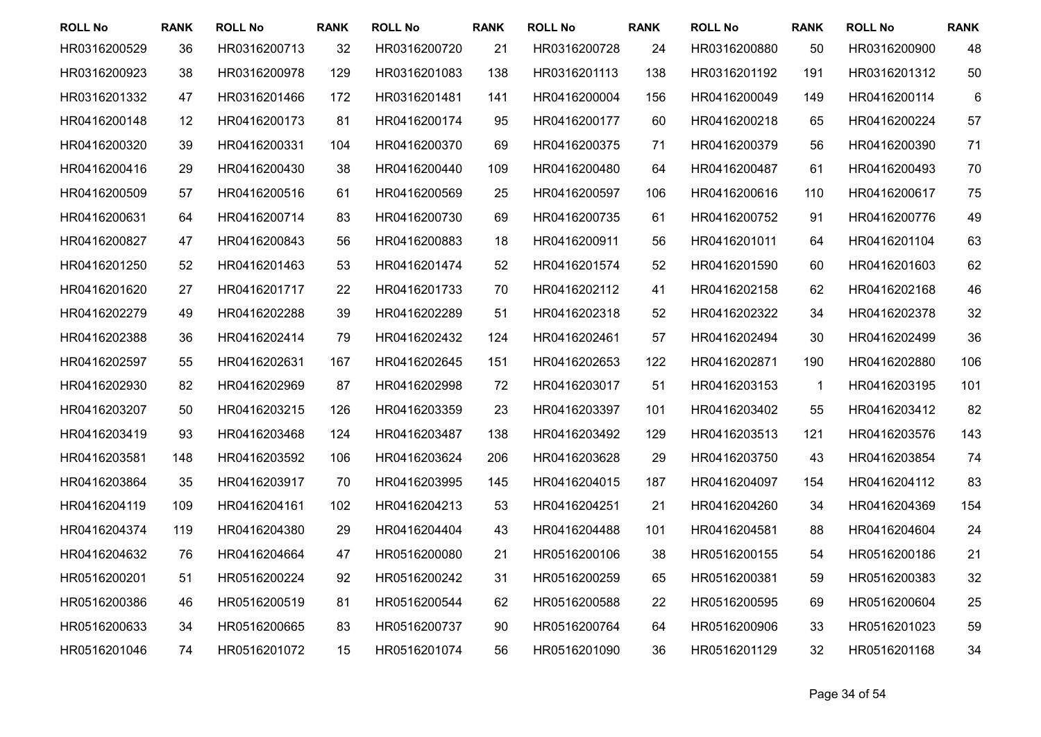| <b>ROLL No</b> | <b>RANK</b> | <b>ROLL No</b> | <b>RANK</b> | <b>ROLL No</b> | <b>RANK</b> | <b>ROLL No</b> | <b>RANK</b> | <b>ROLL No</b> | <b>RANK</b>  | <b>ROLL No</b> | <b>RANK</b> |
|----------------|-------------|----------------|-------------|----------------|-------------|----------------|-------------|----------------|--------------|----------------|-------------|
| HR0316200529   | 36          | HR0316200713   | 32          | HR0316200720   | 21          | HR0316200728   | 24          | HR0316200880   | 50           | HR0316200900   | 48          |
| HR0316200923   | 38          | HR0316200978   | 129         | HR0316201083   | 138         | HR0316201113   | 138         | HR0316201192   | 191          | HR0316201312   | 50          |
| HR0316201332   | 47          | HR0316201466   | 172         | HR0316201481   | 141         | HR0416200004   | 156         | HR0416200049   | 149          | HR0416200114   | 6           |
| HR0416200148   | 12          | HR0416200173   | 81          | HR0416200174   | 95          | HR0416200177   | 60          | HR0416200218   | 65           | HR0416200224   | 57          |
| HR0416200320   | 39          | HR0416200331   | 104         | HR0416200370   | 69          | HR0416200375   | 71          | HR0416200379   | 56           | HR0416200390   | 71          |
| HR0416200416   | 29          | HR0416200430   | 38          | HR0416200440   | 109         | HR0416200480   | 64          | HR0416200487   | 61           | HR0416200493   | 70          |
| HR0416200509   | 57          | HR0416200516   | 61          | HR0416200569   | 25          | HR0416200597   | 106         | HR0416200616   | 110          | HR0416200617   | 75          |
| HR0416200631   | 64          | HR0416200714   | 83          | HR0416200730   | 69          | HR0416200735   | 61          | HR0416200752   | 91           | HR0416200776   | 49          |
| HR0416200827   | 47          | HR0416200843   | 56          | HR0416200883   | 18          | HR0416200911   | 56          | HR0416201011   | 64           | HR0416201104   | 63          |
| HR0416201250   | 52          | HR0416201463   | 53          | HR0416201474   | 52          | HR0416201574   | 52          | HR0416201590   | 60           | HR0416201603   | 62          |
| HR0416201620   | 27          | HR0416201717   | 22          | HR0416201733   | 70          | HR0416202112   | 41          | HR0416202158   | 62           | HR0416202168   | 46          |
| HR0416202279   | 49          | HR0416202288   | 39          | HR0416202289   | 51          | HR0416202318   | 52          | HR0416202322   | 34           | HR0416202378   | 32          |
| HR0416202388   | 36          | HR0416202414   | 79          | HR0416202432   | 124         | HR0416202461   | 57          | HR0416202494   | 30           | HR0416202499   | 36          |
| HR0416202597   | 55          | HR0416202631   | 167         | HR0416202645   | 151         | HR0416202653   | 122         | HR0416202871   | 190          | HR0416202880   | 106         |
| HR0416202930   | 82          | HR0416202969   | 87          | HR0416202998   | 72          | HR0416203017   | 51          | HR0416203153   | $\mathbf{1}$ | HR0416203195   | 101         |
| HR0416203207   | 50          | HR0416203215   | 126         | HR0416203359   | 23          | HR0416203397   | 101         | HR0416203402   | 55           | HR0416203412   | 82          |
| HR0416203419   | 93          | HR0416203468   | 124         | HR0416203487   | 138         | HR0416203492   | 129         | HR0416203513   | 121          | HR0416203576   | 143         |
| HR0416203581   | 148         | HR0416203592   | 106         | HR0416203624   | 206         | HR0416203628   | 29          | HR0416203750   | 43           | HR0416203854   | 74          |
| HR0416203864   | 35          | HR0416203917   | 70          | HR0416203995   | 145         | HR0416204015   | 187         | HR0416204097   | 154          | HR0416204112   | 83          |
| HR0416204119   | 109         | HR0416204161   | 102         | HR0416204213   | 53          | HR0416204251   | 21          | HR0416204260   | 34           | HR0416204369   | 154         |
| HR0416204374   | 119         | HR0416204380   | 29          | HR0416204404   | 43          | HR0416204488   | 101         | HR0416204581   | 88           | HR0416204604   | 24          |
| HR0416204632   | 76          | HR0416204664   | 47          | HR0516200080   | 21          | HR0516200106   | 38          | HR0516200155   | 54           | HR0516200186   | 21          |
| HR0516200201   | 51          | HR0516200224   | 92          | HR0516200242   | 31          | HR0516200259   | 65          | HR0516200381   | 59           | HR0516200383   | 32          |
| HR0516200386   | 46          | HR0516200519   | 81          | HR0516200544   | 62          | HR0516200588   | 22          | HR0516200595   | 69           | HR0516200604   | 25          |
| HR0516200633   | 34          | HR0516200665   | 83          | HR0516200737   | 90          | HR0516200764   | 64          | HR0516200906   | 33           | HR0516201023   | 59          |
| HR0516201046   | 74          | HR0516201072   | 15          | HR0516201074   | 56          | HR0516201090   | 36          | HR0516201129   | 32           | HR0516201168   | 34          |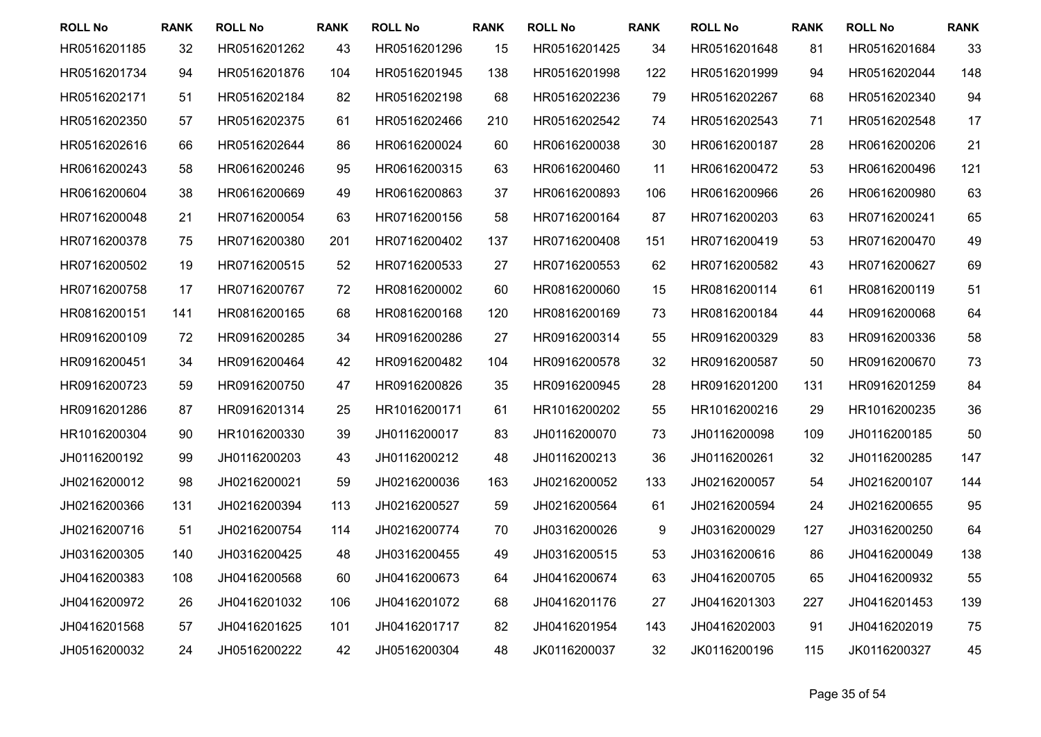| <b>ROLL No</b> | <b>RANK</b> | <b>ROLL No</b> | <b>RANK</b> | <b>ROLL No</b> | <b>RANK</b> | <b>ROLL No</b> | <b>RANK</b> | <b>ROLL No</b> | <b>RANK</b> | <b>ROLL No</b> | <b>RANK</b> |
|----------------|-------------|----------------|-------------|----------------|-------------|----------------|-------------|----------------|-------------|----------------|-------------|
| HR0516201185   | 32          | HR0516201262   | 43          | HR0516201296   | 15          | HR0516201425   | 34          | HR0516201648   | 81          | HR0516201684   | 33          |
| HR0516201734   | 94          | HR0516201876   | 104         | HR0516201945   | 138         | HR0516201998   | 122         | HR0516201999   | 94          | HR0516202044   | 148         |
| HR0516202171   | 51          | HR0516202184   | 82          | HR0516202198   | 68          | HR0516202236   | 79          | HR0516202267   | 68          | HR0516202340   | 94          |
| HR0516202350   | 57          | HR0516202375   | 61          | HR0516202466   | 210         | HR0516202542   | 74          | HR0516202543   | 71          | HR0516202548   | 17          |
| HR0516202616   | 66          | HR0516202644   | 86          | HR0616200024   | 60          | HR0616200038   | 30          | HR0616200187   | 28          | HR0616200206   | 21          |
| HR0616200243   | 58          | HR0616200246   | 95          | HR0616200315   | 63          | HR0616200460   | 11          | HR0616200472   | 53          | HR0616200496   | 121         |
| HR0616200604   | 38          | HR0616200669   | 49          | HR0616200863   | 37          | HR0616200893   | 106         | HR0616200966   | 26          | HR0616200980   | 63          |
| HR0716200048   | 21          | HR0716200054   | 63          | HR0716200156   | 58          | HR0716200164   | 87          | HR0716200203   | 63          | HR0716200241   | 65          |
| HR0716200378   | 75          | HR0716200380   | 201         | HR0716200402   | 137         | HR0716200408   | 151         | HR0716200419   | 53          | HR0716200470   | 49          |
| HR0716200502   | 19          | HR0716200515   | 52          | HR0716200533   | 27          | HR0716200553   | 62          | HR0716200582   | 43          | HR0716200627   | 69          |
| HR0716200758   | 17          | HR0716200767   | 72          | HR0816200002   | 60          | HR0816200060   | 15          | HR0816200114   | 61          | HR0816200119   | 51          |
| HR0816200151   | 141         | HR0816200165   | 68          | HR0816200168   | 120         | HR0816200169   | 73          | HR0816200184   | 44          | HR0916200068   | 64          |
| HR0916200109   | 72          | HR0916200285   | 34          | HR0916200286   | 27          | HR0916200314   | 55          | HR0916200329   | 83          | HR0916200336   | 58          |
| HR0916200451   | 34          | HR0916200464   | 42          | HR0916200482   | 104         | HR0916200578   | 32          | HR0916200587   | 50          | HR0916200670   | 73          |
| HR0916200723   | 59          | HR0916200750   | 47          | HR0916200826   | 35          | HR0916200945   | 28          | HR0916201200   | 131         | HR0916201259   | 84          |
| HR0916201286   | 87          | HR0916201314   | 25          | HR1016200171   | 61          | HR1016200202   | 55          | HR1016200216   | 29          | HR1016200235   | 36          |
| HR1016200304   | 90          | HR1016200330   | 39          | JH0116200017   | 83          | JH0116200070   | 73          | JH0116200098   | 109         | JH0116200185   | 50          |
| JH0116200192   | 99          | JH0116200203   | 43          | JH0116200212   | 48          | JH0116200213   | 36          | JH0116200261   | 32          | JH0116200285   | 147         |
| JH0216200012   | 98          | JH0216200021   | 59          | JH0216200036   | 163         | JH0216200052   | 133         | JH0216200057   | 54          | JH0216200107   | 144         |
| JH0216200366   | 131         | JH0216200394   | 113         | JH0216200527   | 59          | JH0216200564   | 61          | JH0216200594   | 24          | JH0216200655   | 95          |
| JH0216200716   | 51          | JH0216200754   | 114         | JH0216200774   | 70          | JH0316200026   | 9           | JH0316200029   | 127         | JH0316200250   | 64          |
| JH0316200305   | 140         | JH0316200425   | 48          | JH0316200455   | 49          | JH0316200515   | 53          | JH0316200616   | 86          | JH0416200049   | 138         |
| JH0416200383   | 108         | JH0416200568   | 60          | JH0416200673   | 64          | JH0416200674   | 63          | JH0416200705   | 65          | JH0416200932   | 55          |
| JH0416200972   | 26          | JH0416201032   | 106         | JH0416201072   | 68          | JH0416201176   | 27          | JH0416201303   | 227         | JH0416201453   | 139         |
| JH0416201568   | 57          | JH0416201625   | 101         | JH0416201717   | 82          | JH0416201954   | 143         | JH0416202003   | 91          | JH0416202019   | 75          |
| JH0516200032   | 24          | JH0516200222   | 42          | JH0516200304   | 48          | JK0116200037   | 32          | JK0116200196   | 115         | JK0116200327   | 45          |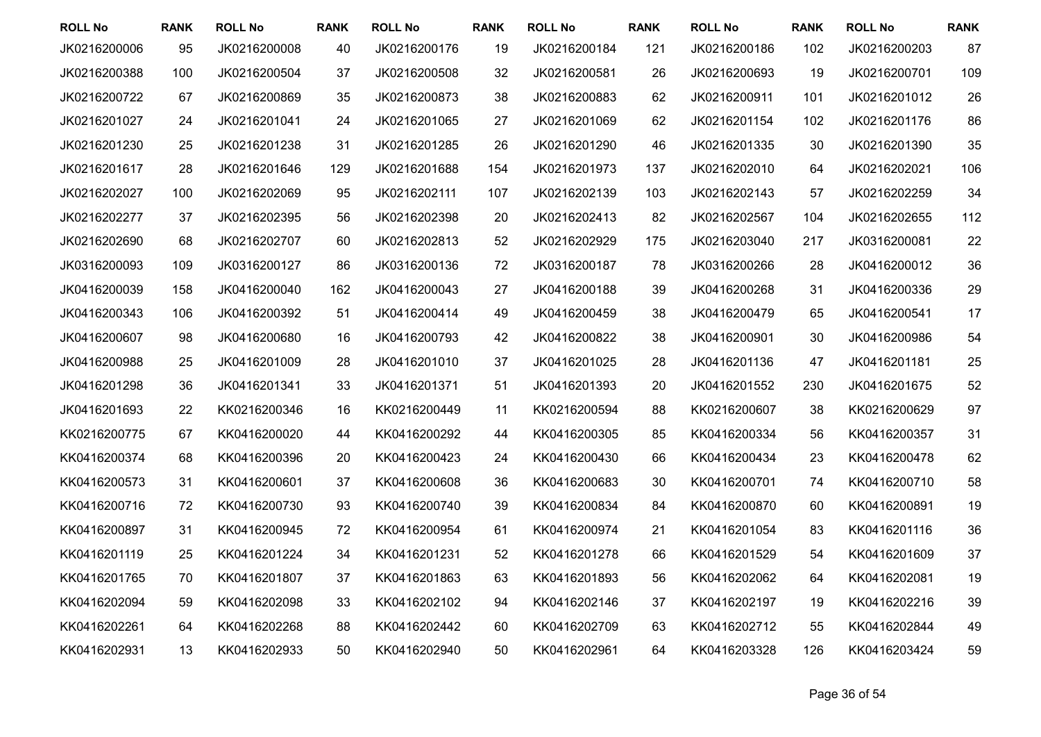| <b>ROLL No</b> | <b>RANK</b> | <b>ROLL No</b> | <b>RANK</b> | <b>ROLL No</b> | <b>RANK</b> | <b>ROLL No</b> | <b>RANK</b> | <b>ROLL No</b> | <b>RANK</b> | <b>ROLL No</b> | <b>RANK</b> |
|----------------|-------------|----------------|-------------|----------------|-------------|----------------|-------------|----------------|-------------|----------------|-------------|
| JK0216200006   | 95          | JK0216200008   | 40          | JK0216200176   | 19          | JK0216200184   | 121         | JK0216200186   | 102         | JK0216200203   | 87          |
| JK0216200388   | 100         | JK0216200504   | 37          | JK0216200508   | 32          | JK0216200581   | 26          | JK0216200693   | 19          | JK0216200701   | 109         |
| JK0216200722   | 67          | JK0216200869   | 35          | JK0216200873   | 38          | JK0216200883   | 62          | JK0216200911   | 101         | JK0216201012   | 26          |
| JK0216201027   | 24          | JK0216201041   | 24          | JK0216201065   | 27          | JK0216201069   | 62          | JK0216201154   | 102         | JK0216201176   | 86          |
| JK0216201230   | 25          | JK0216201238   | 31          | JK0216201285   | 26          | JK0216201290   | 46          | JK0216201335   | 30          | JK0216201390   | 35          |
| JK0216201617   | 28          | JK0216201646   | 129         | JK0216201688   | 154         | JK0216201973   | 137         | JK0216202010   | 64          | JK0216202021   | 106         |
| JK0216202027   | 100         | JK0216202069   | 95          | JK0216202111   | 107         | JK0216202139   | 103         | JK0216202143   | 57          | JK0216202259   | 34          |
| JK0216202277   | 37          | JK0216202395   | 56          | JK0216202398   | 20          | JK0216202413   | 82          | JK0216202567   | 104         | JK0216202655   | 112         |
| JK0216202690   | 68          | JK0216202707   | 60          | JK0216202813   | 52          | JK0216202929   | 175         | JK0216203040   | 217         | JK0316200081   | 22          |
| JK0316200093   | 109         | JK0316200127   | 86          | JK0316200136   | 72          | JK0316200187   | 78          | JK0316200266   | 28          | JK0416200012   | 36          |
| JK0416200039   | 158         | JK0416200040   | 162         | JK0416200043   | 27          | JK0416200188   | 39          | JK0416200268   | 31          | JK0416200336   | 29          |
| JK0416200343   | 106         | JK0416200392   | 51          | JK0416200414   | 49          | JK0416200459   | 38          | JK0416200479   | 65          | JK0416200541   | 17          |
| JK0416200607   | 98          | JK0416200680   | 16          | JK0416200793   | 42          | JK0416200822   | 38          | JK0416200901   | 30          | JK0416200986   | 54          |
| JK0416200988   | 25          | JK0416201009   | 28          | JK0416201010   | 37          | JK0416201025   | 28          | JK0416201136   | 47          | JK0416201181   | 25          |
| JK0416201298   | 36          | JK0416201341   | 33          | JK0416201371   | 51          | JK0416201393   | 20          | JK0416201552   | 230         | JK0416201675   | 52          |
| JK0416201693   | 22          | KK0216200346   | 16          | KK0216200449   | 11          | KK0216200594   | 88          | KK0216200607   | 38          | KK0216200629   | 97          |
| KK0216200775   | 67          | KK0416200020   | 44          | KK0416200292   | 44          | KK0416200305   | 85          | KK0416200334   | 56          | KK0416200357   | 31          |
| KK0416200374   | 68          | KK0416200396   | 20          | KK0416200423   | 24          | KK0416200430   | 66          | KK0416200434   | 23          | KK0416200478   | 62          |
| KK0416200573   | 31          | KK0416200601   | 37          | KK0416200608   | 36          | KK0416200683   | 30          | KK0416200701   | 74          | KK0416200710   | 58          |
| KK0416200716   | 72          | KK0416200730   | 93          | KK0416200740   | 39          | KK0416200834   | 84          | KK0416200870   | 60          | KK0416200891   | 19          |
| KK0416200897   | 31          | KK0416200945   | 72          | KK0416200954   | 61          | KK0416200974   | 21          | KK0416201054   | 83          | KK0416201116   | 36          |
| KK0416201119   | 25          | KK0416201224   | 34          | KK0416201231   | 52          | KK0416201278   | 66          | KK0416201529   | 54          | KK0416201609   | 37          |
| KK0416201765   | 70          | KK0416201807   | 37          | KK0416201863   | 63          | KK0416201893   | 56          | KK0416202062   | 64          | KK0416202081   | 19          |
| KK0416202094   | 59          | KK0416202098   | 33          | KK0416202102   | 94          | KK0416202146   | 37          | KK0416202197   | 19          | KK0416202216   | 39          |
| KK0416202261   | 64          | KK0416202268   | 88          | KK0416202442   | 60          | KK0416202709   | 63          | KK0416202712   | 55          | KK0416202844   | 49          |
| KK0416202931   | 13          | KK0416202933   | 50          | KK0416202940   | 50          | KK0416202961   | 64          | KK0416203328   | 126         | KK0416203424   | 59          |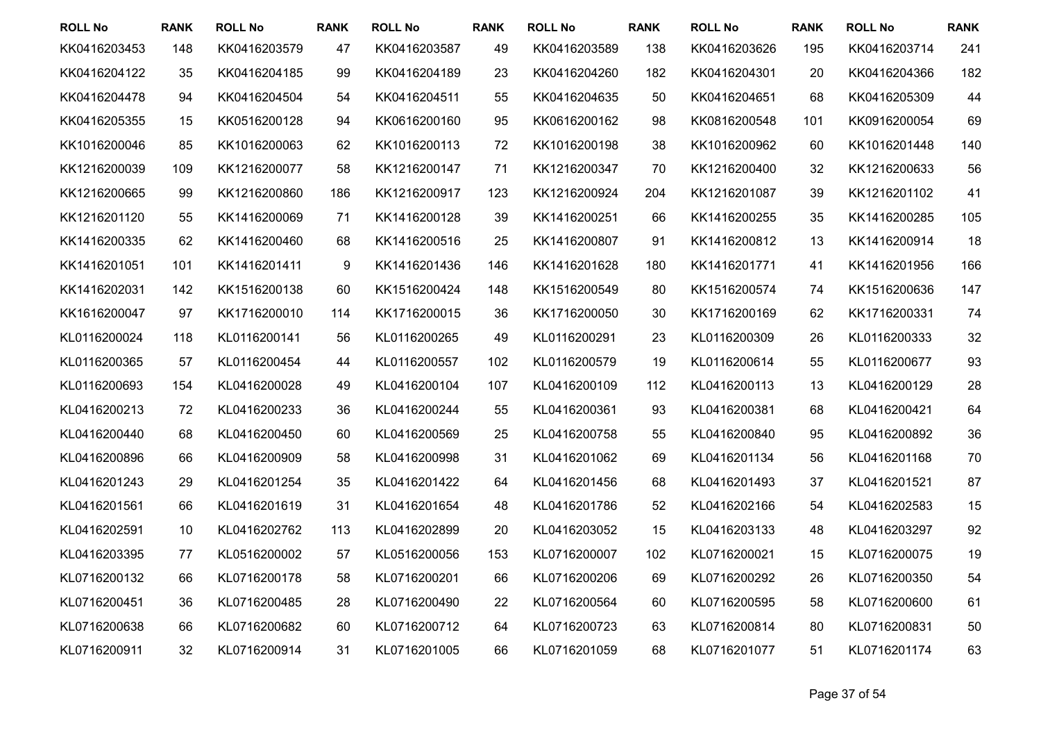| <b>ROLL No</b> | <b>RANK</b> | <b>ROLL No</b> | <b>RANK</b> | <b>ROLL No</b> | <b>RANK</b> | <b>ROLL No</b> | <b>RANK</b> | <b>ROLL No</b> | <b>RANK</b> | <b>ROLL No</b> | <b>RANK</b> |
|----------------|-------------|----------------|-------------|----------------|-------------|----------------|-------------|----------------|-------------|----------------|-------------|
| KK0416203453   | 148         | KK0416203579   | 47          | KK0416203587   | 49          | KK0416203589   | 138         | KK0416203626   | 195         | KK0416203714   | 241         |
| KK0416204122   | 35          | KK0416204185   | 99          | KK0416204189   | 23          | KK0416204260   | 182         | KK0416204301   | 20          | KK0416204366   | 182         |
| KK0416204478   | 94          | KK0416204504   | 54          | KK0416204511   | 55          | KK0416204635   | 50          | KK0416204651   | 68          | KK0416205309   | 44          |
| KK0416205355   | 15          | KK0516200128   | 94          | KK0616200160   | 95          | KK0616200162   | 98          | KK0816200548   | 101         | KK0916200054   | 69          |
| KK1016200046   | 85          | KK1016200063   | 62          | KK1016200113   | 72          | KK1016200198   | 38          | KK1016200962   | 60          | KK1016201448   | 140         |
| KK1216200039   | 109         | KK1216200077   | 58          | KK1216200147   | 71          | KK1216200347   | 70          | KK1216200400   | 32          | KK1216200633   | 56          |
| KK1216200665   | 99          | KK1216200860   | 186         | KK1216200917   | 123         | KK1216200924   | 204         | KK1216201087   | 39          | KK1216201102   | 41          |
| KK1216201120   | 55          | KK1416200069   | 71          | KK1416200128   | 39          | KK1416200251   | 66          | KK1416200255   | 35          | KK1416200285   | 105         |
| KK1416200335   | 62          | KK1416200460   | 68          | KK1416200516   | 25          | KK1416200807   | 91          | KK1416200812   | 13          | KK1416200914   | 18          |
| KK1416201051   | 101         | KK1416201411   | 9           | KK1416201436   | 146         | KK1416201628   | 180         | KK1416201771   | 41          | KK1416201956   | 166         |
| KK1416202031   | 142         | KK1516200138   | 60          | KK1516200424   | 148         | KK1516200549   | 80          | KK1516200574   | 74          | KK1516200636   | 147         |
| KK1616200047   | 97          | KK1716200010   | 114         | KK1716200015   | 36          | KK1716200050   | 30          | KK1716200169   | 62          | KK1716200331   | 74          |
| KL0116200024   | 118         | KL0116200141   | 56          | KL0116200265   | 49          | KL0116200291   | 23          | KL0116200309   | 26          | KL0116200333   | 32          |
| KL0116200365   | 57          | KL0116200454   | 44          | KL0116200557   | 102         | KL0116200579   | 19          | KL0116200614   | 55          | KL0116200677   | 93          |
| KL0116200693   | 154         | KL0416200028   | 49          | KL0416200104   | 107         | KL0416200109   | 112         | KL0416200113   | 13          | KL0416200129   | 28          |
| KL0416200213   | 72          | KL0416200233   | 36          | KL0416200244   | 55          | KL0416200361   | 93          | KL0416200381   | 68          | KL0416200421   | 64          |
| KL0416200440   | 68          | KL0416200450   | 60          | KL0416200569   | 25          | KL0416200758   | 55          | KL0416200840   | 95          | KL0416200892   | 36          |
| KL0416200896   | 66          | KL0416200909   | 58          | KL0416200998   | 31          | KL0416201062   | 69          | KL0416201134   | 56          | KL0416201168   | 70          |
| KL0416201243   | 29          | KL0416201254   | 35          | KL0416201422   | 64          | KL0416201456   | 68          | KL0416201493   | 37          | KL0416201521   | 87          |
| KL0416201561   | 66          | KL0416201619   | 31          | KL0416201654   | 48          | KL0416201786   | 52          | KL0416202166   | 54          | KL0416202583   | 15          |
| KL0416202591   | 10          | KL0416202762   | 113         | KL0416202899   | 20          | KL0416203052   | 15          | KL0416203133   | 48          | KL0416203297   | 92          |
| KL0416203395   | 77          | KL0516200002   | 57          | KL0516200056   | 153         | KL0716200007   | 102         | KL0716200021   | 15          | KL0716200075   | 19          |
| KL0716200132   | 66          | KL0716200178   | 58          | KL0716200201   | 66          | KL0716200206   | 69          | KL0716200292   | 26          | KL0716200350   | 54          |
| KL0716200451   | 36          | KL0716200485   | 28          | KL0716200490   | 22          | KL0716200564   | 60          | KL0716200595   | 58          | KL0716200600   | 61          |
| KL0716200638   | 66          | KL0716200682   | 60          | KL0716200712   | 64          | KL0716200723   | 63          | KL0716200814   | 80          | KL0716200831   | 50          |
| KL0716200911   | 32          | KL0716200914   | 31          | KL0716201005   | 66          | KL0716201059   | 68          | KL0716201077   | 51          | KL0716201174   | 63          |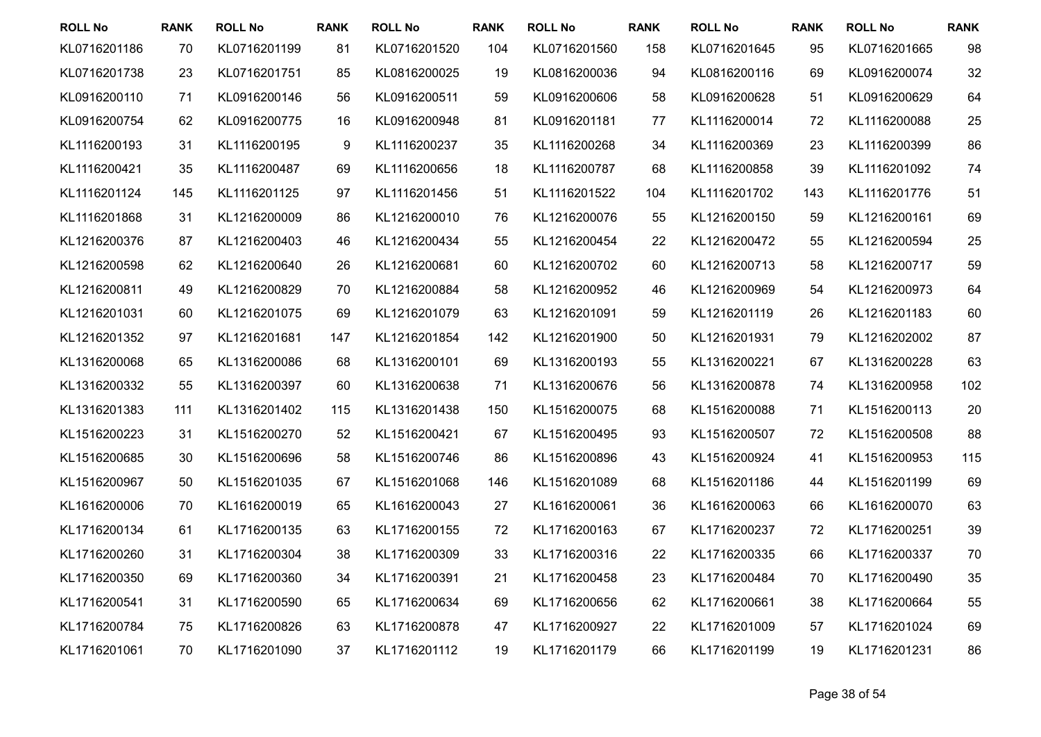| <b>ROLL No</b> | <b>RANK</b> | <b>ROLL No</b> | <b>RANK</b> | <b>ROLL No</b> | <b>RANK</b> | <b>ROLL No</b> | <b>RANK</b> | <b>ROLL No</b> | <b>RANK</b> | <b>ROLL No</b> | <b>RANK</b> |
|----------------|-------------|----------------|-------------|----------------|-------------|----------------|-------------|----------------|-------------|----------------|-------------|
| KL0716201186   | 70          | KL0716201199   | 81          | KL0716201520   | 104         | KL0716201560   | 158         | KL0716201645   | 95          | KL0716201665   | 98          |
| KL0716201738   | 23          | KL0716201751   | 85          | KL0816200025   | 19          | KL0816200036   | 94          | KL0816200116   | 69          | KL0916200074   | 32          |
| KL0916200110   | 71          | KL0916200146   | 56          | KL0916200511   | 59          | KL0916200606   | 58          | KL0916200628   | 51          | KL0916200629   | 64          |
| KL0916200754   | 62          | KL0916200775   | 16          | KL0916200948   | 81          | KL0916201181   | 77          | KL1116200014   | 72          | KL1116200088   | 25          |
| KL1116200193   | 31          | KL1116200195   | 9           | KL1116200237   | 35          | KL1116200268   | 34          | KL1116200369   | 23          | KL1116200399   | 86          |
| KL1116200421   | 35          | KL1116200487   | 69          | KL1116200656   | 18          | KL1116200787   | 68          | KL1116200858   | 39          | KL1116201092   | 74          |
| KL1116201124   | 145         | KL1116201125   | 97          | KL1116201456   | 51          | KL1116201522   | 104         | KL1116201702   | 143         | KL1116201776   | 51          |
| KL1116201868   | 31          | KL1216200009   | 86          | KL1216200010   | 76          | KL1216200076   | 55          | KL1216200150   | 59          | KL1216200161   | 69          |
| KL1216200376   | 87          | KL1216200403   | 46          | KL1216200434   | 55          | KL1216200454   | 22          | KL1216200472   | 55          | KL1216200594   | 25          |
| KL1216200598   | 62          | KL1216200640   | 26          | KL1216200681   | 60          | KL1216200702   | 60          | KL1216200713   | 58          | KL1216200717   | 59          |
| KL1216200811   | 49          | KL1216200829   | 70          | KL1216200884   | 58          | KL1216200952   | 46          | KL1216200969   | 54          | KL1216200973   | 64          |
| KL1216201031   | 60          | KL1216201075   | 69          | KL1216201079   | 63          | KL1216201091   | 59          | KL1216201119   | 26          | KL1216201183   | 60          |
| KL1216201352   | 97          | KL1216201681   | 147         | KL1216201854   | 142         | KL1216201900   | 50          | KL1216201931   | 79          | KL1216202002   | 87          |
| KL1316200068   | 65          | KL1316200086   | 68          | KL1316200101   | 69          | KL1316200193   | 55          | KL1316200221   | 67          | KL1316200228   | 63          |
| KL1316200332   | 55          | KL1316200397   | 60          | KL1316200638   | 71          | KL1316200676   | 56          | KL1316200878   | 74          | KL1316200958   | 102         |
| KL1316201383   | 111         | KL1316201402   | 115         | KL1316201438   | 150         | KL1516200075   | 68          | KL1516200088   | 71          | KL1516200113   | 20          |
| KL1516200223   | 31          | KL1516200270   | 52          | KL1516200421   | 67          | KL1516200495   | 93          | KL1516200507   | 72          | KL1516200508   | 88          |
| KL1516200685   | 30          | KL1516200696   | 58          | KL1516200746   | 86          | KL1516200896   | 43          | KL1516200924   | 41          | KL1516200953   | 115         |
| KL1516200967   | 50          | KL1516201035   | 67          | KL1516201068   | 146         | KL1516201089   | 68          | KL1516201186   | 44          | KL1516201199   | 69          |
| KL1616200006   | 70          | KL1616200019   | 65          | KL1616200043   | 27          | KL1616200061   | 36          | KL1616200063   | 66          | KL1616200070   | 63          |
| KL1716200134   | 61          | KL1716200135   | 63          | KL1716200155   | 72          | KL1716200163   | 67          | KL1716200237   | 72          | KL1716200251   | 39          |
| KL1716200260   | 31          | KL1716200304   | 38          | KL1716200309   | 33          | KL1716200316   | 22          | KL1716200335   | 66          | KL1716200337   | 70          |
| KL1716200350   | 69          | KL1716200360   | 34          | KL1716200391   | 21          | KL1716200458   | 23          | KL1716200484   | 70          | KL1716200490   | 35          |
| KL1716200541   | 31          | KL1716200590   | 65          | KL1716200634   | 69          | KL1716200656   | 62          | KL1716200661   | 38          | KL1716200664   | 55          |
| KL1716200784   | 75          | KL1716200826   | 63          | KL1716200878   | 47          | KL1716200927   | 22          | KL1716201009   | 57          | KL1716201024   | 69          |
| KL1716201061   | 70          | KL1716201090   | 37          | KL1716201112   | 19          | KL1716201179   | 66          | KL1716201199   | 19          | KL1716201231   | 86          |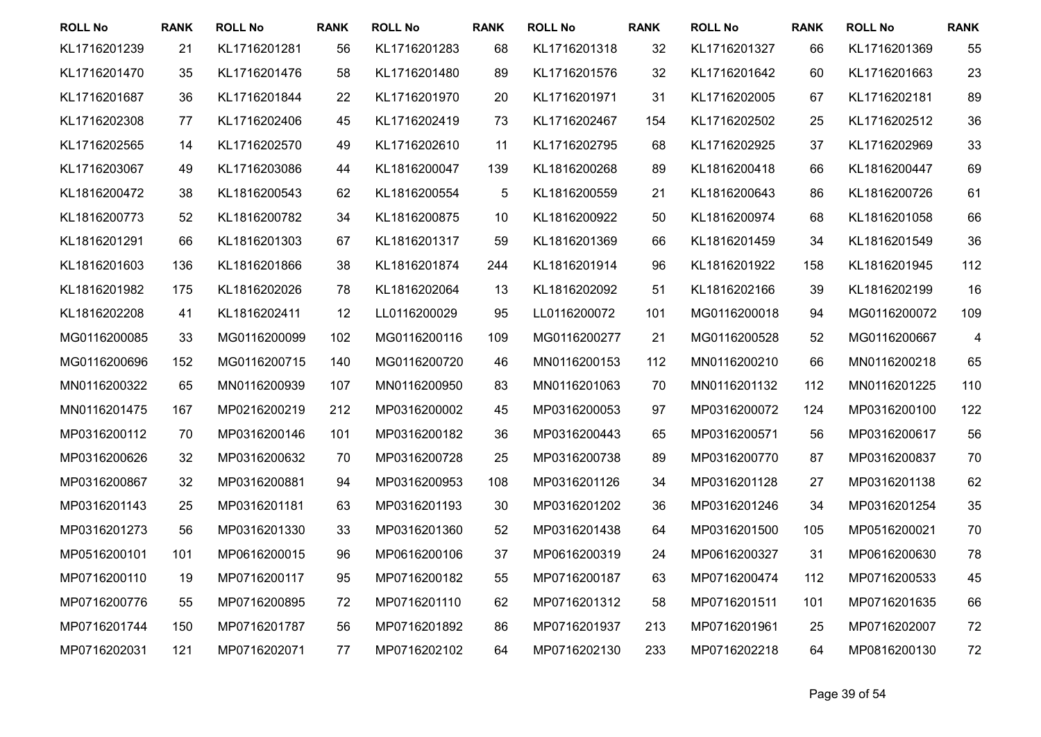| <b>ROLL No</b> | <b>RANK</b> | <b>ROLL No</b> | <b>RANK</b> | <b>ROLL No</b> | <b>RANK</b> | <b>ROLL No</b> | <b>RANK</b> | <b>ROLL No</b> | <b>RANK</b> | <b>ROLL No</b> | <b>RANK</b> |
|----------------|-------------|----------------|-------------|----------------|-------------|----------------|-------------|----------------|-------------|----------------|-------------|
| KL1716201239   | 21          | KL1716201281   | 56          | KL1716201283   | 68          | KL1716201318   | 32          | KL1716201327   | 66          | KL1716201369   | 55          |
| KL1716201470   | 35          | KL1716201476   | 58          | KL1716201480   | 89          | KL1716201576   | 32          | KL1716201642   | 60          | KL1716201663   | 23          |
| KL1716201687   | 36          | KL1716201844   | 22          | KL1716201970   | 20          | KL1716201971   | 31          | KL1716202005   | 67          | KL1716202181   | 89          |
| KL1716202308   | 77          | KL1716202406   | 45          | KL1716202419   | 73          | KL1716202467   | 154         | KL1716202502   | 25          | KL1716202512   | 36          |
| KL1716202565   | 14          | KL1716202570   | 49          | KL1716202610   | 11          | KL1716202795   | 68          | KL1716202925   | 37          | KL1716202969   | 33          |
| KL1716203067   | 49          | KL1716203086   | 44          | KL1816200047   | 139         | KL1816200268   | 89          | KL1816200418   | 66          | KL1816200447   | 69          |
| KL1816200472   | 38          | KL1816200543   | 62          | KL1816200554   | 5           | KL1816200559   | 21          | KL1816200643   | 86          | KL1816200726   | 61          |
| KL1816200773   | 52          | KL1816200782   | 34          | KL1816200875   | 10          | KL1816200922   | 50          | KL1816200974   | 68          | KL1816201058   | 66          |
| KL1816201291   | 66          | KL1816201303   | 67          | KL1816201317   | 59          | KL1816201369   | 66          | KL1816201459   | 34          | KL1816201549   | 36          |
| KL1816201603   | 136         | KL1816201866   | 38          | KL1816201874   | 244         | KL1816201914   | 96          | KL1816201922   | 158         | KL1816201945   | 112         |
| KL1816201982   | 175         | KL1816202026   | 78          | KL1816202064   | 13          | KL1816202092   | 51          | KL1816202166   | 39          | KL1816202199   | 16          |
| KL1816202208   | 41          | KL1816202411   | 12          | LL0116200029   | 95          | LL0116200072   | 101         | MG0116200018   | 94          | MG0116200072   | 109         |
| MG0116200085   | 33          | MG0116200099   | 102         | MG0116200116   | 109         | MG0116200277   | 21          | MG0116200528   | 52          | MG0116200667   | 4           |
| MG0116200696   | 152         | MG0116200715   | 140         | MG0116200720   | 46          | MN0116200153   | 112         | MN0116200210   | 66          | MN0116200218   | 65          |
| MN0116200322   | 65          | MN0116200939   | 107         | MN0116200950   | 83          | MN0116201063   | 70          | MN0116201132   | 112         | MN0116201225   | 110         |
| MN0116201475   | 167         | MP0216200219   | 212         | MP0316200002   | 45          | MP0316200053   | 97          | MP0316200072   | 124         | MP0316200100   | 122         |
| MP0316200112   | 70          | MP0316200146   | 101         | MP0316200182   | 36          | MP0316200443   | 65          | MP0316200571   | 56          | MP0316200617   | 56          |
| MP0316200626   | 32          | MP0316200632   | 70          | MP0316200728   | 25          | MP0316200738   | 89          | MP0316200770   | 87          | MP0316200837   | 70          |
| MP0316200867   | 32          | MP0316200881   | 94          | MP0316200953   | 108         | MP0316201126   | 34          | MP0316201128   | 27          | MP0316201138   | 62          |
| MP0316201143   | 25          | MP0316201181   | 63          | MP0316201193   | 30          | MP0316201202   | 36          | MP0316201246   | 34          | MP0316201254   | 35          |
| MP0316201273   | 56          | MP0316201330   | 33          | MP0316201360   | 52          | MP0316201438   | 64          | MP0316201500   | 105         | MP0516200021   | 70          |
| MP0516200101   | 101         | MP0616200015   | 96          | MP0616200106   | 37          | MP0616200319   | 24          | MP0616200327   | 31          | MP0616200630   | 78          |
| MP0716200110   | 19          | MP0716200117   | 95          | MP0716200182   | 55          | MP0716200187   | 63          | MP0716200474   | 112         | MP0716200533   | 45          |
| MP0716200776   | 55          | MP0716200895   | 72          | MP0716201110   | 62          | MP0716201312   | 58          | MP0716201511   | 101         | MP0716201635   | 66          |
| MP0716201744   | 150         | MP0716201787   | 56          | MP0716201892   | 86          | MP0716201937   | 213         | MP0716201961   | 25          | MP0716202007   | 72          |
| MP0716202031   | 121         | MP0716202071   | 77          | MP0716202102   | 64          | MP0716202130   | 233         | MP0716202218   | 64          | MP0816200130   | 72          |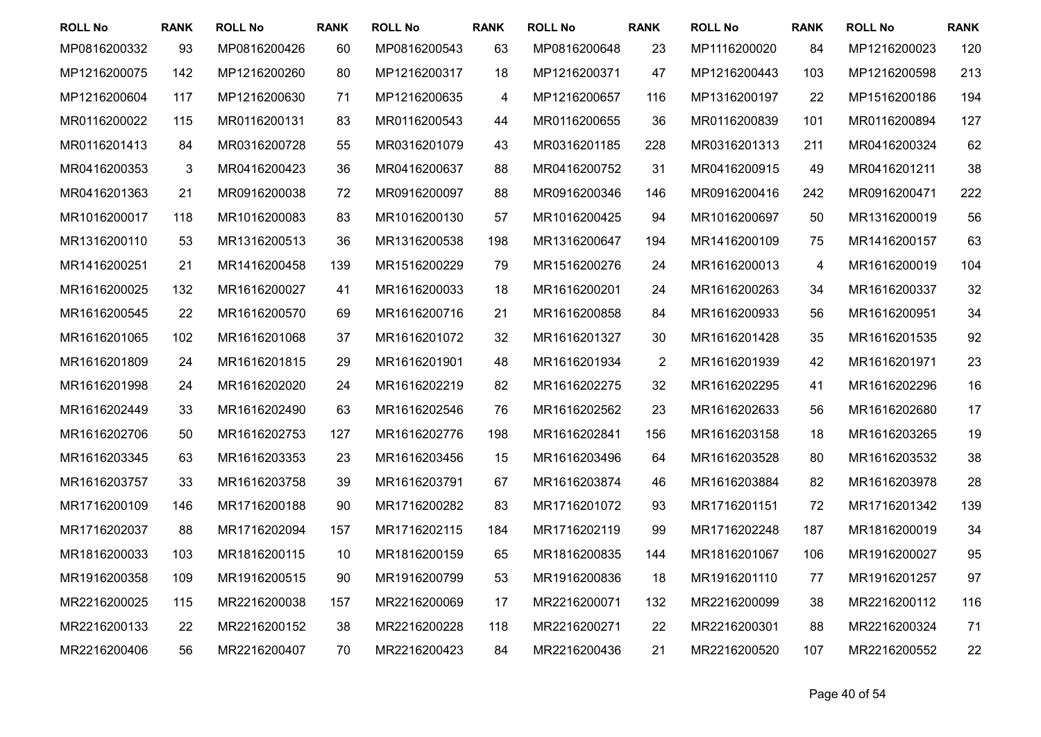| <b>ROLL No</b> | <b>RANK</b> | <b>ROLL No</b> | <b>RANK</b> | <b>ROLL No</b> | <b>RANK</b> | <b>ROLL No</b> | <b>RANK</b> | <b>ROLL No</b> | <b>RANK</b> | <b>ROLL No</b> | <b>RANK</b> |
|----------------|-------------|----------------|-------------|----------------|-------------|----------------|-------------|----------------|-------------|----------------|-------------|
| MP0816200332   | 93          | MP0816200426   | 60          | MP0816200543   | 63          | MP0816200648   | 23          | MP1116200020   | 84          | MP1216200023   | 120         |
| MP1216200075   | 142         | MP1216200260   | 80          | MP1216200317   | 18          | MP1216200371   | 47          | MP1216200443   | 103         | MP1216200598   | 213         |
| MP1216200604   | 117         | MP1216200630   | 71          | MP1216200635   | 4           | MP1216200657   | 116         | MP1316200197   | 22          | MP1516200186   | 194         |
| MR0116200022   | 115         | MR0116200131   | 83          | MR0116200543   | 44          | MR0116200655   | 36          | MR0116200839   | 101         | MR0116200894   | 127         |
| MR0116201413   | 84          | MR0316200728   | 55          | MR0316201079   | 43          | MR0316201185   | 228         | MR0316201313   | 211         | MR0416200324   | 62          |
| MR0416200353   | 3           | MR0416200423   | 36          | MR0416200637   | 88          | MR0416200752   | 31          | MR0416200915   | 49          | MR0416201211   | 38          |
| MR0416201363   | 21          | MR0916200038   | 72          | MR0916200097   | 88          | MR0916200346   | 146         | MR0916200416   | 242         | MR0916200471   | 222         |
| MR1016200017   | 118         | MR1016200083   | 83          | MR1016200130   | 57          | MR1016200425   | 94          | MR1016200697   | 50          | MR1316200019   | 56          |
| MR1316200110   | 53          | MR1316200513   | 36          | MR1316200538   | 198         | MR1316200647   | 194         | MR1416200109   | 75          | MR1416200157   | 63          |
| MR1416200251   | 21          | MR1416200458   | 139         | MR1516200229   | 79          | MR1516200276   | 24          | MR1616200013   | 4           | MR1616200019   | 104         |
| MR1616200025   | 132         | MR1616200027   | 41          | MR1616200033   | 18          | MR1616200201   | 24          | MR1616200263   | 34          | MR1616200337   | 32          |
| MR1616200545   | 22          | MR1616200570   | 69          | MR1616200716   | 21          | MR1616200858   | 84          | MR1616200933   | 56          | MR1616200951   | 34          |
| MR1616201065   | 102         | MR1616201068   | 37          | MR1616201072   | 32          | MR1616201327   | 30          | MR1616201428   | 35          | MR1616201535   | 92          |
| MR1616201809   | 24          | MR1616201815   | 29          | MR1616201901   | 48          | MR1616201934   | 2           | MR1616201939   | 42          | MR1616201971   | 23          |
| MR1616201998   | 24          | MR1616202020   | 24          | MR1616202219   | 82          | MR1616202275   | 32          | MR1616202295   | 41          | MR1616202296   | 16          |
| MR1616202449   | 33          | MR1616202490   | 63          | MR1616202546   | 76          | MR1616202562   | 23          | MR1616202633   | 56          | MR1616202680   | 17          |
| MR1616202706   | 50          | MR1616202753   | 127         | MR1616202776   | 198         | MR1616202841   | 156         | MR1616203158   | 18          | MR1616203265   | 19          |
| MR1616203345   | 63          | MR1616203353   | 23          | MR1616203456   | 15          | MR1616203496   | 64          | MR1616203528   | 80          | MR1616203532   | 38          |
| MR1616203757   | 33          | MR1616203758   | 39          | MR1616203791   | 67          | MR1616203874   | 46          | MR1616203884   | 82          | MR1616203978   | 28          |
| MR1716200109   | 146         | MR1716200188   | 90          | MR1716200282   | 83          | MR1716201072   | 93          | MR1716201151   | 72          | MR1716201342   | 139         |
| MR1716202037   | 88          | MR1716202094   | 157         | MR1716202115   | 184         | MR1716202119   | 99          | MR1716202248   | 187         | MR1816200019   | 34          |
| MR1816200033   | 103         | MR1816200115   | 10          | MR1816200159   | 65          | MR1816200835   | 144         | MR1816201067   | 106         | MR1916200027   | 95          |
| MR1916200358   | 109         | MR1916200515   | 90          | MR1916200799   | 53          | MR1916200836   | 18          | MR1916201110   | 77          | MR1916201257   | 97          |
| MR2216200025   | 115         | MR2216200038   | 157         | MR2216200069   | 17          | MR2216200071   | 132         | MR2216200099   | 38          | MR2216200112   | 116         |
| MR2216200133   | 22          | MR2216200152   | 38          | MR2216200228   | 118         | MR2216200271   | 22          | MR2216200301   | 88          | MR2216200324   | 71          |
| MR2216200406   | 56          | MR2216200407   | 70          | MR2216200423   | 84          | MR2216200436   | 21          | MR2216200520   | 107         | MR2216200552   | 22          |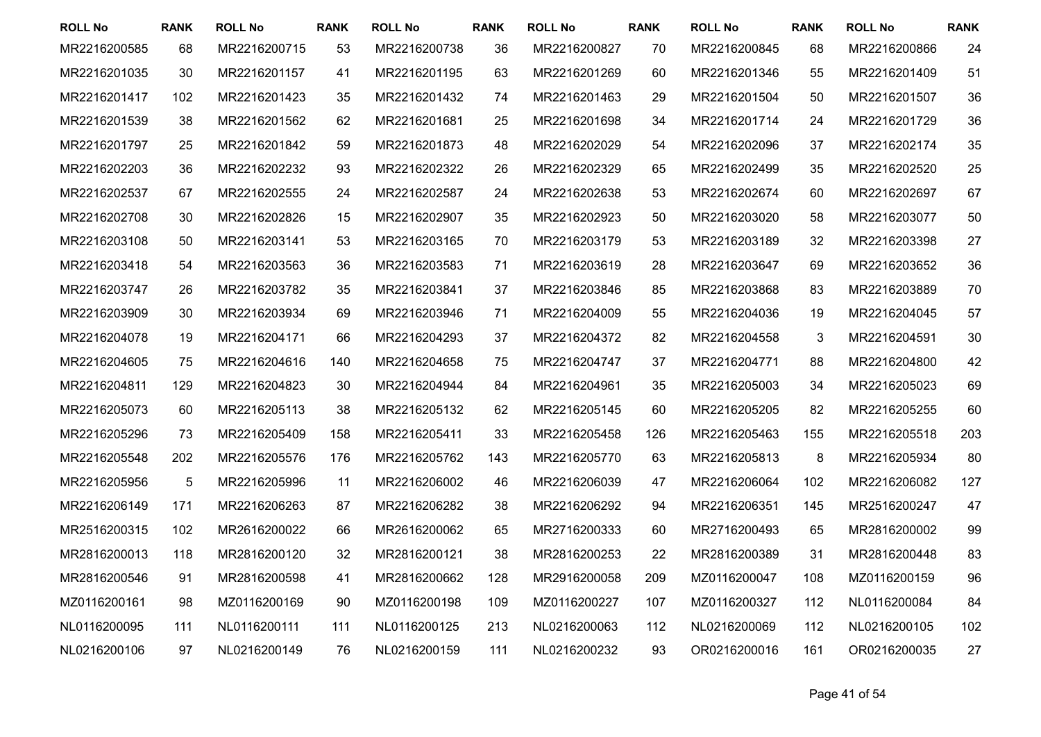| <b>ROLL No</b> | <b>RANK</b> | <b>ROLL No</b> | <b>RANK</b> | <b>ROLL No</b> | <b>RANK</b> | <b>ROLL No</b> | <b>RANK</b> | <b>ROLL No</b> | <b>RANK</b> | <b>ROLL No</b> | <b>RANK</b> |
|----------------|-------------|----------------|-------------|----------------|-------------|----------------|-------------|----------------|-------------|----------------|-------------|
| MR2216200585   | 68          | MR2216200715   | 53          | MR2216200738   | 36          | MR2216200827   | 70          | MR2216200845   | 68          | MR2216200866   | 24          |
| MR2216201035   | 30          | MR2216201157   | 41          | MR2216201195   | 63          | MR2216201269   | 60          | MR2216201346   | 55          | MR2216201409   | 51          |
| MR2216201417   | 102         | MR2216201423   | 35          | MR2216201432   | 74          | MR2216201463   | 29          | MR2216201504   | 50          | MR2216201507   | 36          |
| MR2216201539   | 38          | MR2216201562   | 62          | MR2216201681   | 25          | MR2216201698   | 34          | MR2216201714   | 24          | MR2216201729   | 36          |
| MR2216201797   | 25          | MR2216201842   | 59          | MR2216201873   | 48          | MR2216202029   | 54          | MR2216202096   | 37          | MR2216202174   | 35          |
| MR2216202203   | 36          | MR2216202232   | 93          | MR2216202322   | 26          | MR2216202329   | 65          | MR2216202499   | 35          | MR2216202520   | 25          |
| MR2216202537   | 67          | MR2216202555   | 24          | MR2216202587   | 24          | MR2216202638   | 53          | MR2216202674   | 60          | MR2216202697   | 67          |
| MR2216202708   | 30          | MR2216202826   | 15          | MR2216202907   | 35          | MR2216202923   | 50          | MR2216203020   | 58          | MR2216203077   | 50          |
| MR2216203108   | 50          | MR2216203141   | 53          | MR2216203165   | 70          | MR2216203179   | 53          | MR2216203189   | 32          | MR2216203398   | 27          |
| MR2216203418   | 54          | MR2216203563   | 36          | MR2216203583   | 71          | MR2216203619   | 28          | MR2216203647   | 69          | MR2216203652   | 36          |
| MR2216203747   | 26          | MR2216203782   | 35          | MR2216203841   | 37          | MR2216203846   | 85          | MR2216203868   | 83          | MR2216203889   | 70          |
| MR2216203909   | 30          | MR2216203934   | 69          | MR2216203946   | 71          | MR2216204009   | 55          | MR2216204036   | 19          | MR2216204045   | 57          |
| MR2216204078   | 19          | MR2216204171   | 66          | MR2216204293   | 37          | MR2216204372   | 82          | MR2216204558   | 3           | MR2216204591   | 30          |
| MR2216204605   | 75          | MR2216204616   | 140         | MR2216204658   | 75          | MR2216204747   | 37          | MR2216204771   | 88          | MR2216204800   | 42          |
| MR2216204811   | 129         | MR2216204823   | 30          | MR2216204944   | 84          | MR2216204961   | 35          | MR2216205003   | 34          | MR2216205023   | 69          |
| MR2216205073   | 60          | MR2216205113   | 38          | MR2216205132   | 62          | MR2216205145   | 60          | MR2216205205   | 82          | MR2216205255   | 60          |
| MR2216205296   | 73          | MR2216205409   | 158         | MR2216205411   | 33          | MR2216205458   | 126         | MR2216205463   | 155         | MR2216205518   | 203         |
| MR2216205548   | 202         | MR2216205576   | 176         | MR2216205762   | 143         | MR2216205770   | 63          | MR2216205813   | 8           | MR2216205934   | 80          |
| MR2216205956   | 5           | MR2216205996   | 11          | MR2216206002   | 46          | MR2216206039   | 47          | MR2216206064   | 102         | MR2216206082   | 127         |
| MR2216206149   | 171         | MR2216206263   | 87          | MR2216206282   | 38          | MR2216206292   | 94          | MR2216206351   | 145         | MR2516200247   | 47          |
| MR2516200315   | 102         | MR2616200022   | 66          | MR2616200062   | 65          | MR2716200333   | 60          | MR2716200493   | 65          | MR2816200002   | 99          |
| MR2816200013   | 118         | MR2816200120   | 32          | MR2816200121   | 38          | MR2816200253   | 22          | MR2816200389   | 31          | MR2816200448   | 83          |
| MR2816200546   | 91          | MR2816200598   | 41          | MR2816200662   | 128         | MR2916200058   | 209         | MZ0116200047   | 108         | MZ0116200159   | 96          |
| MZ0116200161   | 98          | MZ0116200169   | 90          | MZ0116200198   | 109         | MZ0116200227   | 107         | MZ0116200327   | 112         | NL0116200084   | 84          |
| NL0116200095   | 111         | NL0116200111   | 111         | NL0116200125   | 213         | NL0216200063   | 112         | NL0216200069   | 112         | NL0216200105   | 102         |
| NL0216200106   | 97          | NL0216200149   | 76          | NL0216200159   | 111         | NL0216200232   | 93          | OR0216200016   | 161         | OR0216200035   | 27          |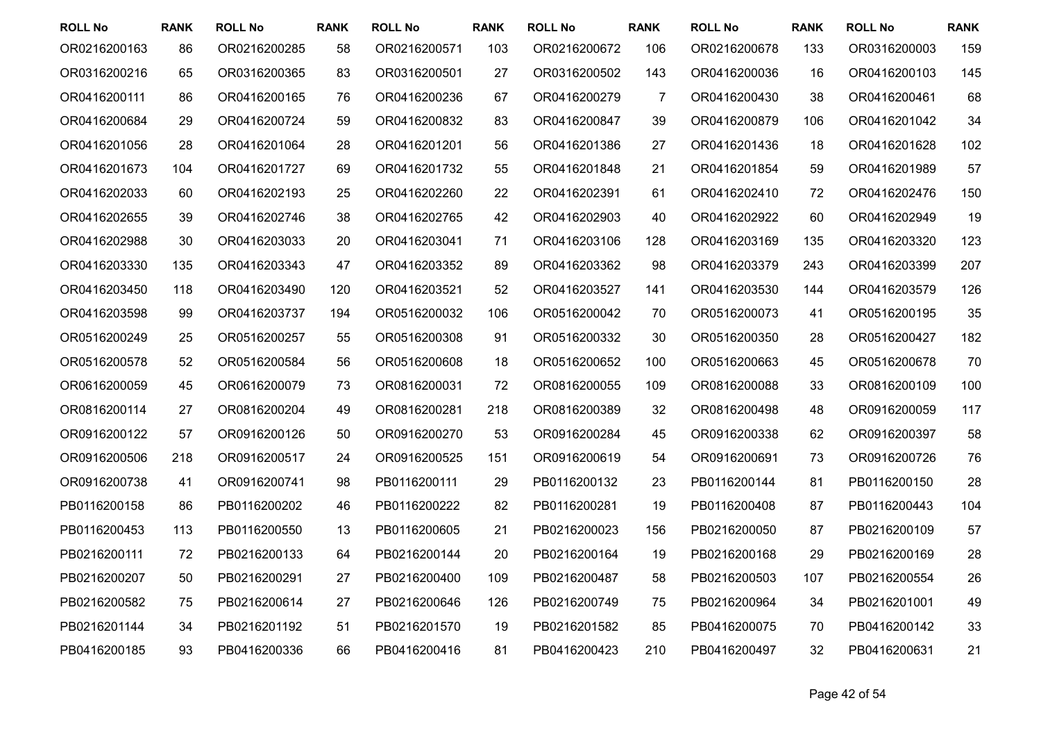| <b>ROLL No</b> | <b>RANK</b> | <b>ROLL No</b> | <b>RANK</b> | <b>ROLL No</b> | <b>RANK</b> | <b>ROLL No</b> | <b>RANK</b> | <b>ROLL No</b> | <b>RANK</b> | <b>ROLL No</b> | <b>RANK</b> |
|----------------|-------------|----------------|-------------|----------------|-------------|----------------|-------------|----------------|-------------|----------------|-------------|
| OR0216200163   | 86          | OR0216200285   | 58          | OR0216200571   | 103         | OR0216200672   | 106         | OR0216200678   | 133         | OR0316200003   | 159         |
| OR0316200216   | 65          | OR0316200365   | 83          | OR0316200501   | 27          | OR0316200502   | 143         | OR0416200036   | 16          | OR0416200103   | 145         |
| OR0416200111   | 86          | OR0416200165   | 76          | OR0416200236   | 67          | OR0416200279   | 7           | OR0416200430   | 38          | OR0416200461   | 68          |
| OR0416200684   | 29          | OR0416200724   | 59          | OR0416200832   | 83          | OR0416200847   | 39          | OR0416200879   | 106         | OR0416201042   | 34          |
| OR0416201056   | 28          | OR0416201064   | 28          | OR0416201201   | 56          | OR0416201386   | 27          | OR0416201436   | 18          | OR0416201628   | 102         |
| OR0416201673   | 104         | OR0416201727   | 69          | OR0416201732   | 55          | OR0416201848   | 21          | OR0416201854   | 59          | OR0416201989   | 57          |
| OR0416202033   | 60          | OR0416202193   | 25          | OR0416202260   | 22          | OR0416202391   | 61          | OR0416202410   | 72          | OR0416202476   | 150         |
| OR0416202655   | 39          | OR0416202746   | 38          | OR0416202765   | 42          | OR0416202903   | 40          | OR0416202922   | 60          | OR0416202949   | 19          |
| OR0416202988   | 30          | OR0416203033   | 20          | OR0416203041   | 71          | OR0416203106   | 128         | OR0416203169   | 135         | OR0416203320   | 123         |
| OR0416203330   | 135         | OR0416203343   | 47          | OR0416203352   | 89          | OR0416203362   | 98          | OR0416203379   | 243         | OR0416203399   | 207         |
| OR0416203450   | 118         | OR0416203490   | 120         | OR0416203521   | 52          | OR0416203527   | 141         | OR0416203530   | 144         | OR0416203579   | 126         |
| OR0416203598   | 99          | OR0416203737   | 194         | OR0516200032   | 106         | OR0516200042   | 70          | OR0516200073   | 41          | OR0516200195   | 35          |
| OR0516200249   | 25          | OR0516200257   | 55          | OR0516200308   | 91          | OR0516200332   | 30          | OR0516200350   | 28          | OR0516200427   | 182         |
| OR0516200578   | 52          | OR0516200584   | 56          | OR0516200608   | 18          | OR0516200652   | 100         | OR0516200663   | 45          | OR0516200678   | 70          |
| OR0616200059   | 45          | OR0616200079   | 73          | OR0816200031   | 72          | OR0816200055   | 109         | OR0816200088   | 33          | OR0816200109   | 100         |
| OR0816200114   | 27          | OR0816200204   | 49          | OR0816200281   | 218         | OR0816200389   | 32          | OR0816200498   | 48          | OR0916200059   | 117         |
| OR0916200122   | 57          | OR0916200126   | 50          | OR0916200270   | 53          | OR0916200284   | 45          | OR0916200338   | 62          | OR0916200397   | 58          |
| OR0916200506   | 218         | OR0916200517   | 24          | OR0916200525   | 151         | OR0916200619   | 54          | OR0916200691   | 73          | OR0916200726   | 76          |
| OR0916200738   | 41          | OR0916200741   | 98          | PB0116200111   | 29          | PB0116200132   | 23          | PB0116200144   | 81          | PB0116200150   | 28          |
| PB0116200158   | 86          | PB0116200202   | 46          | PB0116200222   | 82          | PB0116200281   | 19          | PB0116200408   | 87          | PB0116200443   | 104         |
| PB0116200453   | 113         | PB0116200550   | 13          | PB0116200605   | 21          | PB0216200023   | 156         | PB0216200050   | 87          | PB0216200109   | 57          |
| PB0216200111   | 72          | PB0216200133   | 64          | PB0216200144   | 20          | PB0216200164   | 19          | PB0216200168   | 29          | PB0216200169   | 28          |
| PB0216200207   | 50          | PB0216200291   | 27          | PB0216200400   | 109         | PB0216200487   | 58          | PB0216200503   | 107         | PB0216200554   | 26          |
| PB0216200582   | 75          | PB0216200614   | 27          | PB0216200646   | 126         | PB0216200749   | 75          | PB0216200964   | 34          | PB0216201001   | 49          |
| PB0216201144   | 34          | PB0216201192   | 51          | PB0216201570   | 19          | PB0216201582   | 85          | PB0416200075   | 70          | PB0416200142   | 33          |
| PB0416200185   | 93          | PB0416200336   | 66          | PB0416200416   | 81          | PB0416200423   | 210         | PB0416200497   | 32          | PB0416200631   | 21          |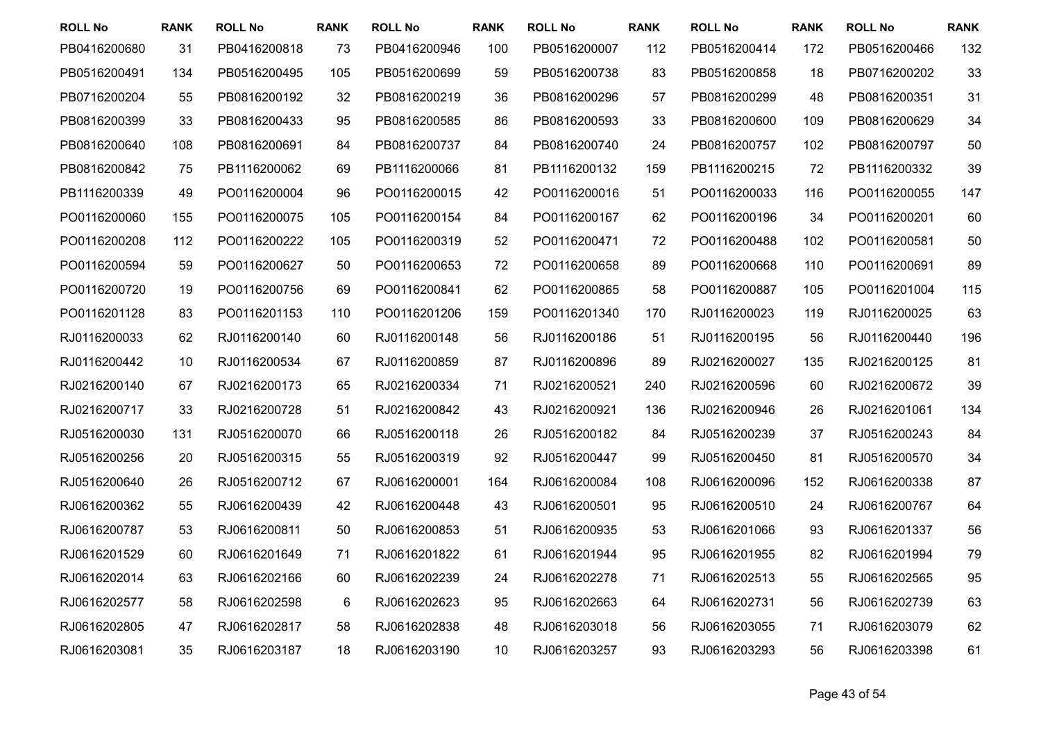| <b>ROLL No</b> | <b>RANK</b> | <b>ROLL No</b> | <b>RANK</b> | <b>ROLL No</b> | <b>RANK</b> | <b>ROLL No</b> | <b>RANK</b> | <b>ROLL No</b> | <b>RANK</b> | <b>ROLL No</b> | <b>RANK</b> |
|----------------|-------------|----------------|-------------|----------------|-------------|----------------|-------------|----------------|-------------|----------------|-------------|
| PB0416200680   | 31          | PB0416200818   | 73          | PB0416200946   | 100         | PB0516200007   | 112         | PB0516200414   | 172         | PB0516200466   | 132         |
| PB0516200491   | 134         | PB0516200495   | 105         | PB0516200699   | 59          | PB0516200738   | 83          | PB0516200858   | 18          | PB0716200202   | 33          |
| PB0716200204   | 55          | PB0816200192   | 32          | PB0816200219   | 36          | PB0816200296   | 57          | PB0816200299   | 48          | PB0816200351   | 31          |
| PB0816200399   | 33          | PB0816200433   | 95          | PB0816200585   | 86          | PB0816200593   | 33          | PB0816200600   | 109         | PB0816200629   | 34          |
| PB0816200640   | 108         | PB0816200691   | 84          | PB0816200737   | 84          | PB0816200740   | 24          | PB0816200757   | 102         | PB0816200797   | 50          |
| PB0816200842   | 75          | PB1116200062   | 69          | PB1116200066   | 81          | PB1116200132   | 159         | PB1116200215   | 72          | PB1116200332   | 39          |
| PB1116200339   | 49          | PO0116200004   | 96          | PO0116200015   | 42          | PO0116200016   | 51          | PO0116200033   | 116         | PO0116200055   | 147         |
| PO0116200060   | 155         | PO0116200075   | 105         | PO0116200154   | 84          | PO0116200167   | 62          | PO0116200196   | 34          | PO0116200201   | 60          |
| PO0116200208   | 112         | PO0116200222   | 105         | PO0116200319   | 52          | PO0116200471   | 72          | PO0116200488   | 102         | PO0116200581   | 50          |
| PO0116200594   | 59          | PO0116200627   | 50          | PO0116200653   | 72          | PO0116200658   | 89          | PO0116200668   | 110         | PO0116200691   | 89          |
| PO0116200720   | 19          | PO0116200756   | 69          | PO0116200841   | 62          | PO0116200865   | 58          | PO0116200887   | 105         | PO0116201004   | 115         |
| PO0116201128   | 83          | PO0116201153   | 110         | PO0116201206   | 159         | PO0116201340   | 170         | RJ0116200023   | 119         | RJ0116200025   | 63          |
| RJ0116200033   | 62          | RJ0116200140   | 60          | RJ0116200148   | 56          | RJ0116200186   | 51          | RJ0116200195   | 56          | RJ0116200440   | 196         |
| RJ0116200442   | 10          | RJ0116200534   | 67          | RJ0116200859   | 87          | RJ0116200896   | 89          | RJ0216200027   | 135         | RJ0216200125   | 81          |
| RJ0216200140   | 67          | RJ0216200173   | 65          | RJ0216200334   | 71          | RJ0216200521   | 240         | RJ0216200596   | 60          | RJ0216200672   | 39          |
| RJ0216200717   | 33          | RJ0216200728   | 51          | RJ0216200842   | 43          | RJ0216200921   | 136         | RJ0216200946   | 26          | RJ0216201061   | 134         |
| RJ0516200030   | 131         | RJ0516200070   | 66          | RJ0516200118   | 26          | RJ0516200182   | 84          | RJ0516200239   | 37          | RJ0516200243   | 84          |
| RJ0516200256   | 20          | RJ0516200315   | 55          | RJ0516200319   | 92          | RJ0516200447   | 99          | RJ0516200450   | 81          | RJ0516200570   | 34          |
| RJ0516200640   | 26          | RJ0516200712   | 67          | RJ0616200001   | 164         | RJ0616200084   | 108         | RJ0616200096   | 152         | RJ0616200338   | 87          |
| RJ0616200362   | 55          | RJ0616200439   | 42          | RJ0616200448   | 43          | RJ0616200501   | 95          | RJ0616200510   | 24          | RJ0616200767   | 64          |
| RJ0616200787   | 53          | RJ0616200811   | 50          | RJ0616200853   | 51          | RJ0616200935   | 53          | RJ0616201066   | 93          | RJ0616201337   | 56          |
| RJ0616201529   | 60          | RJ0616201649   | 71          | RJ0616201822   | 61          | RJ0616201944   | 95          | RJ0616201955   | 82          | RJ0616201994   | 79          |
| RJ0616202014   | 63          | RJ0616202166   | 60          | RJ0616202239   | 24          | RJ0616202278   | 71          | RJ0616202513   | 55          | RJ0616202565   | 95          |
| RJ0616202577   | 58          | RJ0616202598   | 6           | RJ0616202623   | 95          | RJ0616202663   | 64          | RJ0616202731   | 56          | RJ0616202739   | 63          |
| RJ0616202805   | 47          | RJ0616202817   | 58          | RJ0616202838   | 48          | RJ0616203018   | 56          | RJ0616203055   | 71          | RJ0616203079   | 62          |
| RJ0616203081   | 35          | RJ0616203187   | 18          | RJ0616203190   | 10          | RJ0616203257   | 93          | RJ0616203293   | 56          | RJ0616203398   | 61          |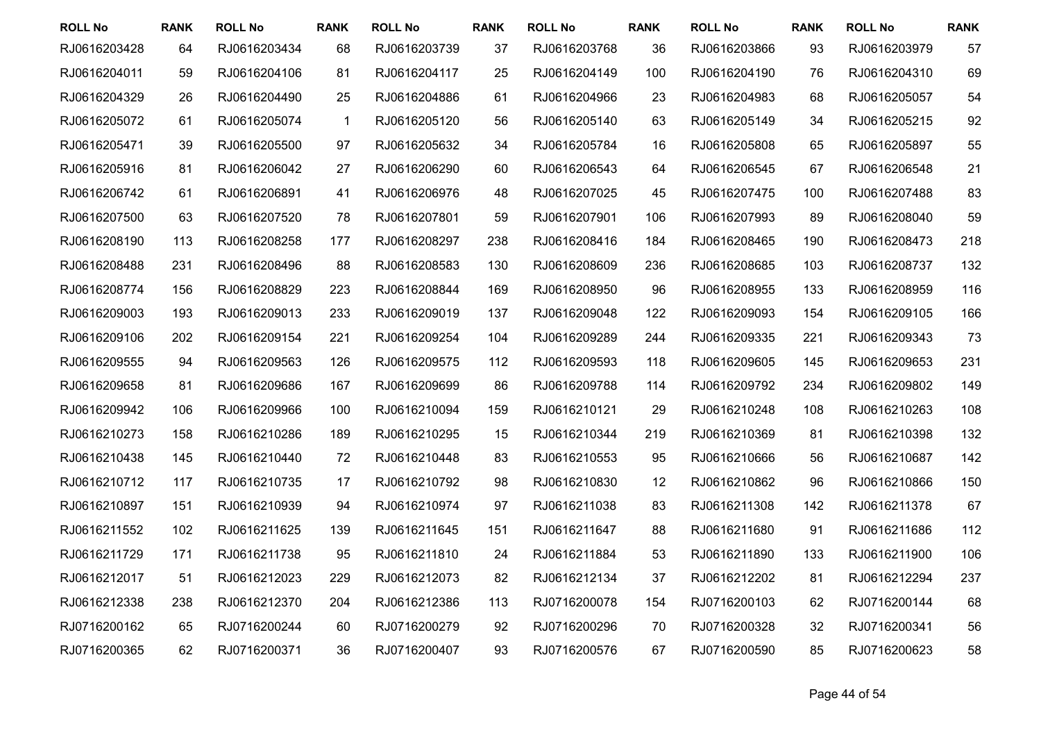| <b>ROLL No</b> | <b>RANK</b> | <b>ROLL No</b> | <b>RANK</b>  | <b>ROLL No</b> | <b>RANK</b> | <b>ROLL No</b> | <b>RANK</b> | <b>ROLL No</b> | <b>RANK</b> | <b>ROLL No</b> | <b>RANK</b> |
|----------------|-------------|----------------|--------------|----------------|-------------|----------------|-------------|----------------|-------------|----------------|-------------|
| RJ0616203428   | 64          | RJ0616203434   | 68           | RJ0616203739   | 37          | RJ0616203768   | 36          | RJ0616203866   | 93          | RJ0616203979   | 57          |
| RJ0616204011   | 59          | RJ0616204106   | 81           | RJ0616204117   | 25          | RJ0616204149   | 100         | RJ0616204190   | 76          | RJ0616204310   | 69          |
| RJ0616204329   | 26          | RJ0616204490   | 25           | RJ0616204886   | 61          | RJ0616204966   | 23          | RJ0616204983   | 68          | RJ0616205057   | 54          |
| RJ0616205072   | 61          | RJ0616205074   | $\mathbf{1}$ | RJ0616205120   | 56          | RJ0616205140   | 63          | RJ0616205149   | 34          | RJ0616205215   | 92          |
| RJ0616205471   | 39          | RJ0616205500   | 97           | RJ0616205632   | 34          | RJ0616205784   | 16          | RJ0616205808   | 65          | RJ0616205897   | 55          |
| RJ0616205916   | 81          | RJ0616206042   | 27           | RJ0616206290   | 60          | RJ0616206543   | 64          | RJ0616206545   | 67          | RJ0616206548   | 21          |
| RJ0616206742   | 61          | RJ0616206891   | 41           | RJ0616206976   | 48          | RJ0616207025   | 45          | RJ0616207475   | 100         | RJ0616207488   | 83          |
| RJ0616207500   | 63          | RJ0616207520   | 78           | RJ0616207801   | 59          | RJ0616207901   | 106         | RJ0616207993   | 89          | RJ0616208040   | 59          |
| RJ0616208190   | 113         | RJ0616208258   | 177          | RJ0616208297   | 238         | RJ0616208416   | 184         | RJ0616208465   | 190         | RJ0616208473   | 218         |
| RJ0616208488   | 231         | RJ0616208496   | 88           | RJ0616208583   | 130         | RJ0616208609   | 236         | RJ0616208685   | 103         | RJ0616208737   | 132         |
| RJ0616208774   | 156         | RJ0616208829   | 223          | RJ0616208844   | 169         | RJ0616208950   | 96          | RJ0616208955   | 133         | RJ0616208959   | 116         |
| RJ0616209003   | 193         | RJ0616209013   | 233          | RJ0616209019   | 137         | RJ0616209048   | 122         | RJ0616209093   | 154         | RJ0616209105   | 166         |
| RJ0616209106   | 202         | RJ0616209154   | 221          | RJ0616209254   | 104         | RJ0616209289   | 244         | RJ0616209335   | 221         | RJ0616209343   | 73          |
| RJ0616209555   | 94          | RJ0616209563   | 126          | RJ0616209575   | 112         | RJ0616209593   | 118         | RJ0616209605   | 145         | RJ0616209653   | 231         |
| RJ0616209658   | 81          | RJ0616209686   | 167          | RJ0616209699   | 86          | RJ0616209788   | 114         | RJ0616209792   | 234         | RJ0616209802   | 149         |
| RJ0616209942   | 106         | RJ0616209966   | 100          | RJ0616210094   | 159         | RJ0616210121   | 29          | RJ0616210248   | 108         | RJ0616210263   | 108         |
| RJ0616210273   | 158         | RJ0616210286   | 189          | RJ0616210295   | 15          | RJ0616210344   | 219         | RJ0616210369   | 81          | RJ0616210398   | 132         |
| RJ0616210438   | 145         | RJ0616210440   | 72           | RJ0616210448   | 83          | RJ0616210553   | 95          | RJ0616210666   | 56          | RJ0616210687   | 142         |
| RJ0616210712   | 117         | RJ0616210735   | 17           | RJ0616210792   | 98          | RJ0616210830   | 12          | RJ0616210862   | 96          | RJ0616210866   | 150         |
| RJ0616210897   | 151         | RJ0616210939   | 94           | RJ0616210974   | 97          | RJ0616211038   | 83          | RJ0616211308   | 142         | RJ0616211378   | 67          |
| RJ0616211552   | 102         | RJ0616211625   | 139          | RJ0616211645   | 151         | RJ0616211647   | 88          | RJ0616211680   | 91          | RJ0616211686   | 112         |
| RJ0616211729   | 171         | RJ0616211738   | 95           | RJ0616211810   | 24          | RJ0616211884   | 53          | RJ0616211890   | 133         | RJ0616211900   | 106         |
| RJ0616212017   | 51          | RJ0616212023   | 229          | RJ0616212073   | 82          | RJ0616212134   | 37          | RJ0616212202   | 81          | RJ0616212294   | 237         |
| RJ0616212338   | 238         | RJ0616212370   | 204          | RJ0616212386   | 113         | RJ0716200078   | 154         | RJ0716200103   | 62          | RJ0716200144   | 68          |
| RJ0716200162   | 65          | RJ0716200244   | 60           | RJ0716200279   | 92          | RJ0716200296   | 70          | RJ0716200328   | 32          | RJ0716200341   | 56          |
| RJ0716200365   | 62          | RJ0716200371   | 36           | RJ0716200407   | 93          | RJ0716200576   | 67          | RJ0716200590   | 85          | RJ0716200623   | 58          |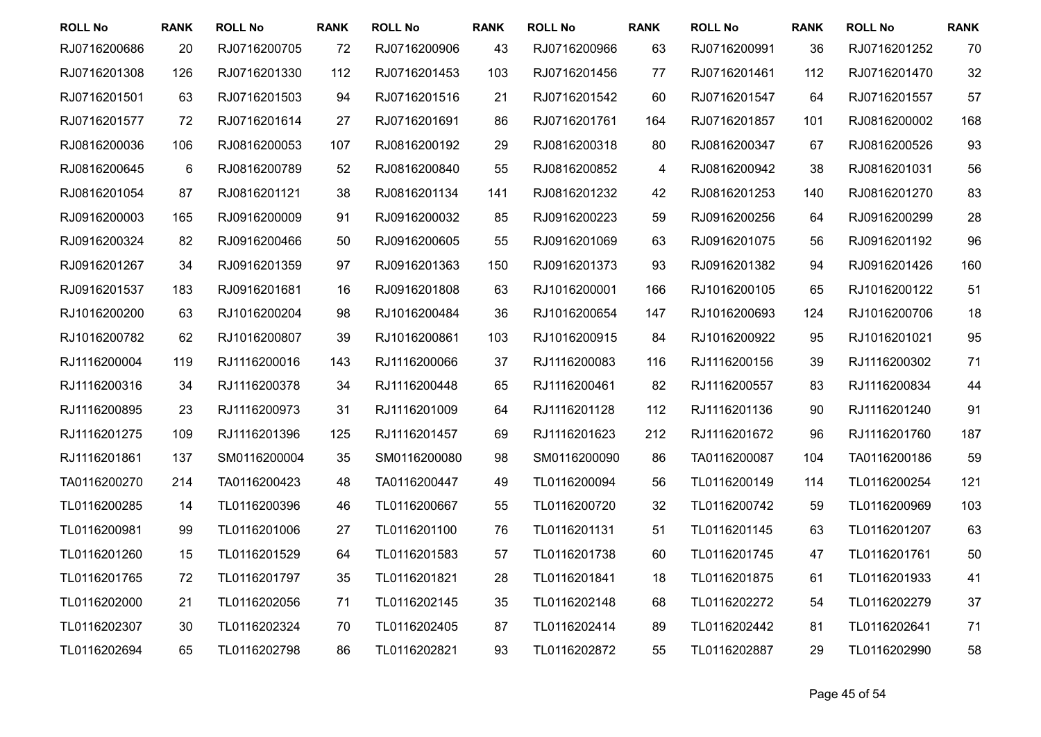| <b>ROLL No</b> | <b>RANK</b> | <b>ROLL No</b> | <b>RANK</b> | <b>ROLL No</b> | <b>RANK</b> | <b>ROLL No</b> | <b>RANK</b>             | <b>ROLL No</b> | <b>RANK</b> | <b>ROLL No</b> | <b>RANK</b> |
|----------------|-------------|----------------|-------------|----------------|-------------|----------------|-------------------------|----------------|-------------|----------------|-------------|
| RJ0716200686   | 20          | RJ0716200705   | 72          | RJ0716200906   | 43          | RJ0716200966   | 63                      | RJ0716200991   | 36          | RJ0716201252   | 70          |
| RJ0716201308   | 126         | RJ0716201330   | 112         | RJ0716201453   | 103         | RJ0716201456   | 77                      | RJ0716201461   | 112         | RJ0716201470   | 32          |
| RJ0716201501   | 63          | RJ0716201503   | 94          | RJ0716201516   | 21          | RJ0716201542   | 60                      | RJ0716201547   | 64          | RJ0716201557   | 57          |
| RJ0716201577   | 72          | RJ0716201614   | 27          | RJ0716201691   | 86          | RJ0716201761   | 164                     | RJ0716201857   | 101         | RJ0816200002   | 168         |
| RJ0816200036   | 106         | RJ0816200053   | 107         | RJ0816200192   | 29          | RJ0816200318   | 80                      | RJ0816200347   | 67          | RJ0816200526   | 93          |
| RJ0816200645   | 6           | RJ0816200789   | 52          | RJ0816200840   | 55          | RJ0816200852   | $\overline{\mathbf{4}}$ | RJ0816200942   | 38          | RJ0816201031   | 56          |
| RJ0816201054   | 87          | RJ0816201121   | 38          | RJ0816201134   | 141         | RJ0816201232   | 42                      | RJ0816201253   | 140         | RJ0816201270   | 83          |
| RJ0916200003   | 165         | RJ0916200009   | 91          | RJ0916200032   | 85          | RJ0916200223   | 59                      | RJ0916200256   | 64          | RJ0916200299   | 28          |
| RJ0916200324   | 82          | RJ0916200466   | 50          | RJ0916200605   | 55          | RJ0916201069   | 63                      | RJ0916201075   | 56          | RJ0916201192   | 96          |
| RJ0916201267   | 34          | RJ0916201359   | 97          | RJ0916201363   | 150         | RJ0916201373   | 93                      | RJ0916201382   | 94          | RJ0916201426   | 160         |
| RJ0916201537   | 183         | RJ0916201681   | 16          | RJ0916201808   | 63          | RJ1016200001   | 166                     | RJ1016200105   | 65          | RJ1016200122   | 51          |
| RJ1016200200   | 63          | RJ1016200204   | 98          | RJ1016200484   | 36          | RJ1016200654   | 147                     | RJ1016200693   | 124         | RJ1016200706   | 18          |
| RJ1016200782   | 62          | RJ1016200807   | 39          | RJ1016200861   | 103         | RJ1016200915   | 84                      | RJ1016200922   | 95          | RJ1016201021   | 95          |
| RJ1116200004   | 119         | RJ1116200016   | 143         | RJ1116200066   | 37          | RJ1116200083   | 116                     | RJ1116200156   | 39          | RJ1116200302   | 71          |
| RJ1116200316   | 34          | RJ1116200378   | 34          | RJ1116200448   | 65          | RJ1116200461   | 82                      | RJ1116200557   | 83          | RJ1116200834   | 44          |
| RJ1116200895   | 23          | RJ1116200973   | 31          | RJ1116201009   | 64          | RJ1116201128   | 112                     | RJ1116201136   | 90          | RJ1116201240   | 91          |
| RJ1116201275   | 109         | RJ1116201396   | 125         | RJ1116201457   | 69          | RJ1116201623   | 212                     | RJ1116201672   | 96          | RJ1116201760   | 187         |
| RJ1116201861   | 137         | SM0116200004   | 35          | SM0116200080   | 98          | SM0116200090   | 86                      | TA0116200087   | 104         | TA0116200186   | 59          |
| TA0116200270   | 214         | TA0116200423   | 48          | TA0116200447   | 49          | TL0116200094   | 56                      | TL0116200149   | 114         | TL0116200254   | 121         |
| TL0116200285   | 14          | TL0116200396   | 46          | TL0116200667   | 55          | TL0116200720   | 32                      | TL0116200742   | 59          | TL0116200969   | 103         |
| TL0116200981   | 99          | TL0116201006   | 27          | TL0116201100   | 76          | TL0116201131   | 51                      | TL0116201145   | 63          | TL0116201207   | 63          |
| TL0116201260   | 15          | TL0116201529   | 64          | TL0116201583   | 57          | TL0116201738   | 60                      | TL0116201745   | 47          | TL0116201761   | 50          |
| TL0116201765   | 72          | TL0116201797   | 35          | TL0116201821   | 28          | TL0116201841   | 18                      | TL0116201875   | 61          | TL0116201933   | 41          |
| TL0116202000   | 21          | TL0116202056   | 71          | TL0116202145   | 35          | TL0116202148   | 68                      | TL0116202272   | 54          | TL0116202279   | 37          |
| TL0116202307   | 30          | TL0116202324   | 70          | TL0116202405   | 87          | TL0116202414   | 89                      | TL0116202442   | 81          | TL0116202641   | 71          |
| TL0116202694   | 65          | TL0116202798   | 86          | TL0116202821   | 93          | TL0116202872   | 55                      | TL0116202887   | 29          | TL0116202990   | 58          |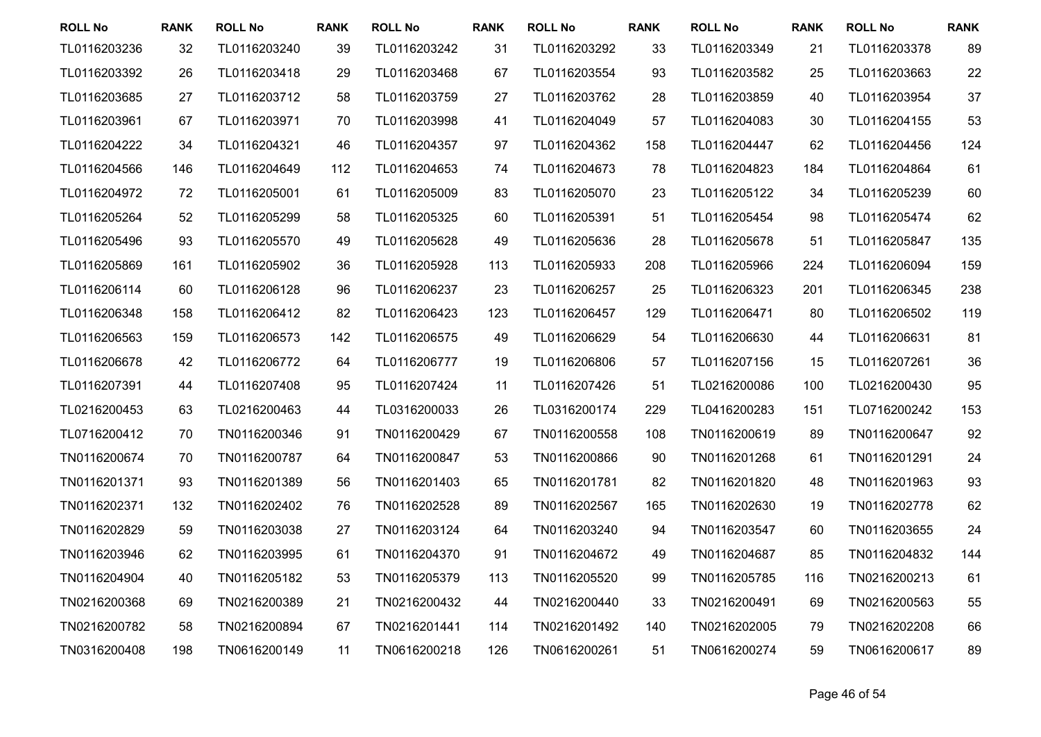| <b>ROLL No</b> | <b>RANK</b> | <b>ROLL No</b> | <b>RANK</b> | <b>ROLL No</b> | <b>RANK</b> | <b>ROLL No</b> | <b>RANK</b> | <b>ROLL No</b> | <b>RANK</b> | <b>ROLL No</b> | <b>RANK</b> |
|----------------|-------------|----------------|-------------|----------------|-------------|----------------|-------------|----------------|-------------|----------------|-------------|
| TL0116203236   | 32          | TL0116203240   | 39          | TL0116203242   | 31          | TL0116203292   | 33          | TL0116203349   | 21          | TL0116203378   | 89          |
| TL0116203392   | 26          | TL0116203418   | 29          | TL0116203468   | 67          | TL0116203554   | 93          | TL0116203582   | 25          | TL0116203663   | 22          |
| TL0116203685   | 27          | TL0116203712   | 58          | TL0116203759   | 27          | TL0116203762   | 28          | TL0116203859   | 40          | TL0116203954   | 37          |
| TL0116203961   | 67          | TL0116203971   | 70          | TL0116203998   | 41          | TL0116204049   | 57          | TL0116204083   | 30          | TL0116204155   | 53          |
| TL0116204222   | 34          | TL0116204321   | 46          | TL0116204357   | 97          | TL0116204362   | 158         | TL0116204447   | 62          | TL0116204456   | 124         |
| TL0116204566   | 146         | TL0116204649   | 112         | TL0116204653   | 74          | TL0116204673   | 78          | TL0116204823   | 184         | TL0116204864   | 61          |
| TL0116204972   | 72          | TL0116205001   | 61          | TL0116205009   | 83          | TL0116205070   | 23          | TL0116205122   | 34          | TL0116205239   | 60          |
| TL0116205264   | 52          | TL0116205299   | 58          | TL0116205325   | 60          | TL0116205391   | 51          | TL0116205454   | 98          | TL0116205474   | 62          |
| TL0116205496   | 93          | TL0116205570   | 49          | TL0116205628   | 49          | TL0116205636   | 28          | TL0116205678   | 51          | TL0116205847   | 135         |
| TL0116205869   | 161         | TL0116205902   | 36          | TL0116205928   | 113         | TL0116205933   | 208         | TL0116205966   | 224         | TL0116206094   | 159         |
| TL0116206114   | 60          | TL0116206128   | 96          | TL0116206237   | 23          | TL0116206257   | 25          | TL0116206323   | 201         | TL0116206345   | 238         |
| TL0116206348   | 158         | TL0116206412   | 82          | TL0116206423   | 123         | TL0116206457   | 129         | TL0116206471   | 80          | TL0116206502   | 119         |
| TL0116206563   | 159         | TL0116206573   | 142         | TL0116206575   | 49          | TL0116206629   | 54          | TL0116206630   | 44          | TL0116206631   | 81          |
| TL0116206678   | 42          | TL0116206772   | 64          | TL0116206777   | 19          | TL0116206806   | 57          | TL0116207156   | 15          | TL0116207261   | 36          |
| TL0116207391   | 44          | TL0116207408   | 95          | TL0116207424   | 11          | TL0116207426   | 51          | TL0216200086   | 100         | TL0216200430   | 95          |
| TL0216200453   | 63          | TL0216200463   | 44          | TL0316200033   | 26          | TL0316200174   | 229         | TL0416200283   | 151         | TL0716200242   | 153         |
| TL0716200412   | 70          | TN0116200346   | 91          | TN0116200429   | 67          | TN0116200558   | 108         | TN0116200619   | 89          | TN0116200647   | 92          |
| TN0116200674   | 70          | TN0116200787   | 64          | TN0116200847   | 53          | TN0116200866   | 90          | TN0116201268   | 61          | TN0116201291   | 24          |
| TN0116201371   | 93          | TN0116201389   | 56          | TN0116201403   | 65          | TN0116201781   | 82          | TN0116201820   | 48          | TN0116201963   | 93          |
| TN0116202371   | 132         | TN0116202402   | 76          | TN0116202528   | 89          | TN0116202567   | 165         | TN0116202630   | 19          | TN0116202778   | 62          |
| TN0116202829   | 59          | TN0116203038   | 27          | TN0116203124   | 64          | TN0116203240   | 94          | TN0116203547   | 60          | TN0116203655   | 24          |
| TN0116203946   | 62          | TN0116203995   | 61          | TN0116204370   | 91          | TN0116204672   | 49          | TN0116204687   | 85          | TN0116204832   | 144         |
| TN0116204904   | 40          | TN0116205182   | 53          | TN0116205379   | 113         | TN0116205520   | 99          | TN0116205785   | 116         | TN0216200213   | 61          |
| TN0216200368   | 69          | TN0216200389   | 21          | TN0216200432   | 44          | TN0216200440   | 33          | TN0216200491   | 69          | TN0216200563   | 55          |
| TN0216200782   | 58          | TN0216200894   | 67          | TN0216201441   | 114         | TN0216201492   | 140         | TN0216202005   | 79          | TN0216202208   | 66          |
| TN0316200408   | 198         | TN0616200149   | 11          | TN0616200218   | 126         | TN0616200261   | 51          | TN0616200274   | 59          | TN0616200617   | 89          |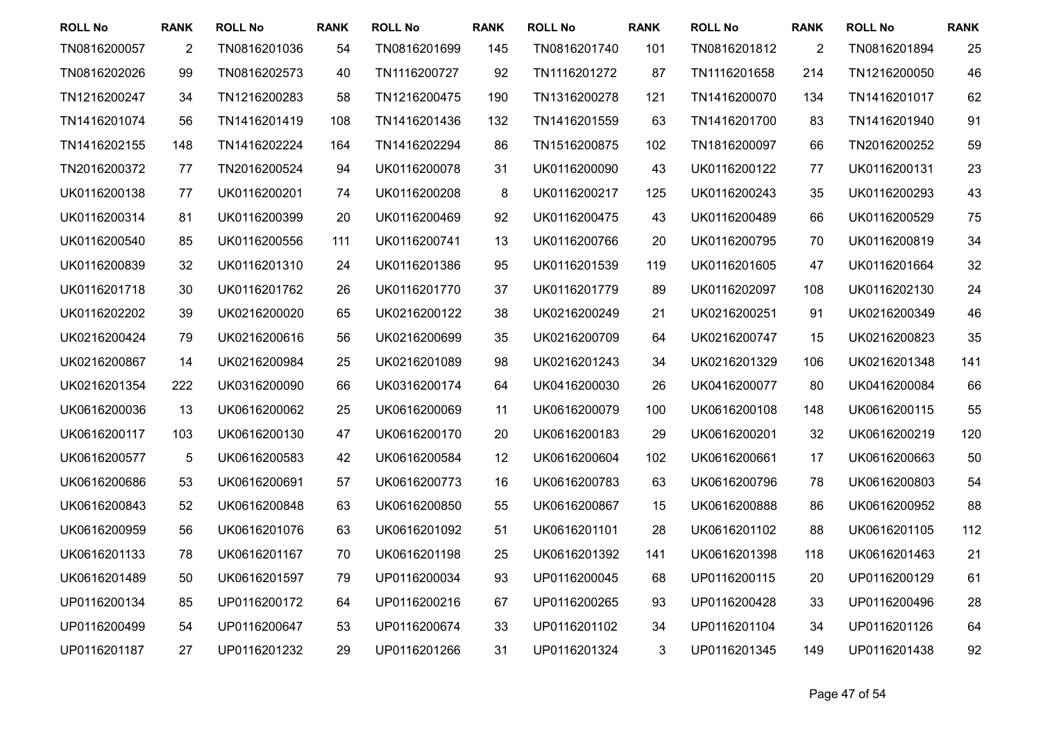| <b>ROLL No</b> | <b>RANK</b>    | <b>ROLL No</b> | <b>RANK</b> | <b>ROLL No</b> | <b>RANK</b> | <b>ROLL No</b> | <b>RANK</b> | <b>ROLL No</b> | <b>RANK</b>    | <b>ROLL No</b> | <b>RANK</b> |
|----------------|----------------|----------------|-------------|----------------|-------------|----------------|-------------|----------------|----------------|----------------|-------------|
| TN0816200057   | $\overline{2}$ | TN0816201036   | 54          | TN0816201699   | 145         | TN0816201740   | 101         | TN0816201812   | $\overline{2}$ | TN0816201894   | 25          |
| TN0816202026   | 99             | TN0816202573   | 40          | TN1116200727   | 92          | TN1116201272   | 87          | TN1116201658   | 214            | TN1216200050   | 46          |
| TN1216200247   | 34             | TN1216200283   | 58          | TN1216200475   | 190         | TN1316200278   | 121         | TN1416200070   | 134            | TN1416201017   | 62          |
| TN1416201074   | 56             | TN1416201419   | 108         | TN1416201436   | 132         | TN1416201559   | 63          | TN1416201700   | 83             | TN1416201940   | 91          |
| TN1416202155   | 148            | TN1416202224   | 164         | TN1416202294   | 86          | TN1516200875   | 102         | TN1816200097   | 66             | TN2016200252   | 59          |
| TN2016200372   | 77             | TN2016200524   | 94          | UK0116200078   | 31          | UK0116200090   | 43          | UK0116200122   | 77             | UK0116200131   | 23          |
| UK0116200138   | 77             | UK0116200201   | 74          | UK0116200208   | $\bf 8$     | UK0116200217   | 125         | UK0116200243   | 35             | UK0116200293   | 43          |
| UK0116200314   | 81             | UK0116200399   | 20          | UK0116200469   | 92          | UK0116200475   | 43          | UK0116200489   | 66             | UK0116200529   | 75          |
| UK0116200540   | 85             | UK0116200556   | 111         | UK0116200741   | 13          | UK0116200766   | 20          | UK0116200795   | 70             | UK0116200819   | 34          |
| UK0116200839   | 32             | UK0116201310   | 24          | UK0116201386   | 95          | UK0116201539   | 119         | UK0116201605   | 47             | UK0116201664   | 32          |
| UK0116201718   | 30             | UK0116201762   | 26          | UK0116201770   | 37          | UK0116201779   | 89          | UK0116202097   | 108            | UK0116202130   | 24          |
| UK0116202202   | 39             | UK0216200020   | 65          | UK0216200122   | 38          | UK0216200249   | 21          | UK0216200251   | 91             | UK0216200349   | 46          |
| UK0216200424   | 79             | UK0216200616   | 56          | UK0216200699   | 35          | UK0216200709   | 64          | UK0216200747   | 15             | UK0216200823   | 35          |
| UK0216200867   | 14             | UK0216200984   | 25          | UK0216201089   | 98          | UK0216201243   | 34          | UK0216201329   | 106            | UK0216201348   | 141         |
| UK0216201354   | 222            | UK0316200090   | 66          | UK0316200174   | 64          | UK0416200030   | 26          | UK0416200077   | 80             | UK0416200084   | 66          |
| UK0616200036   | 13             | UK0616200062   | 25          | UK0616200069   | 11          | UK0616200079   | 100         | UK0616200108   | 148            | UK0616200115   | 55          |
| UK0616200117   | 103            | UK0616200130   | 47          | UK0616200170   | 20          | UK0616200183   | 29          | UK0616200201   | 32             | UK0616200219   | 120         |
| UK0616200577   | 5              | UK0616200583   | 42          | UK0616200584   | 12          | UK0616200604   | 102         | UK0616200661   | 17             | UK0616200663   | 50          |
| UK0616200686   | 53             | UK0616200691   | 57          | UK0616200773   | 16          | UK0616200783   | 63          | UK0616200796   | 78             | UK0616200803   | 54          |
| UK0616200843   | 52             | UK0616200848   | 63          | UK0616200850   | 55          | UK0616200867   | 15          | UK0616200888   | 86             | UK0616200952   | 88          |
| UK0616200959   | 56             | UK0616201076   | 63          | UK0616201092   | 51          | UK0616201101   | 28          | UK0616201102   | 88             | UK0616201105   | 112         |
| UK0616201133   | 78             | UK0616201167   | 70          | UK0616201198   | 25          | UK0616201392   | 141         | UK0616201398   | 118            | UK0616201463   | 21          |
| UK0616201489   | 50             | UK0616201597   | 79          | UP0116200034   | 93          | UP0116200045   | 68          | UP0116200115   | 20             | UP0116200129   | 61          |
| UP0116200134   | 85             | UP0116200172   | 64          | UP0116200216   | 67          | UP0116200265   | 93          | UP0116200428   | 33             | UP0116200496   | 28          |
| UP0116200499   | 54             | UP0116200647   | 53          | UP0116200674   | 33          | UP0116201102   | 34          | UP0116201104   | 34             | UP0116201126   | 64          |
| UP0116201187   | 27             | UP0116201232   | 29          | UP0116201266   | 31          | UP0116201324   | 3           | UP0116201345   | 149            | UP0116201438   | 92          |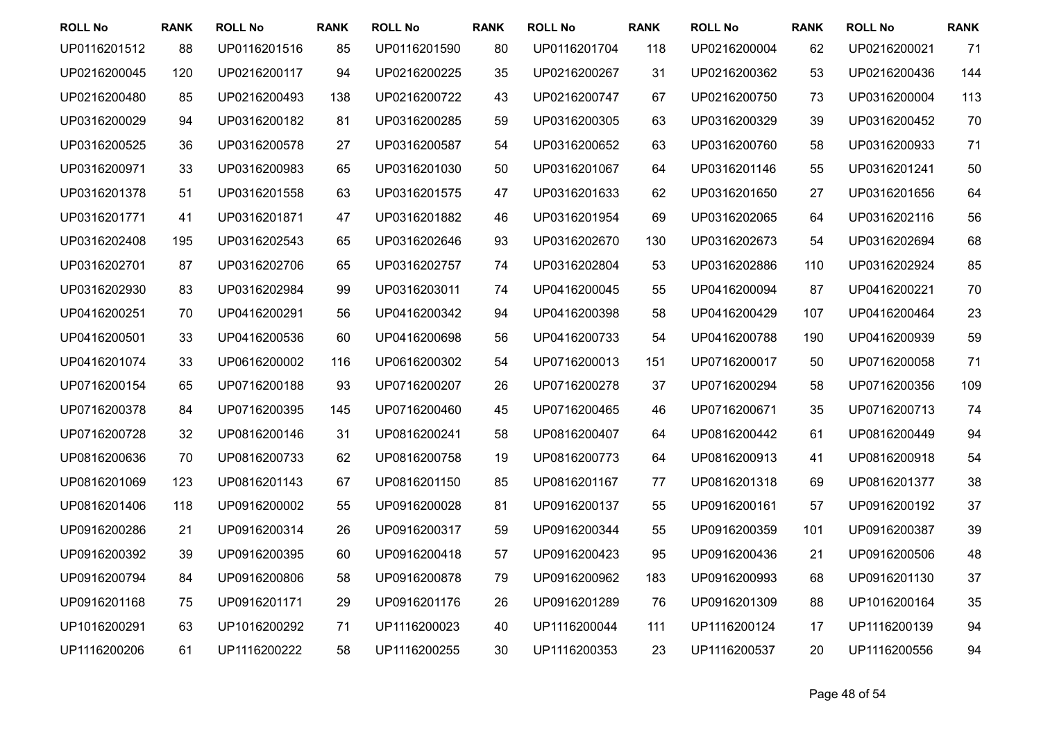| <b>ROLL No</b> | <b>RANK</b> | <b>ROLL No</b> | <b>RANK</b> | <b>ROLL No</b> | <b>RANK</b> | <b>ROLL No</b> | <b>RANK</b> | <b>ROLL No</b> | <b>RANK</b> | <b>ROLL No</b> | <b>RANK</b> |
|----------------|-------------|----------------|-------------|----------------|-------------|----------------|-------------|----------------|-------------|----------------|-------------|
| UP0116201512   | 88          | UP0116201516   | 85          | UP0116201590   | 80          | UP0116201704   | 118         | UP0216200004   | 62          | UP0216200021   | 71          |
| UP0216200045   | 120         | UP0216200117   | 94          | UP0216200225   | 35          | UP0216200267   | 31          | UP0216200362   | 53          | UP0216200436   | 144         |
| UP0216200480   | 85          | UP0216200493   | 138         | UP0216200722   | 43          | UP0216200747   | 67          | UP0216200750   | 73          | UP0316200004   | 113         |
| UP0316200029   | 94          | UP0316200182   | 81          | UP0316200285   | 59          | UP0316200305   | 63          | UP0316200329   | 39          | UP0316200452   | 70          |
| UP0316200525   | 36          | UP0316200578   | 27          | UP0316200587   | 54          | UP0316200652   | 63          | UP0316200760   | 58          | UP0316200933   | 71          |
| UP0316200971   | 33          | UP0316200983   | 65          | UP0316201030   | 50          | UP0316201067   | 64          | UP0316201146   | 55          | UP0316201241   | 50          |
| UP0316201378   | 51          | UP0316201558   | 63          | UP0316201575   | 47          | UP0316201633   | 62          | UP0316201650   | 27          | UP0316201656   | 64          |
| UP0316201771   | 41          | UP0316201871   | 47          | UP0316201882   | 46          | UP0316201954   | 69          | UP0316202065   | 64          | UP0316202116   | 56          |
| UP0316202408   | 195         | UP0316202543   | 65          | UP0316202646   | 93          | UP0316202670   | 130         | UP0316202673   | 54          | UP0316202694   | 68          |
| UP0316202701   | 87          | UP0316202706   | 65          | UP0316202757   | 74          | UP0316202804   | 53          | UP0316202886   | 110         | UP0316202924   | 85          |
| UP0316202930   | 83          | UP0316202984   | 99          | UP0316203011   | 74          | UP0416200045   | 55          | UP0416200094   | 87          | UP0416200221   | 70          |
| UP0416200251   | 70          | UP0416200291   | 56          | UP0416200342   | 94          | UP0416200398   | 58          | UP0416200429   | 107         | UP0416200464   | 23          |
| UP0416200501   | 33          | UP0416200536   | 60          | UP0416200698   | 56          | UP0416200733   | 54          | UP0416200788   | 190         | UP0416200939   | 59          |
| UP0416201074   | 33          | UP0616200002   | 116         | UP0616200302   | 54          | UP0716200013   | 151         | UP0716200017   | 50          | UP0716200058   | 71          |
| UP0716200154   | 65          | UP0716200188   | 93          | UP0716200207   | 26          | UP0716200278   | 37          | UP0716200294   | 58          | UP0716200356   | 109         |
| UP0716200378   | 84          | UP0716200395   | 145         | UP0716200460   | 45          | UP0716200465   | 46          | UP0716200671   | 35          | UP0716200713   | 74          |
| UP0716200728   | 32          | UP0816200146   | 31          | UP0816200241   | 58          | UP0816200407   | 64          | UP0816200442   | 61          | UP0816200449   | 94          |
| UP0816200636   | 70          | UP0816200733   | 62          | UP0816200758   | 19          | UP0816200773   | 64          | UP0816200913   | 41          | UP0816200918   | 54          |
| UP0816201069   | 123         | UP0816201143   | 67          | UP0816201150   | 85          | UP0816201167   | 77          | UP0816201318   | 69          | UP0816201377   | 38          |
| UP0816201406   | 118         | UP0916200002   | 55          | UP0916200028   | 81          | UP0916200137   | 55          | UP0916200161   | 57          | UP0916200192   | 37          |
| UP0916200286   | 21          | UP0916200314   | 26          | UP0916200317   | 59          | UP0916200344   | 55          | UP0916200359   | 101         | UP0916200387   | 39          |
| UP0916200392   | 39          | UP0916200395   | 60          | UP0916200418   | 57          | UP0916200423   | 95          | UP0916200436   | 21          | UP0916200506   | 48          |
| UP0916200794   | 84          | UP0916200806   | 58          | UP0916200878   | 79          | UP0916200962   | 183         | UP0916200993   | 68          | UP0916201130   | 37          |
| UP0916201168   | 75          | UP0916201171   | 29          | UP0916201176   | 26          | UP0916201289   | 76          | UP0916201309   | 88          | UP1016200164   | 35          |
| UP1016200291   | 63          | UP1016200292   | 71          | UP1116200023   | 40          | UP1116200044   | 111         | UP1116200124   | 17          | UP1116200139   | 94          |
| UP1116200206   | 61          | UP1116200222   | 58          | UP1116200255   | 30          | UP1116200353   | 23          | UP1116200537   | 20          | UP1116200556   | 94          |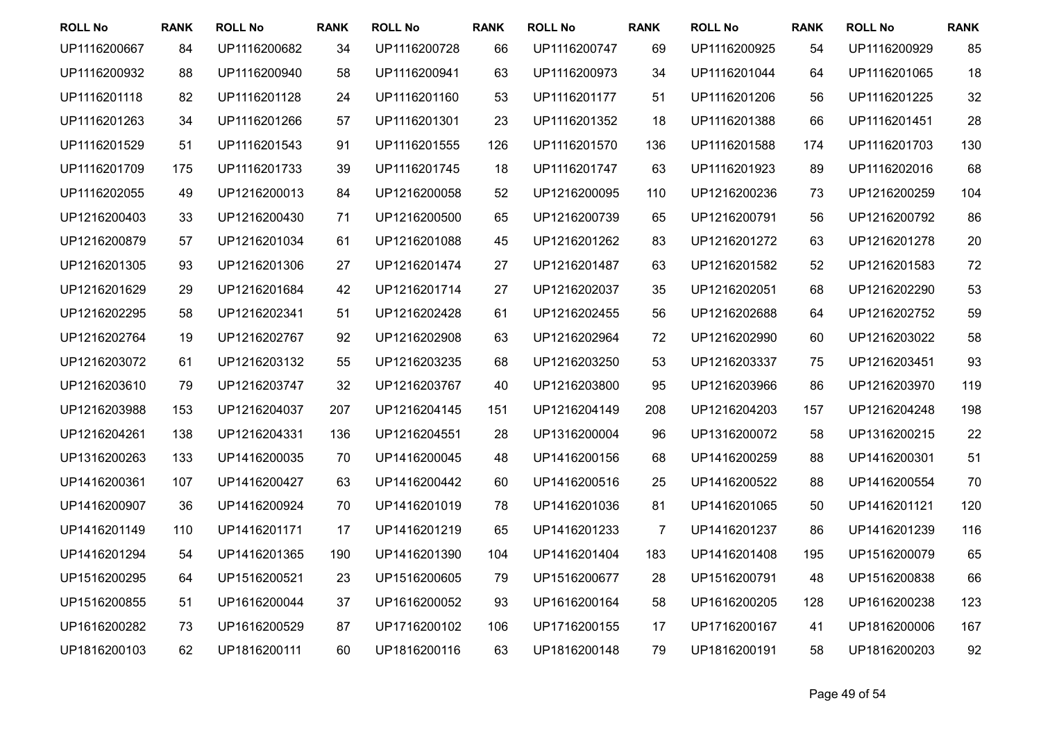| <b>ROLL No</b> | <b>RANK</b> | <b>ROLL No</b> | <b>RANK</b> | <b>ROLL No</b> | <b>RANK</b> | <b>ROLL No</b> | <b>RANK</b> | <b>ROLL No</b> | <b>RANK</b> | <b>ROLL No</b> | <b>RANK</b> |
|----------------|-------------|----------------|-------------|----------------|-------------|----------------|-------------|----------------|-------------|----------------|-------------|
| UP1116200667   | 84          | UP1116200682   | 34          | UP1116200728   | 66          | UP1116200747   | 69          | UP1116200925   | 54          | UP1116200929   | 85          |
| UP1116200932   | 88          | UP1116200940   | 58          | UP1116200941   | 63          | UP1116200973   | 34          | UP1116201044   | 64          | UP1116201065   | 18          |
| UP1116201118   | 82          | UP1116201128   | 24          | UP1116201160   | 53          | UP1116201177   | 51          | UP1116201206   | 56          | UP1116201225   | 32          |
| UP1116201263   | 34          | UP1116201266   | 57          | UP1116201301   | 23          | UP1116201352   | 18          | UP1116201388   | 66          | UP1116201451   | 28          |
| UP1116201529   | 51          | UP1116201543   | 91          | UP1116201555   | 126         | UP1116201570   | 136         | UP1116201588   | 174         | UP1116201703   | 130         |
| UP1116201709   | 175         | UP1116201733   | 39          | UP1116201745   | 18          | UP1116201747   | 63          | UP1116201923   | 89          | UP1116202016   | 68          |
| UP1116202055   | 49          | UP1216200013   | 84          | UP1216200058   | 52          | UP1216200095   | 110         | UP1216200236   | 73          | UP1216200259   | 104         |
| UP1216200403   | 33          | UP1216200430   | 71          | UP1216200500   | 65          | UP1216200739   | 65          | UP1216200791   | 56          | UP1216200792   | 86          |
| UP1216200879   | 57          | UP1216201034   | 61          | UP1216201088   | 45          | UP1216201262   | 83          | UP1216201272   | 63          | UP1216201278   | 20          |
| UP1216201305   | 93          | UP1216201306   | 27          | UP1216201474   | 27          | UP1216201487   | 63          | UP1216201582   | 52          | UP1216201583   | 72          |
| UP1216201629   | 29          | UP1216201684   | 42          | UP1216201714   | 27          | UP1216202037   | 35          | UP1216202051   | 68          | UP1216202290   | 53          |
| UP1216202295   | 58          | UP1216202341   | 51          | UP1216202428   | 61          | UP1216202455   | 56          | UP1216202688   | 64          | UP1216202752   | 59          |
| UP1216202764   | 19          | UP1216202767   | 92          | UP1216202908   | 63          | UP1216202964   | 72          | UP1216202990   | 60          | UP1216203022   | 58          |
| UP1216203072   | 61          | UP1216203132   | 55          | UP1216203235   | 68          | UP1216203250   | 53          | UP1216203337   | 75          | UP1216203451   | 93          |
| UP1216203610   | 79          | UP1216203747   | 32          | UP1216203767   | 40          | UP1216203800   | 95          | UP1216203966   | 86          | UP1216203970   | 119         |
| UP1216203988   | 153         | UP1216204037   | 207         | UP1216204145   | 151         | UP1216204149   | 208         | UP1216204203   | 157         | UP1216204248   | 198         |
| UP1216204261   | 138         | UP1216204331   | 136         | UP1216204551   | 28          | UP1316200004   | 96          | UP1316200072   | 58          | UP1316200215   | 22          |
| UP1316200263   | 133         | UP1416200035   | 70          | UP1416200045   | 48          | UP1416200156   | 68          | UP1416200259   | 88          | UP1416200301   | 51          |
| UP1416200361   | 107         | UP1416200427   | 63          | UP1416200442   | 60          | UP1416200516   | 25          | UP1416200522   | 88          | UP1416200554   | 70          |
| UP1416200907   | 36          | UP1416200924   | 70          | UP1416201019   | 78          | UP1416201036   | 81          | UP1416201065   | 50          | UP1416201121   | 120         |
| UP1416201149   | 110         | UP1416201171   | 17          | UP1416201219   | 65          | UP1416201233   | 7           | UP1416201237   | 86          | UP1416201239   | 116         |
| UP1416201294   | 54          | UP1416201365   | 190         | UP1416201390   | 104         | UP1416201404   | 183         | UP1416201408   | 195         | UP1516200079   | 65          |
| UP1516200295   | 64          | UP1516200521   | 23          | UP1516200605   | 79          | UP1516200677   | 28          | UP1516200791   | 48          | UP1516200838   | 66          |
| UP1516200855   | 51          | UP1616200044   | 37          | UP1616200052   | 93          | UP1616200164   | 58          | UP1616200205   | 128         | UP1616200238   | 123         |
| UP1616200282   | 73          | UP1616200529   | 87          | UP1716200102   | 106         | UP1716200155   | 17          | UP1716200167   | 41          | UP1816200006   | 167         |
| UP1816200103   | 62          | UP1816200111   | 60          | UP1816200116   | 63          | UP1816200148   | 79          | UP1816200191   | 58          | UP1816200203   | 92          |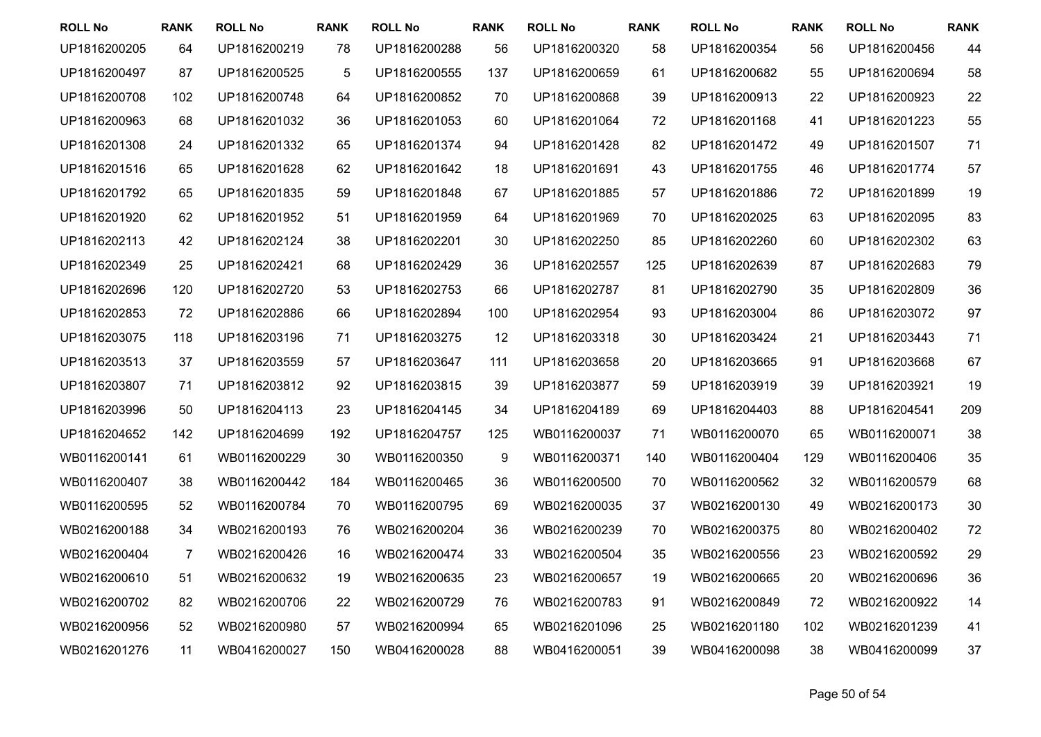| <b>ROLL No</b> | <b>RANK</b>    | <b>ROLL No</b> | <b>RANK</b> | <b>ROLL No</b> | <b>RANK</b> | <b>ROLL No</b> | <b>RANK</b> | <b>ROLL No</b> | <b>RANK</b> | <b>ROLL No</b> | <b>RANK</b> |
|----------------|----------------|----------------|-------------|----------------|-------------|----------------|-------------|----------------|-------------|----------------|-------------|
| UP1816200205   | 64             | UP1816200219   | 78          | UP1816200288   | 56          | UP1816200320   | 58          | UP1816200354   | 56          | UP1816200456   | 44          |
| UP1816200497   | 87             | UP1816200525   | 5           | UP1816200555   | 137         | UP1816200659   | 61          | UP1816200682   | 55          | UP1816200694   | 58          |
| UP1816200708   | 102            | UP1816200748   | 64          | UP1816200852   | 70          | UP1816200868   | 39          | UP1816200913   | 22          | UP1816200923   | 22          |
| UP1816200963   | 68             | UP1816201032   | 36          | UP1816201053   | 60          | UP1816201064   | 72          | UP1816201168   | 41          | UP1816201223   | 55          |
| UP1816201308   | 24             | UP1816201332   | 65          | UP1816201374   | 94          | UP1816201428   | 82          | UP1816201472   | 49          | UP1816201507   | 71          |
| UP1816201516   | 65             | UP1816201628   | 62          | UP1816201642   | 18          | UP1816201691   | 43          | UP1816201755   | 46          | UP1816201774   | 57          |
| UP1816201792   | 65             | UP1816201835   | 59          | UP1816201848   | 67          | UP1816201885   | 57          | UP1816201886   | 72          | UP1816201899   | 19          |
| UP1816201920   | 62             | UP1816201952   | 51          | UP1816201959   | 64          | UP1816201969   | 70          | UP1816202025   | 63          | UP1816202095   | 83          |
| UP1816202113   | 42             | UP1816202124   | 38          | UP1816202201   | 30          | UP1816202250   | 85          | UP1816202260   | 60          | UP1816202302   | 63          |
| UP1816202349   | 25             | UP1816202421   | 68          | UP1816202429   | 36          | UP1816202557   | 125         | UP1816202639   | 87          | UP1816202683   | 79          |
| UP1816202696   | 120            | UP1816202720   | 53          | UP1816202753   | 66          | UP1816202787   | 81          | UP1816202790   | 35          | UP1816202809   | 36          |
| UP1816202853   | 72             | UP1816202886   | 66          | UP1816202894   | 100         | UP1816202954   | 93          | UP1816203004   | 86          | UP1816203072   | 97          |
| UP1816203075   | 118            | UP1816203196   | 71          | UP1816203275   | 12          | UP1816203318   | 30          | UP1816203424   | 21          | UP1816203443   | 71          |
| UP1816203513   | 37             | UP1816203559   | 57          | UP1816203647   | 111         | UP1816203658   | 20          | UP1816203665   | 91          | UP1816203668   | 67          |
| UP1816203807   | 71             | UP1816203812   | 92          | UP1816203815   | 39          | UP1816203877   | 59          | UP1816203919   | 39          | UP1816203921   | 19          |
| UP1816203996   | 50             | UP1816204113   | 23          | UP1816204145   | 34          | UP1816204189   | 69          | UP1816204403   | 88          | UP1816204541   | 209         |
| UP1816204652   | 142            | UP1816204699   | 192         | UP1816204757   | 125         | WB0116200037   | 71          | WB0116200070   | 65          | WB0116200071   | 38          |
| WB0116200141   | 61             | WB0116200229   | 30          | WB0116200350   | 9           | WB0116200371   | 140         | WB0116200404   | 129         | WB0116200406   | 35          |
| WB0116200407   | 38             | WB0116200442   | 184         | WB0116200465   | 36          | WB0116200500   | 70          | WB0116200562   | 32          | WB0116200579   | 68          |
| WB0116200595   | 52             | WB0116200784   | 70          | WB0116200795   | 69          | WB0216200035   | 37          | WB0216200130   | 49          | WB0216200173   | 30          |
| WB0216200188   | 34             | WB0216200193   | 76          | WB0216200204   | 36          | WB0216200239   | 70          | WB0216200375   | 80          | WB0216200402   | 72          |
| WB0216200404   | $\overline{7}$ | WB0216200426   | 16          | WB0216200474   | 33          | WB0216200504   | 35          | WB0216200556   | 23          | WB0216200592   | 29          |
| WB0216200610   | 51             | WB0216200632   | 19          | WB0216200635   | 23          | WB0216200657   | 19          | WB0216200665   | 20          | WB0216200696   | 36          |
| WB0216200702   | 82             | WB0216200706   | 22          | WB0216200729   | 76          | WB0216200783   | 91          | WB0216200849   | 72          | WB0216200922   | 14          |
| WB0216200956   | 52             | WB0216200980   | 57          | WB0216200994   | 65          | WB0216201096   | 25          | WB0216201180   | 102         | WB0216201239   | 41          |
| WB0216201276   | 11             | WB0416200027   | 150         | WB0416200028   | 88          | WB0416200051   | 39          | WB0416200098   | 38          | WB0416200099   | 37          |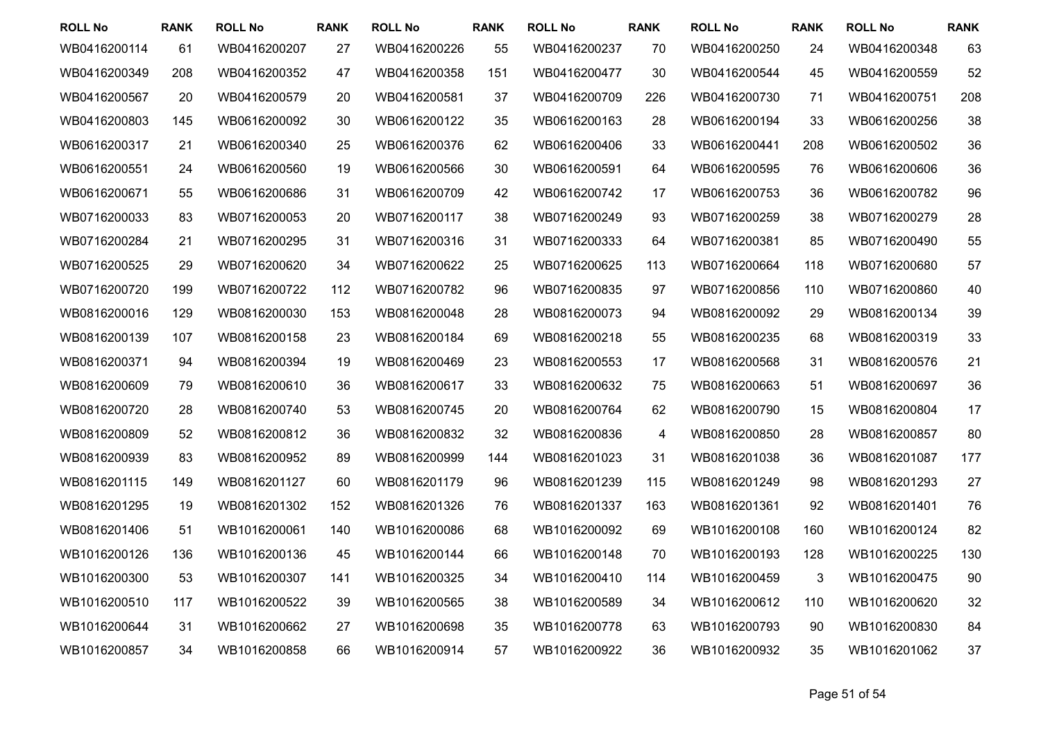| <b>ROLL No</b> | <b>RANK</b> | <b>ROLL No</b> | <b>RANK</b> | <b>ROLL No</b> | <b>RANK</b> | <b>ROLL No</b> | <b>RANK</b> | <b>ROLL No</b> | <b>RANK</b> | <b>ROLL No</b> | <b>RANK</b> |
|----------------|-------------|----------------|-------------|----------------|-------------|----------------|-------------|----------------|-------------|----------------|-------------|
| WB0416200114   | 61          | WB0416200207   | 27          | WB0416200226   | 55          | WB0416200237   | 70          | WB0416200250   | 24          | WB0416200348   | 63          |
| WB0416200349   | 208         | WB0416200352   | 47          | WB0416200358   | 151         | WB0416200477   | 30          | WB0416200544   | 45          | WB0416200559   | 52          |
| WB0416200567   | 20          | WB0416200579   | 20          | WB0416200581   | 37          | WB0416200709   | 226         | WB0416200730   | 71          | WB0416200751   | 208         |
| WB0416200803   | 145         | WB0616200092   | 30          | WB0616200122   | 35          | WB0616200163   | 28          | WB0616200194   | 33          | WB0616200256   | 38          |
| WB0616200317   | 21          | WB0616200340   | 25          | WB0616200376   | 62          | WB0616200406   | 33          | WB0616200441   | 208         | WB0616200502   | 36          |
| WB0616200551   | 24          | WB0616200560   | 19          | WB0616200566   | 30          | WB0616200591   | 64          | WB0616200595   | 76          | WB0616200606   | 36          |
| WB0616200671   | 55          | WB0616200686   | 31          | WB0616200709   | 42          | WB0616200742   | 17          | WB0616200753   | 36          | WB0616200782   | 96          |
| WB0716200033   | 83          | WB0716200053   | 20          | WB0716200117   | 38          | WB0716200249   | 93          | WB0716200259   | 38          | WB0716200279   | 28          |
| WB0716200284   | 21          | WB0716200295   | 31          | WB0716200316   | 31          | WB0716200333   | 64          | WB0716200381   | 85          | WB0716200490   | 55          |
| WB0716200525   | 29          | WB0716200620   | 34          | WB0716200622   | 25          | WB0716200625   | 113         | WB0716200664   | 118         | WB0716200680   | 57          |
| WB0716200720   | 199         | WB0716200722   | 112         | WB0716200782   | 96          | WB0716200835   | 97          | WB0716200856   | 110         | WB0716200860   | 40          |
| WB0816200016   | 129         | WB0816200030   | 153         | WB0816200048   | 28          | WB0816200073   | 94          | WB0816200092   | 29          | WB0816200134   | 39          |
| WB0816200139   | 107         | WB0816200158   | 23          | WB0816200184   | 69          | WB0816200218   | 55          | WB0816200235   | 68          | WB0816200319   | 33          |
| WB0816200371   | 94          | WB0816200394   | 19          | WB0816200469   | 23          | WB0816200553   | 17          | WB0816200568   | 31          | WB0816200576   | 21          |
| WB0816200609   | 79          | WB0816200610   | 36          | WB0816200617   | 33          | WB0816200632   | 75          | WB0816200663   | 51          | WB0816200697   | 36          |
| WB0816200720   | 28          | WB0816200740   | 53          | WB0816200745   | 20          | WB0816200764   | 62          | WB0816200790   | 15          | WB0816200804   | 17          |
| WB0816200809   | 52          | WB0816200812   | 36          | WB0816200832   | 32          | WB0816200836   | 4           | WB0816200850   | 28          | WB0816200857   | 80          |
| WB0816200939   | 83          | WB0816200952   | 89          | WB0816200999   | 144         | WB0816201023   | 31          | WB0816201038   | 36          | WB0816201087   | 177         |
| WB0816201115   | 149         | WB0816201127   | 60          | WB0816201179   | 96          | WB0816201239   | 115         | WB0816201249   | 98          | WB0816201293   | 27          |
| WB0816201295   | 19          | WB0816201302   | 152         | WB0816201326   | 76          | WB0816201337   | 163         | WB0816201361   | 92          | WB0816201401   | 76          |
| WB0816201406   | 51          | WB1016200061   | 140         | WB1016200086   | 68          | WB1016200092   | 69          | WB1016200108   | 160         | WB1016200124   | 82          |
| WB1016200126   | 136         | WB1016200136   | 45          | WB1016200144   | 66          | WB1016200148   | 70          | WB1016200193   | 128         | WB1016200225   | 130         |
| WB1016200300   | 53          | WB1016200307   | 141         | WB1016200325   | 34          | WB1016200410   | 114         | WB1016200459   | 3           | WB1016200475   | 90          |
| WB1016200510   | 117         | WB1016200522   | 39          | WB1016200565   | 38          | WB1016200589   | 34          | WB1016200612   | 110         | WB1016200620   | 32          |
| WB1016200644   | 31          | WB1016200662   | 27          | WB1016200698   | 35          | WB1016200778   | 63          | WB1016200793   | 90          | WB1016200830   | 84          |
| WB1016200857   | 34          | WB1016200858   | 66          | WB1016200914   | 57          | WB1016200922   | 36          | WB1016200932   | 35          | WB1016201062   | 37          |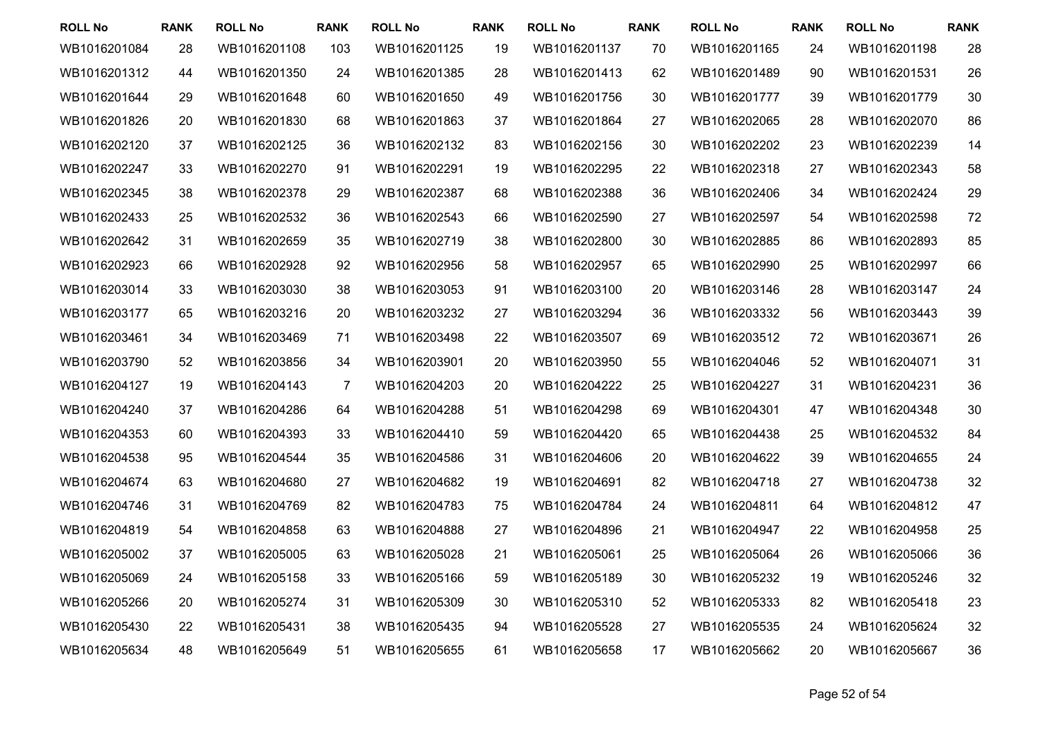| <b>ROLL No</b> | <b>RANK</b> | <b>ROLL No</b> | <b>RANK</b>    | <b>ROLL No</b> | <b>RANK</b> | <b>ROLL No</b> | <b>RANK</b> | <b>ROLL No</b> | <b>RANK</b> | <b>ROLL No</b> | <b>RANK</b> |
|----------------|-------------|----------------|----------------|----------------|-------------|----------------|-------------|----------------|-------------|----------------|-------------|
| WB1016201084   | 28          | WB1016201108   | 103            | WB1016201125   | 19          | WB1016201137   | 70          | WB1016201165   | 24          | WB1016201198   | 28          |
| WB1016201312   | 44          | WB1016201350   | 24             | WB1016201385   | 28          | WB1016201413   | 62          | WB1016201489   | 90          | WB1016201531   | 26          |
| WB1016201644   | 29          | WB1016201648   | 60             | WB1016201650   | 49          | WB1016201756   | 30          | WB1016201777   | 39          | WB1016201779   | 30          |
| WB1016201826   | 20          | WB1016201830   | 68             | WB1016201863   | 37          | WB1016201864   | 27          | WB1016202065   | 28          | WB1016202070   | 86          |
| WB1016202120   | 37          | WB1016202125   | 36             | WB1016202132   | 83          | WB1016202156   | 30          | WB1016202202   | 23          | WB1016202239   | 14          |
| WB1016202247   | 33          | WB1016202270   | 91             | WB1016202291   | 19          | WB1016202295   | 22          | WB1016202318   | 27          | WB1016202343   | 58          |
| WB1016202345   | 38          | WB1016202378   | 29             | WB1016202387   | 68          | WB1016202388   | 36          | WB1016202406   | 34          | WB1016202424   | 29          |
| WB1016202433   | 25          | WB1016202532   | 36             | WB1016202543   | 66          | WB1016202590   | 27          | WB1016202597   | 54          | WB1016202598   | 72          |
| WB1016202642   | 31          | WB1016202659   | 35             | WB1016202719   | 38          | WB1016202800   | 30          | WB1016202885   | 86          | WB1016202893   | 85          |
| WB1016202923   | 66          | WB1016202928   | 92             | WB1016202956   | 58          | WB1016202957   | 65          | WB1016202990   | 25          | WB1016202997   | 66          |
| WB1016203014   | 33          | WB1016203030   | 38             | WB1016203053   | 91          | WB1016203100   | 20          | WB1016203146   | 28          | WB1016203147   | 24          |
| WB1016203177   | 65          | WB1016203216   | 20             | WB1016203232   | 27          | WB1016203294   | 36          | WB1016203332   | 56          | WB1016203443   | 39          |
| WB1016203461   | 34          | WB1016203469   | 71             | WB1016203498   | 22          | WB1016203507   | 69          | WB1016203512   | 72          | WB1016203671   | 26          |
| WB1016203790   | 52          | WB1016203856   | 34             | WB1016203901   | 20          | WB1016203950   | 55          | WB1016204046   | 52          | WB1016204071   | 31          |
| WB1016204127   | 19          | WB1016204143   | $\overline{7}$ | WB1016204203   | 20          | WB1016204222   | 25          | WB1016204227   | 31          | WB1016204231   | 36          |
| WB1016204240   | 37          | WB1016204286   | 64             | WB1016204288   | 51          | WB1016204298   | 69          | WB1016204301   | 47          | WB1016204348   | 30          |
| WB1016204353   | 60          | WB1016204393   | 33             | WB1016204410   | 59          | WB1016204420   | 65          | WB1016204438   | 25          | WB1016204532   | 84          |
| WB1016204538   | 95          | WB1016204544   | 35             | WB1016204586   | 31          | WB1016204606   | 20          | WB1016204622   | 39          | WB1016204655   | 24          |
| WB1016204674   | 63          | WB1016204680   | 27             | WB1016204682   | 19          | WB1016204691   | 82          | WB1016204718   | 27          | WB1016204738   | 32          |
| WB1016204746   | 31          | WB1016204769   | 82             | WB1016204783   | 75          | WB1016204784   | 24          | WB1016204811   | 64          | WB1016204812   | 47          |
| WB1016204819   | 54          | WB1016204858   | 63             | WB1016204888   | 27          | WB1016204896   | 21          | WB1016204947   | 22          | WB1016204958   | 25          |
| WB1016205002   | 37          | WB1016205005   | 63             | WB1016205028   | 21          | WB1016205061   | 25          | WB1016205064   | 26          | WB1016205066   | 36          |
| WB1016205069   | 24          | WB1016205158   | 33             | WB1016205166   | 59          | WB1016205189   | 30          | WB1016205232   | 19          | WB1016205246   | 32          |
| WB1016205266   | 20          | WB1016205274   | 31             | WB1016205309   | 30          | WB1016205310   | 52          | WB1016205333   | 82          | WB1016205418   | 23          |
| WB1016205430   | 22          | WB1016205431   | 38             | WB1016205435   | 94          | WB1016205528   | 27          | WB1016205535   | 24          | WB1016205624   | 32          |
| WB1016205634   | 48          | WB1016205649   | 51             | WB1016205655   | 61          | WB1016205658   | 17          | WB1016205662   | 20          | WB1016205667   | 36          |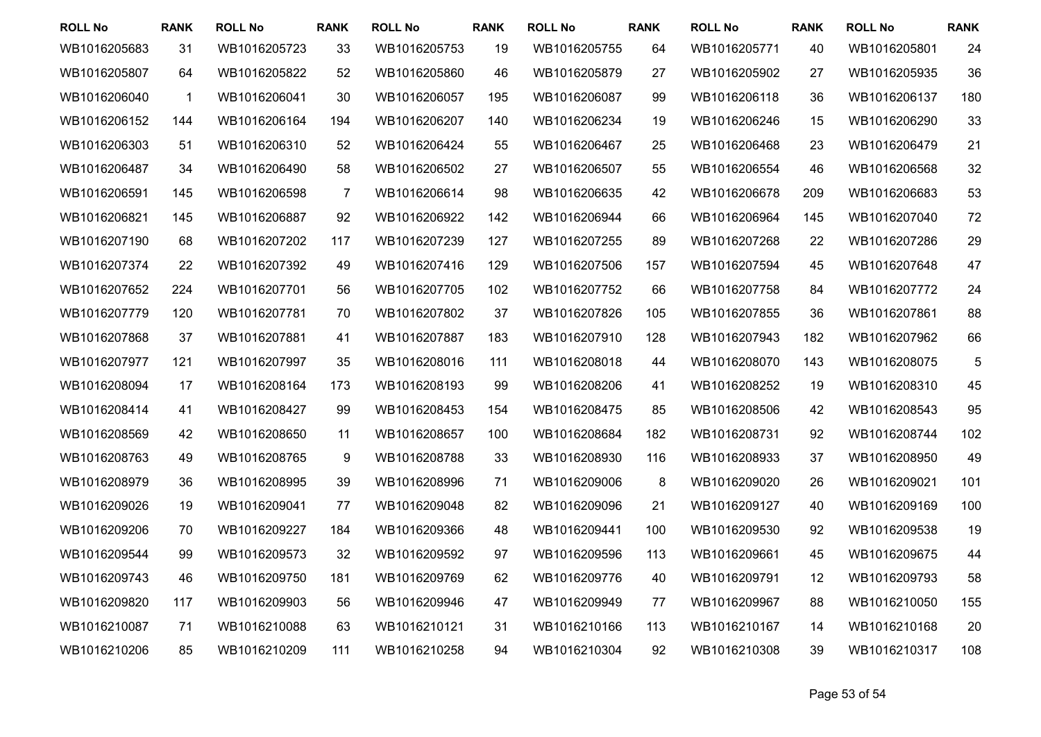| <b>ROLL No</b> | <b>RANK</b> | <b>ROLL No</b> | <b>RANK</b>    | <b>ROLL No</b> | <b>RANK</b> | <b>ROLL No</b> | <b>RANK</b> | <b>ROLL No</b> | <b>RANK</b> | <b>ROLL No</b> | <b>RANK</b> |
|----------------|-------------|----------------|----------------|----------------|-------------|----------------|-------------|----------------|-------------|----------------|-------------|
| WB1016205683   | 31          | WB1016205723   | 33             | WB1016205753   | 19          | WB1016205755   | 64          | WB1016205771   | 40          | WB1016205801   | 24          |
| WB1016205807   | 64          | WB1016205822   | 52             | WB1016205860   | 46          | WB1016205879   | 27          | WB1016205902   | 27          | WB1016205935   | 36          |
| WB1016206040   | 1           | WB1016206041   | 30             | WB1016206057   | 195         | WB1016206087   | 99          | WB1016206118   | 36          | WB1016206137   | 180         |
| WB1016206152   | 144         | WB1016206164   | 194            | WB1016206207   | 140         | WB1016206234   | 19          | WB1016206246   | 15          | WB1016206290   | 33          |
| WB1016206303   | 51          | WB1016206310   | 52             | WB1016206424   | 55          | WB1016206467   | 25          | WB1016206468   | 23          | WB1016206479   | 21          |
| WB1016206487   | 34          | WB1016206490   | 58             | WB1016206502   | 27          | WB1016206507   | 55          | WB1016206554   | 46          | WB1016206568   | 32          |
| WB1016206591   | 145         | WB1016206598   | $\overline{7}$ | WB1016206614   | 98          | WB1016206635   | 42          | WB1016206678   | 209         | WB1016206683   | 53          |
| WB1016206821   | 145         | WB1016206887   | 92             | WB1016206922   | 142         | WB1016206944   | 66          | WB1016206964   | 145         | WB1016207040   | 72          |
| WB1016207190   | 68          | WB1016207202   | 117            | WB1016207239   | 127         | WB1016207255   | 89          | WB1016207268   | 22          | WB1016207286   | 29          |
| WB1016207374   | 22          | WB1016207392   | 49             | WB1016207416   | 129         | WB1016207506   | 157         | WB1016207594   | 45          | WB1016207648   | 47          |
| WB1016207652   | 224         | WB1016207701   | 56             | WB1016207705   | 102         | WB1016207752   | 66          | WB1016207758   | 84          | WB1016207772   | 24          |
| WB1016207779   | 120         | WB1016207781   | 70             | WB1016207802   | 37          | WB1016207826   | 105         | WB1016207855   | 36          | WB1016207861   | 88          |
| WB1016207868   | 37          | WB1016207881   | 41             | WB1016207887   | 183         | WB1016207910   | 128         | WB1016207943   | 182         | WB1016207962   | 66          |
| WB1016207977   | 121         | WB1016207997   | 35             | WB1016208016   | 111         | WB1016208018   | 44          | WB1016208070   | 143         | WB1016208075   | 5           |
| WB1016208094   | 17          | WB1016208164   | 173            | WB1016208193   | 99          | WB1016208206   | 41          | WB1016208252   | 19          | WB1016208310   | 45          |
| WB1016208414   | 41          | WB1016208427   | 99             | WB1016208453   | 154         | WB1016208475   | 85          | WB1016208506   | 42          | WB1016208543   | 95          |
| WB1016208569   | 42          | WB1016208650   | 11             | WB1016208657   | 100         | WB1016208684   | 182         | WB1016208731   | 92          | WB1016208744   | 102         |
| WB1016208763   | 49          | WB1016208765   | 9              | WB1016208788   | 33          | WB1016208930   | 116         | WB1016208933   | 37          | WB1016208950   | 49          |
| WB1016208979   | 36          | WB1016208995   | 39             | WB1016208996   | 71          | WB1016209006   | 8           | WB1016209020   | 26          | WB1016209021   | 101         |
| WB1016209026   | 19          | WB1016209041   | 77             | WB1016209048   | 82          | WB1016209096   | 21          | WB1016209127   | 40          | WB1016209169   | 100         |
| WB1016209206   | 70          | WB1016209227   | 184            | WB1016209366   | 48          | WB1016209441   | 100         | WB1016209530   | 92          | WB1016209538   | 19          |
| WB1016209544   | 99          | WB1016209573   | 32             | WB1016209592   | 97          | WB1016209596   | 113         | WB1016209661   | 45          | WB1016209675   | 44          |
| WB1016209743   | 46          | WB1016209750   | 181            | WB1016209769   | 62          | WB1016209776   | 40          | WB1016209791   | 12          | WB1016209793   | 58          |
| WB1016209820   | 117         | WB1016209903   | 56             | WB1016209946   | 47          | WB1016209949   | 77          | WB1016209967   | 88          | WB1016210050   | 155         |
| WB1016210087   | 71          | WB1016210088   | 63             | WB1016210121   | 31          | WB1016210166   | 113         | WB1016210167   | 14          | WB1016210168   | 20          |
| WB1016210206   | 85          | WB1016210209   | 111            | WB1016210258   | 94          | WB1016210304   | 92          | WB1016210308   | 39          | WB1016210317   | 108         |